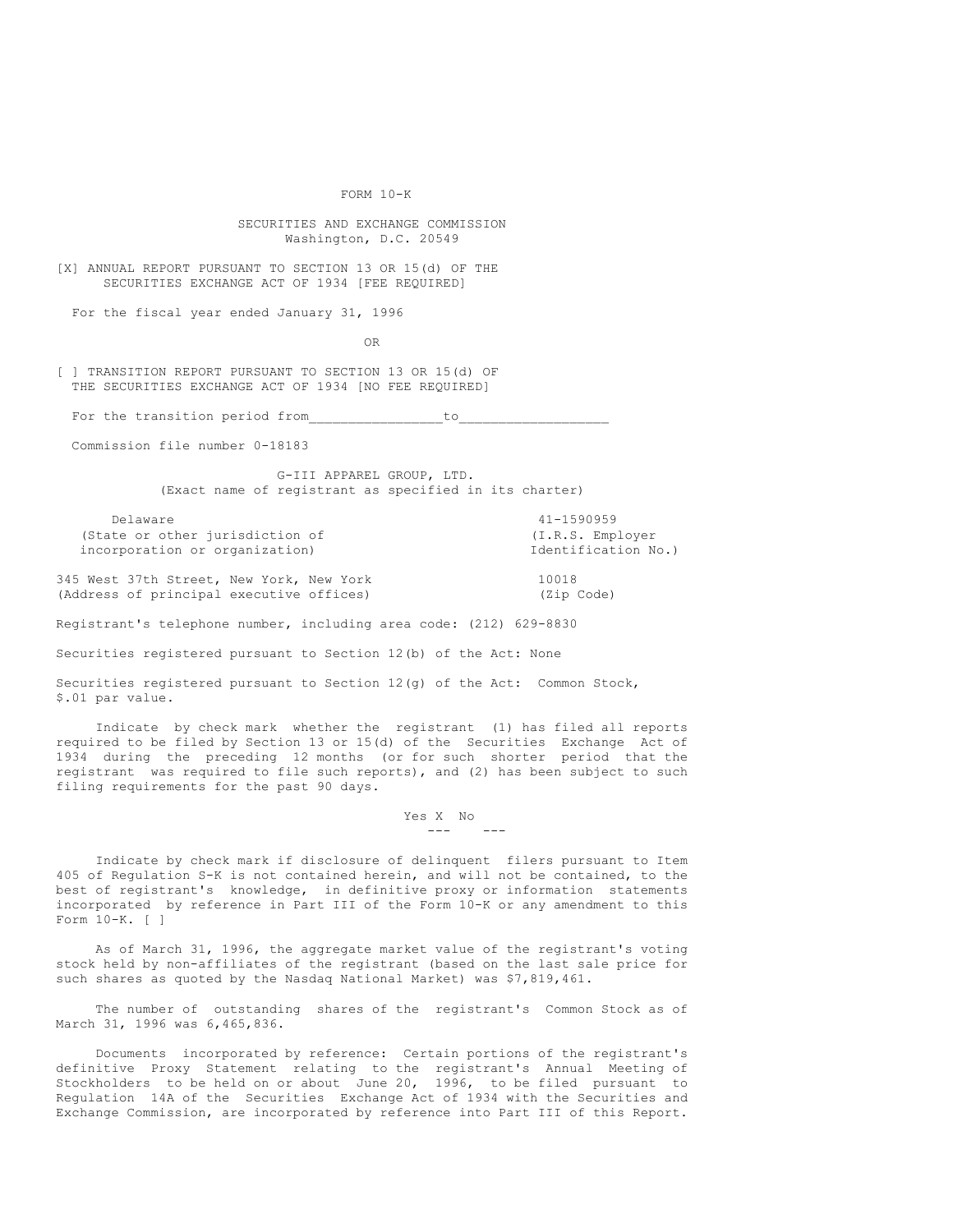FORM 10-K

SECURITIES AND EXCHANGE COMMISSION Washington, D.C. 20549

[X] ANNUAL REPORT PURSUANT TO SECTION 13 OR 15(d) OF THE SECURITIES EXCHANGE ACT OF 1934 [FEE REQUIRED]

For the fiscal year ended January 31, 1996

OR

[ ] TRANSITION REPORT PURSUANT TO SECTION 13 OR 15(d) OF THE SECURITIES EXCHANGE ACT OF 1934 [NO FEE REQUIRED]

For the transition period from  $\qquad \qquad$  to

Commission file number 0-18183

G-III APPAREL GROUP, LTD. (Exact name of registrant as specified in its charter)

Delaware 41-1590959<br>te or other jurisdiction of  $(1.R.S.$  Employer (State or other jurisdiction of incorporation or organization) and incorporation No.)

345 West 37th Street, New York, New York 10018 (Address of principal executive offices) (Zip Code)

Registrant's telephone number, including area code: (212) 629-8830

Securities registered pursuant to Section 12(b) of the Act: None

Securities registered pursuant to Section 12(g) of the Act: Common Stock, \$.01 par value.

Indicate by check mark whether the registrant (1) has filed all reports required to be filed by Section 13 or 15(d) of the Securities Exchange Act of 1934 during the preceding 12 months (or for such shorter period that the registrant was required to file such reports), and (2) has been subject to such filing requirements for the past 90 days.

> Yes X No --- ---

Indicate by check mark if disclosure of delinquent filers pursuant to Item 405 of Regulation S-K is not contained herein, and will not be contained, to the best of registrant's knowledge, in definitive proxy or information statements incorporated by reference in Part III of the Form 10-K or any amendment to this Form 10-K. [ ]

As of March 31, 1996, the aggregate market value of the registrant's voting stock held by non-affiliates of the registrant (based on the last sale price for such shares as quoted by the Nasdaq National Market) was \$7,819,461.

The number of outstanding shares of the registrant's Common Stock as of March 31, 1996 was 6,465,836.

Documents incorporated by reference: Certain portions of the registrant's definitive Proxy Statement relating to the registrant's Annual Meeting of Stockholders to be held on or about June 20, 1996, to be filed pursuant to Regulation 14A of the Securities Exchange Act of 1934 with the Securities and Exchange Commission, are incorporated by reference into Part III of this Report.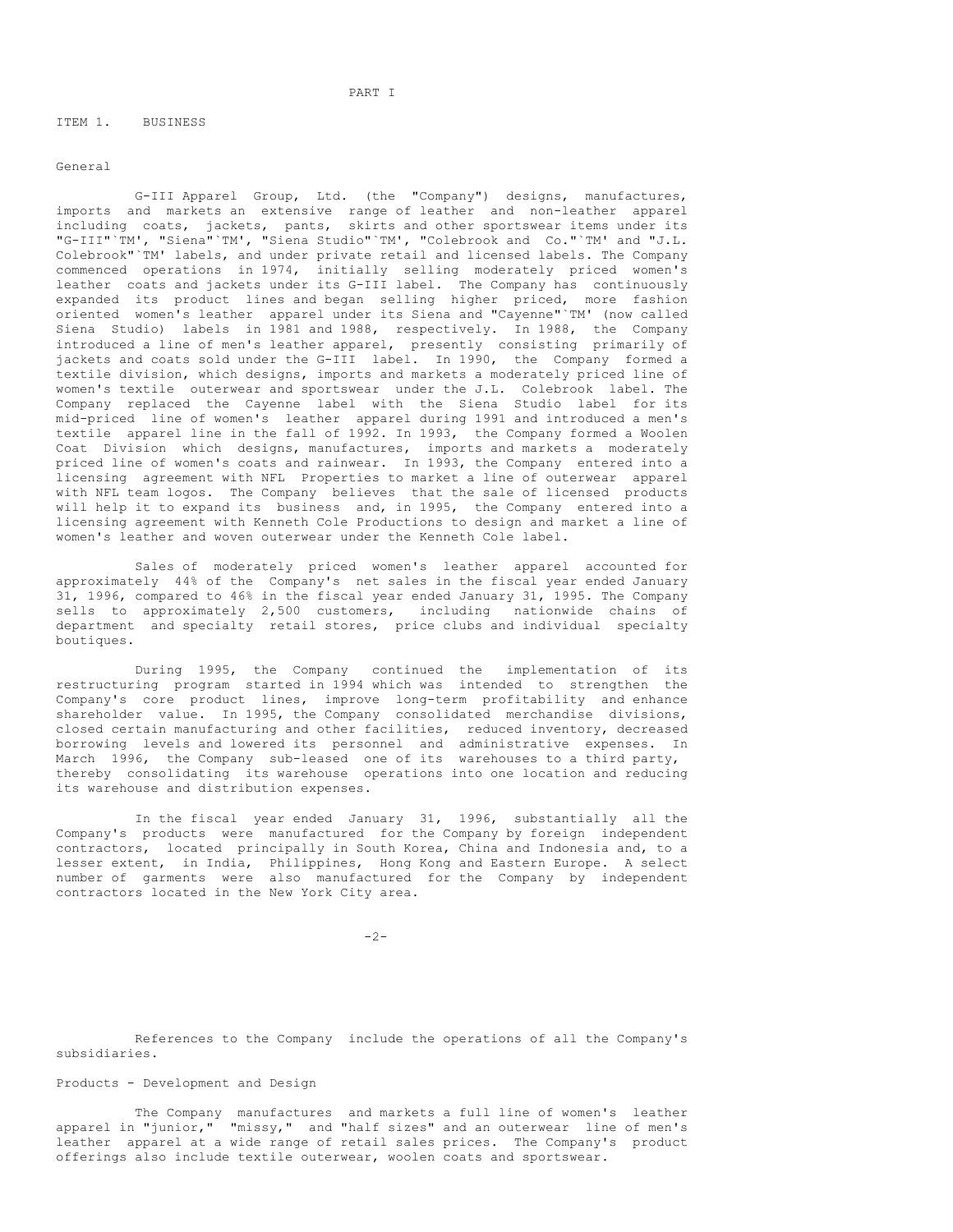ITEM 1. BUSINESS

General

G-III Apparel Group, Ltd. (the "Company") designs, manufactures, imports and markets an extensive range of leather and non-leather apparel including coats, jackets, pants, skirts and other sportswear items under its "G-III"`TM', "Siena"`TM', "Siena Studio"`TM', "Colebrook and Co."`TM' and "J.L. Colebrook"`TM' labels, and under private retail and licensed labels. The Company commenced operations in 1974, initially selling moderately priced women's leather coats and jackets under its G-III label. The Company has continuously expanded its product lines and began selling higher priced, more fashion oriented women's leather apparel under its Siena and "Cayenne"`TM' (now called Siena Studio) labels in 1981 and 1988, respectively. In 1988, the Company introduced a line of men's leather apparel, presently consisting primarily of jackets and coats sold under the G-III label. In 1990, the Company formed a textile division, which designs, imports and markets a moderately priced line of women's textile outerwear and sportswear under the J.L. Colebrook label. The Company replaced the Cayenne label with the Siena Studio label for its mid-priced line of women's leather apparel during 1991 and introduced a men's textile apparel line in the fall of 1992. In 1993, the Company formed a Woolen Coat Division which designs, manufactures, imports and markets a moderately priced line of women's coats and rainwear. In 1993, the Company entered into a licensing agreement with NFL Properties to market a line of outerwear apparel with NFL team logos. The Company believes that the sale of licensed products will help it to expand its business and, in 1995, the Company entered into a licensing agreement with Kenneth Cole Productions to design and market a line of women's leather and woven outerwear under the Kenneth Cole label.

Sales of moderately priced women's leather apparel accounted for approximately 44% of the Company's net sales in the fiscal year ended January 31, 1996, compared to 46% in the fiscal year ended January 31, 1995. The Company sells to approximately 2,500 customers, including nationwide chains of department and specialty retail stores, price clubs and individual specialty boutiques.

During 1995, the Company continued the implementation of its restructuring program started in 1994 which was intended to strengthen the Company's core product lines, improve long-term profitability and enhance shareholder value. In 1995, the Company consolidated merchandise divisions, closed certain manufacturing and other facilities, reduced inventory, decreased borrowing levels and lowered its personnel and administrative expenses. In March 1996, the Company sub-leased one of its warehouses to a third party, thereby consolidating its warehouse operations into one location and reducing its warehouse and distribution expenses.

In the fiscal year ended January 31, 1996, substantially all the Company's products were manufactured for the Company by foreign independent contractors, located principally in South Korea, China and Indonesia and, to a lesser extent, in India, Philippines, Hong Kong and Eastern Europe. A select number of garments were also manufactured for the Company by independent contractors located in the New York City area.

 $-2-$ 

References to the Company include the operations of all the Company's subsidiaries.

# Products - Development and Design

The Company manufactures and markets a full line of women's leather apparel in "junior," "missy," and "half sizes" and an outerwear line of men's leather apparel at a wide range of retail sales prices. The Company's product offerings also include textile outerwear, woolen coats and sportswear.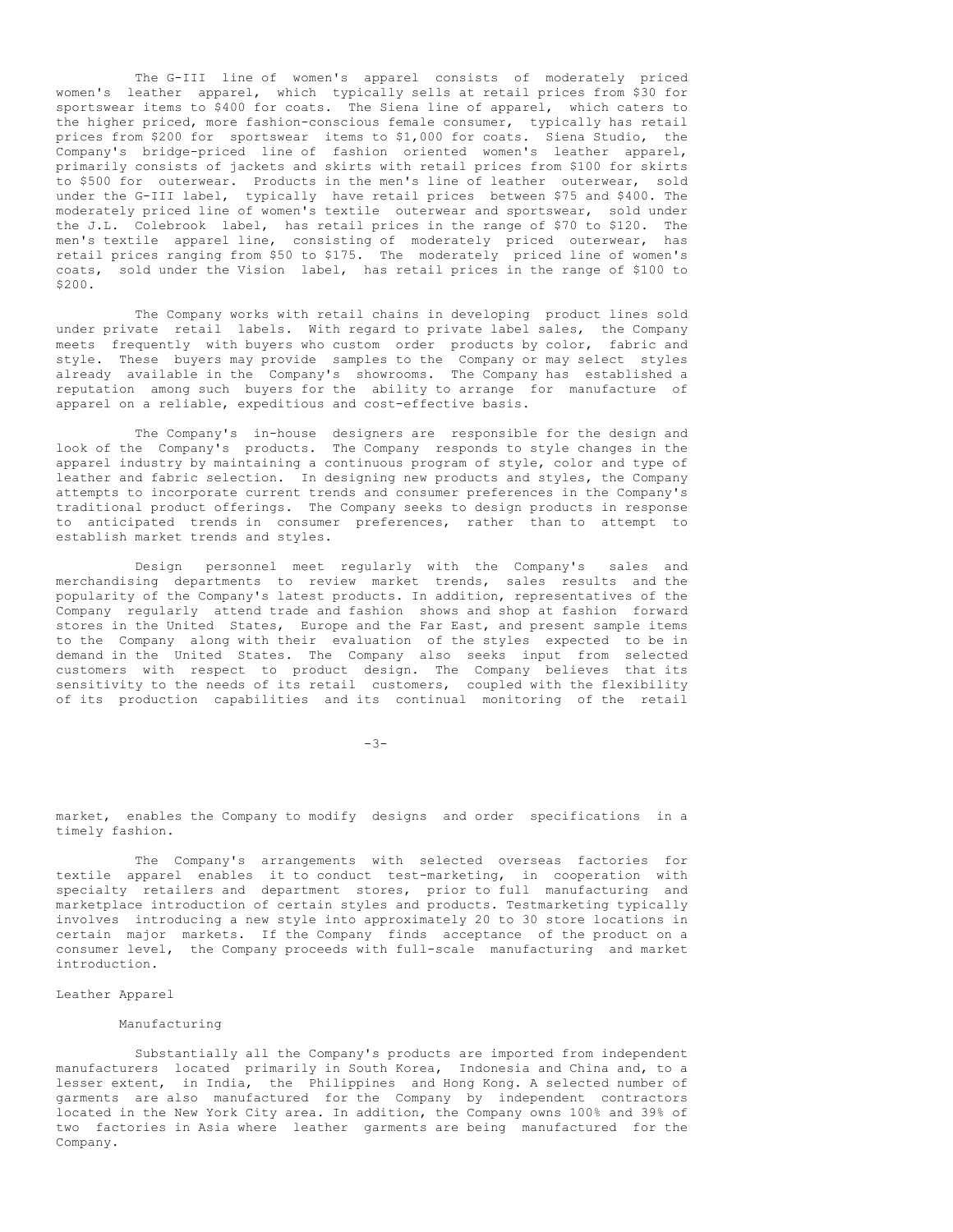The G-III line of women's apparel consists of moderately priced women's leather apparel, which typically sells at retail prices from \$30 for sportswear items to \$400 for coats. The Siena line of apparel, which caters to the higher priced, more fashion-conscious female consumer, typically has retail prices from \$200 for sportswear items to \$1,000 for coats. Siena Studio, the Company's bridge-priced line of fashion oriented women's leather apparel, primarily consists of jackets and skirts with retail prices from \$100 for skirts to \$500 for outerwear. Products in the men's line of leather outerwear, sold under the G-III label, typically have retail prices between \$75 and \$400. The moderately priced line of women's textile outerwear and sportswear, sold under the J.L. Colebrook label, has retail prices in the range of \$70 to \$120. The men's textile apparel line, consisting of moderately priced outerwear, has retail prices ranging from \$50 to \$175. The moderately priced line of women's coats, sold under the Vision label, has retail prices in the range of \$100 to \$200.

The Company works with retail chains in developing product lines sold under private retail labels. With regard to private label sales, the Company meets frequently with buyers who custom order products by color, fabric and style. These buyers may provide samples to the Company or may select styles already available in the Company's showrooms. The Company has established a reputation among such buyers for the ability to arrange for manufacture of apparel on a reliable, expeditious and cost-effective basis.

The Company's in-house designers are responsible for the design and look of the Company's products. The Company responds to style changes in the apparel industry by maintaining a continuous program of style, color and type of leather and fabric selection. In designing new products and styles, the Company attempts to incorporate current trends and consumer preferences in the Company's traditional product offerings. The Company seeks to design products in response to anticipated trends in consumer preferences, rather than to attempt to establish market trends and styles.

Design personnel meet regularly with the Company's sales and merchandising departments to review market trends, sales results and the popularity of the Company's latest products. In addition, representatives of the Company regularly attend trade and fashion shows and shop at fashion forward stores in the United States, Europe and the Far East, and present sample items to the Company along with their evaluation of the styles expected to be in demand in the United States. The Company also seeks input from selected customers with respect to product design. The Company believes that its sensitivity to the needs of its retail customers, coupled with the flexibility of its production capabilities and its continual monitoring of the retail

-3-

market, enables the Company to modify designs and order specifications in a timely fashion.

The Company's arrangements with selected overseas factories for textile apparel enables it to conduct test-marketing, in cooperation with specialty retailers and department stores, prior to full manufacturing and marketplace introduction of certain styles and products. Testmarketing typically involves introducing a new style into approximately 20 to 30 store locations in certain major markets. If the Company finds acceptance of the product on a consumer level, the Company proceeds with full-scale manufacturing and market introduction.

## Leather Apparel

# Manufacturing

Substantially all the Company's products are imported from independent manufacturers located primarily in South Korea, Indonesia and China and, to a lesser extent, in India, the Philippines and Hong Kong. A selected number of garments are also manufactured for the Company by independent contractors located in the New York City area. In addition, the Company owns 100% and 39% of two factories in Asia where leather garments are being manufactured for the Company.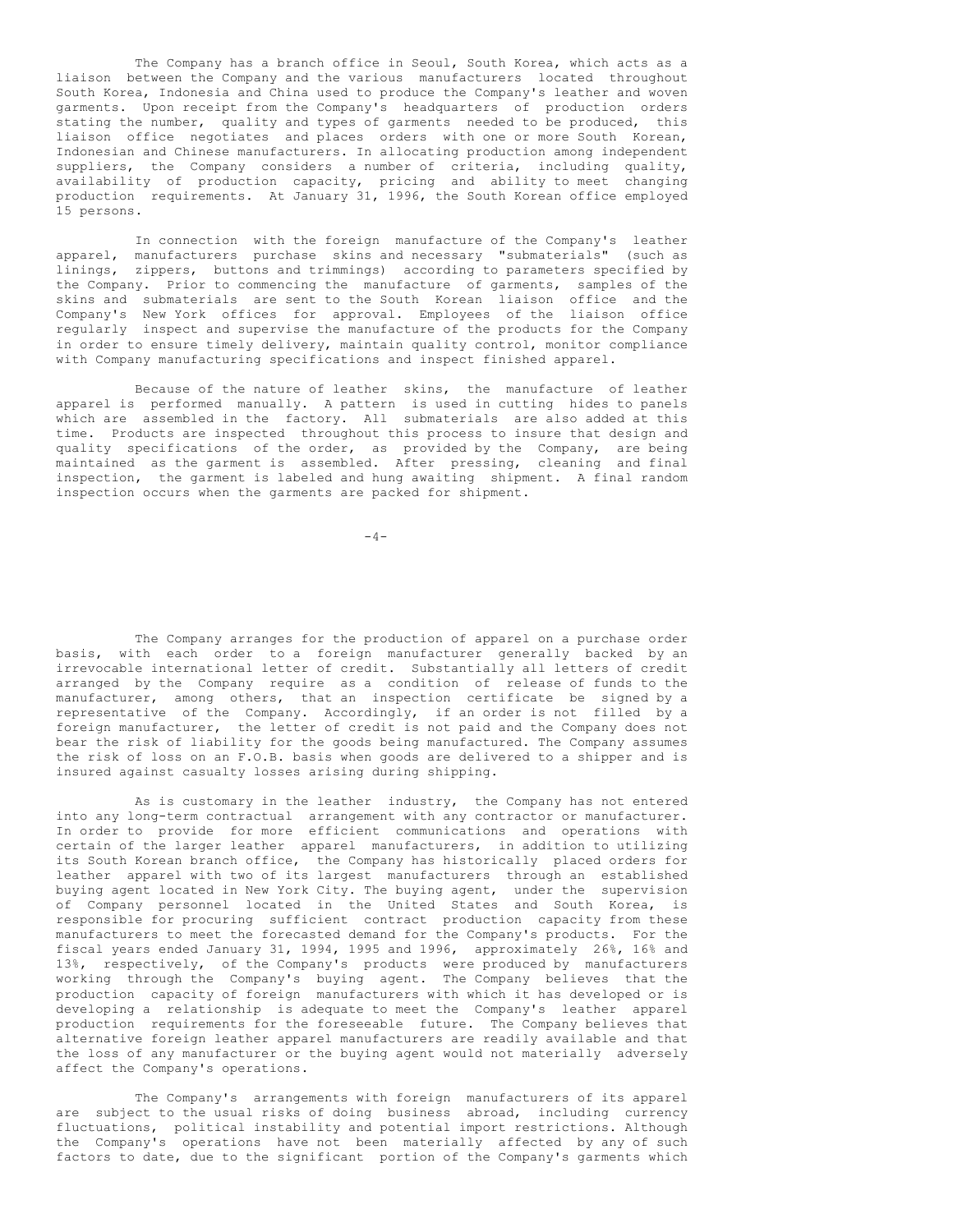The Company has a branch office in Seoul, South Korea, which acts as a liaison between the Company and the various manufacturers located throughout South Korea, Indonesia and China used to produce the Company's leather and woven garments. Upon receipt from the Company's headquarters of production orders stating the number, quality and types of garments needed to be produced, this liaison office negotiates and places orders with one or more South Korean, Indonesian and Chinese manufacturers. In allocating production among independent suppliers, the Company considers a number of criteria, including quality, availability of production capacity, pricing and ability to meet changing production requirements. At January 31, 1996, the South Korean office employed 15 persons.

In connection with the foreign manufacture of the Company's leather apparel, manufacturers purchase skins and necessary "submaterials" (such as linings, zippers, buttons and trimmings) according to parameters specified by the Company. Prior to commencing the manufacture of garments, samples of the skins and submaterials are sent to the South Korean liaison office and the Company's New York offices for approval. Employees of the liaison office regularly inspect and supervise the manufacture of the products for the Company in order to ensure timely delivery, maintain quality control, monitor compliance with Company manufacturing specifications and inspect finished apparel.

Because of the nature of leather skins, the manufacture of leather apparel is performed manually. A pattern is used in cutting hides to panels which are assembled in the factory. All submaterials are also added at this time. Products are inspected throughout this process to insure that design and quality specifications of the order, as provided by the Company, are being maintained as the garment is assembled. After pressing, cleaning and final inspection, the garment is labeled and hung awaiting shipment. A final random inspection occurs when the garments are packed for shipment.

 $-4-$ 

The Company arranges for the production of apparel on a purchase order basis, with each order to a foreign manufacturer generally backed by an irrevocable international letter of credit. Substantially all letters of credit arranged by the Company require as a condition of release of funds to the manufacturer, among others, that an inspection certificate be signed by a representative of the Company. Accordingly, if an order is not filled by a foreign manufacturer, the letter of credit is not paid and the Company does not bear the risk of liability for the goods being manufactured. The Company assumes the risk of loss on an F.O.B. basis when goods are delivered to a shipper and is insured against casualty losses arising during shipping.

As is customary in the leather industry, the Company has not entered into any long-term contractual arrangement with any contractor or manufacturer. In order to provide for more efficient communications and operations with certain of the larger leather apparel manufacturers, in addition to utilizing its South Korean branch office, the Company has historically placed orders for leather apparel with two of its largest manufacturers through an established buying agent located in New York City. The buying agent, under the supervision of Company personnel located in the United States and South Korea, is responsible for procuring sufficient contract production capacity from these manufacturers to meet the forecasted demand for the Company's products. For the fiscal years ended January 31, 1994, 1995 and 1996, approximately 26%, 16% and 13%, respectively, of the Company's products were produced by manufacturers working through the Company's buying agent. The Company believes that the production capacity of foreign manufacturers with which it has developed or is developing a relationship is adequate to meet the Company's leather apparel production requirements for the foreseeable future. The Company believes that alternative foreign leather apparel manufacturers are readily available and that the loss of any manufacturer or the buying agent would not materially adversely affect the Company's operations.

The Company's arrangements with foreign manufacturers of its apparel are subject to the usual risks of doing business abroad, including currency fluctuations, political instability and potential import restrictions. Although the Company's operations have not been materially affected by any of such factors to date, due to the significant portion of the Company's garments which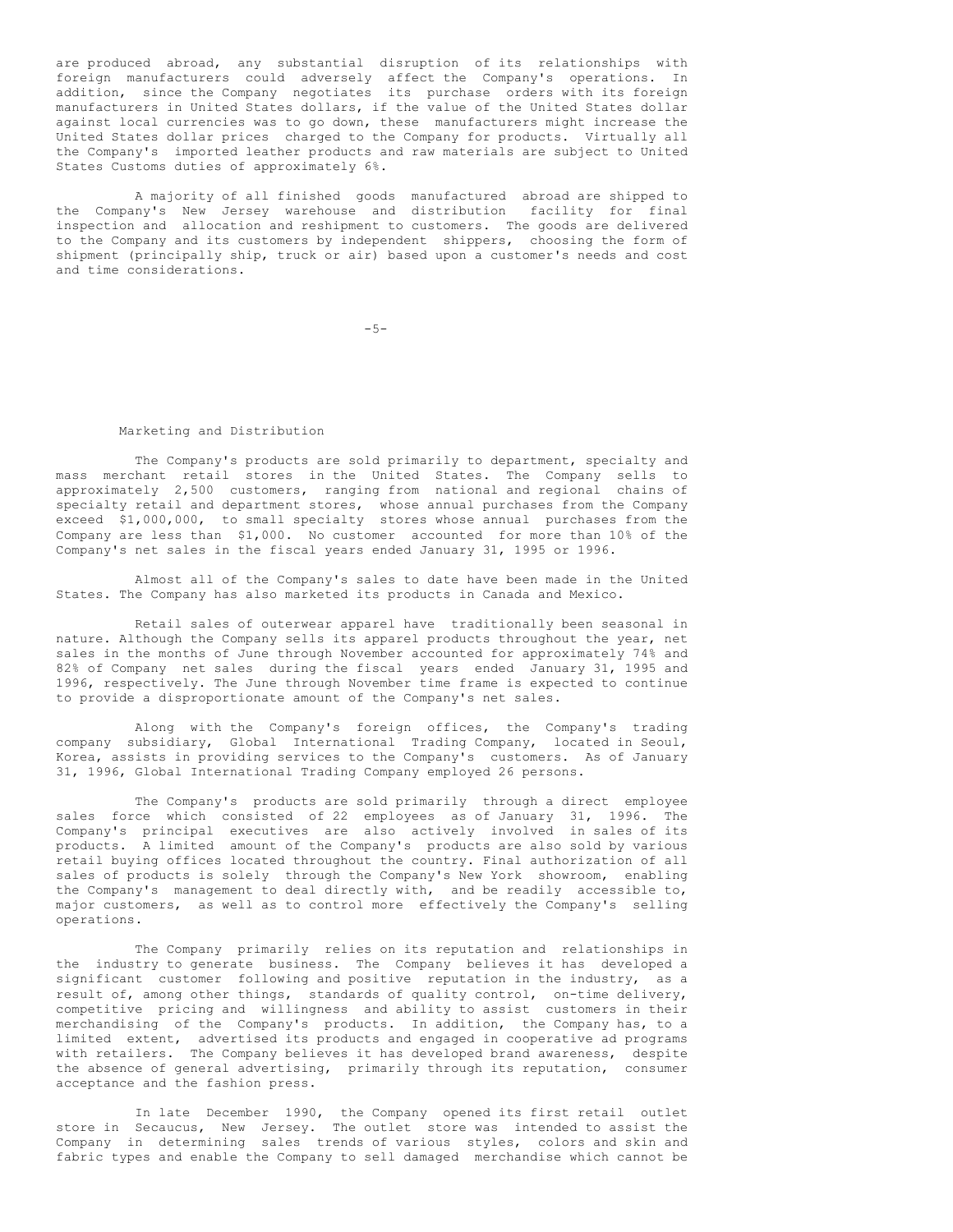are produced abroad, any substantial disruption of its relationships with foreign manufacturers could adversely affect the Company's operations. In addition, since the Company negotiates its purchase orders with its foreign manufacturers in United States dollars, if the value of the United States dollar against local currencies was to go down, these manufacturers might increase the United States dollar prices charged to the Company for products. Virtually all the Company's imported leather products and raw materials are subject to United States Customs duties of approximately 6%.

A majority of all finished goods manufactured abroad are shipped to the Company's New Jersey warehouse and distribution facility for final inspection and allocation and reshipment to customers. The goods are delivered to the Company and its customers by independent shippers, choosing the form of shipment (principally ship, truck or air) based upon a customer's needs and cost and time considerations.

 $-5-$ 

#### Marketing and Distribution

The Company's products are sold primarily to department, specialty and mass merchant retail stores in the United States. The Company sells to approximately 2,500 customers, ranging from national and regional chains of specialty retail and department stores, whose annual purchases from the Company exceed \$1,000,000, to small specialty stores whose annual purchases from the Company are less than \$1,000. No customer accounted for more than 10% of the Company's net sales in the fiscal years ended January 31, 1995 or 1996.

Almost all of the Company's sales to date have been made in the United States. The Company has also marketed its products in Canada and Mexico.

Retail sales of outerwear apparel have traditionally been seasonal in nature. Although the Company sells its apparel products throughout the year, net sales in the months of June through November accounted for approximately 74% and 82% of Company net sales during the fiscal years ended January 31, 1995 and 1996, respectively. The June through November time frame is expected to continue to provide a disproportionate amount of the Company's net sales.

Along with the Company's foreign offices, the Company's trading company subsidiary, Global International Trading Company, located in Seoul, Korea, assists in providing services to the Company's customers. As of January 31, 1996, Global International Trading Company employed 26 persons.

The Company's products are sold primarily through a direct employee sales force which consisted of 22 employees as of January 31, 1996. The Company's principal executives are also actively involved in sales of its products. A limited amount of the Company's products are also sold by various retail buying offices located throughout the country. Final authorization of all sales of products is solely through the Company's New York showroom, enabling the Company's management to deal directly with, and be readily accessible to, major customers, as well as to control more effectively the Company's selling operations.

The Company primarily relies on its reputation and relationships in the industry to generate business. The Company believes it has developed a significant customer following and positive reputation in the industry, as a result of, among other things, standards of quality control, on-time delivery, competitive pricing and willingness and ability to assist customers in their merchandising of the Company's products. In addition, the Company has, to a limited extent, advertised its products and engaged in cooperative ad programs with retailers. The Company believes it has developed brand awareness, despite the absence of general advertising, primarily through its reputation, consumer acceptance and the fashion press.

In late December 1990, the Company opened its first retail outlet store in Secaucus, New Jersey. The outlet store was intended to assist the Company in determining sales trends of various styles, colors and skin and fabric types and enable the Company to sell damaged merchandise which cannot be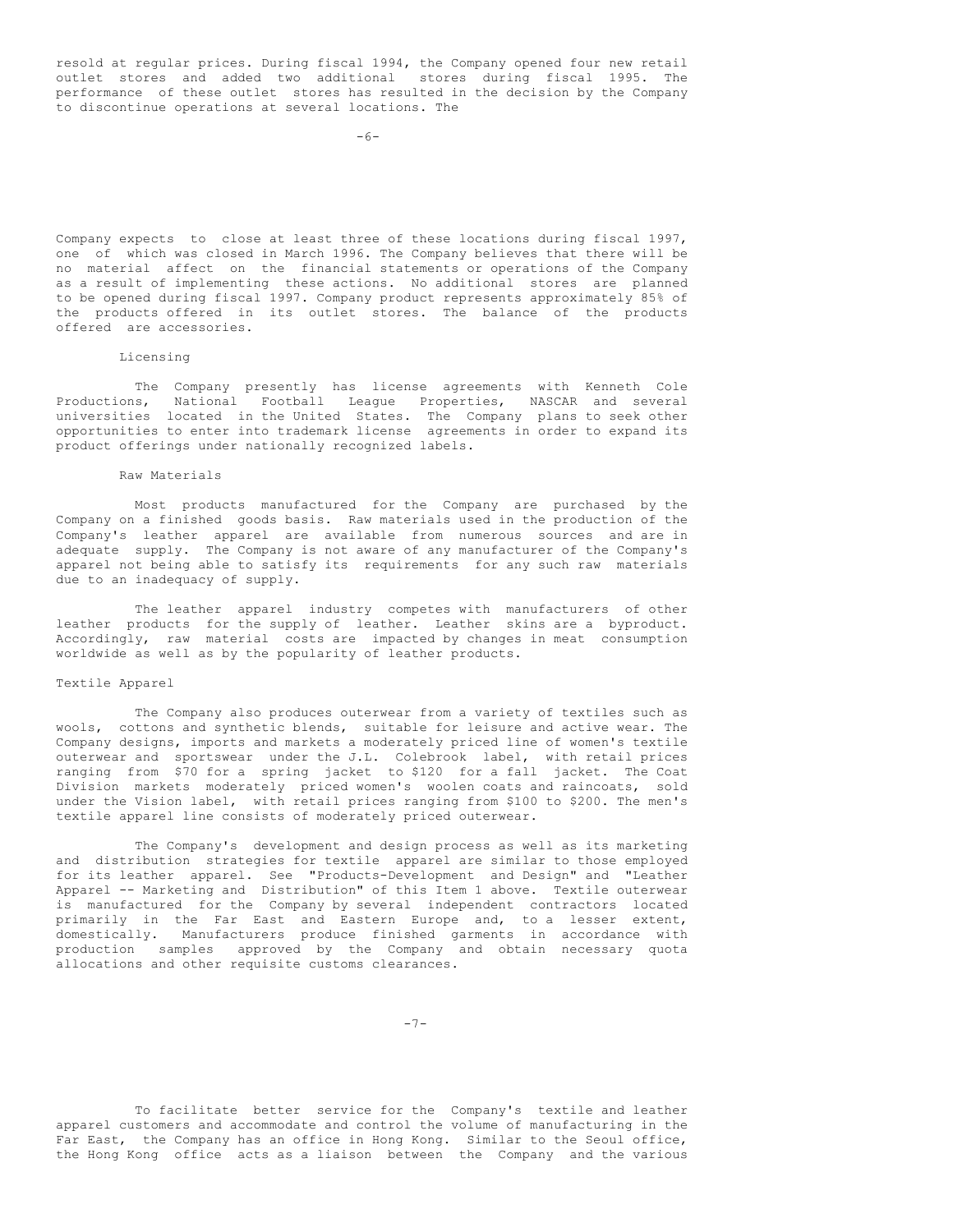resold at regular prices. During fiscal 1994, the Company opened four new retail outlet stores and added two additional stores during fiscal 1995. The performance of these outlet stores has resulted in the decision by the Company to discontinue operations at several locations. The

Company expects to close at least three of these locations during fiscal 1997, one of which was closed in March 1996. The Company believes that there will be no material affect on the financial statements or operations of the Company as a result of implementing these actions. No additional stores are planned to be opened during fiscal 1997. Company product represents approximately 85% of the products offered in its outlet stores. The balance of the products offered are accessories.

#### Licensing

The Company presently has license agreements with Kenneth Cole Productions, National Football League Properties, NASCAR and several universities located in the United States. The Company plans to seek other opportunities to enter into trademark license agreements in order to expand its product offerings under nationally recognized labels.

#### Raw Materials

Most products manufactured for the Company are purchased by the Company on a finished goods basis. Raw materials used in the production of the Company's leather apparel are available from numerous sources and are in adequate supply. The Company is not aware of any manufacturer of the Company's apparel not being able to satisfy its requirements for any such raw materials due to an inadequacy of supply.

The leather apparel industry competes with manufacturers of other leather products for the supply of leather. Leather skins are a byproduct. Accordingly, raw material costs are impacted by changes in meat consumption worldwide as well as by the popularity of leather products.

#### Textile Apparel

The Company also produces outerwear from a variety of textiles such as wools, cottons and synthetic blends, suitable for leisure and active wear. The Company designs, imports and markets a moderately priced line of women's textile outerwear and sportswear under the J.L. Colebrook label, with retail prices ranging from \$70 for a spring jacket to \$120 for a fall jacket. The Coat Division markets moderately priced women's woolen coats and raincoats, sold under the Vision label, with retail prices ranging from \$100 to \$200. The men's textile apparel line consists of moderately priced outerwear.

The Company's development and design process as well as its marketing and distribution strategies for textile apparel are similar to those employed for its leather apparel. See "Products-Development and Design" and "Leather Apparel -- Marketing and Distribution" of this Item 1 above. Textile outerwear is manufactured for the Company by several independent contractors located primarily in the Far East and Eastern Europe and, to a lesser extent, domestically. Manufacturers produce finished garments in accordance with production samples approved by the Company and obtain necessary quota allocations and other requisite customs clearances.

-7-

To facilitate better service for the Company's textile and leather apparel customers and accommodate and control the volume of manufacturing in the Far East, the Company has an office in Hong Kong. Similar to the Seoul office, the Hong Kong office acts as a liaison between the Company and the various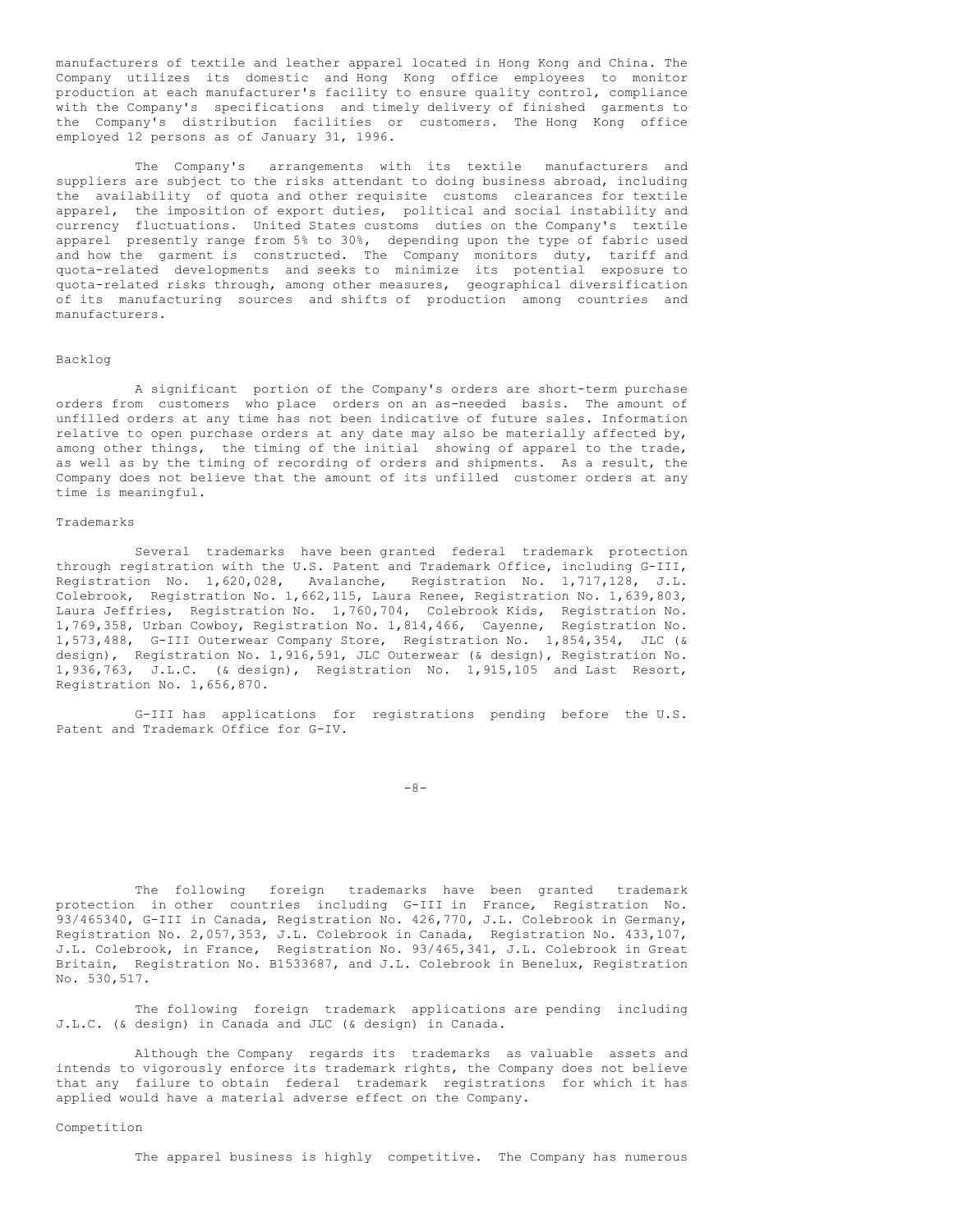manufacturers of textile and leather apparel located in Hong Kong and China. The Company utilizes its domestic and Hong Kong office employees to monitor production at each manufacturer's facility to ensure quality control, compliance with the Company's specifications and timely delivery of finished garments to the Company's distribution facilities or customers. The Hong Kong office employed 12 persons as of January 31, 1996.

The Company's arrangements with its textile manufacturers and suppliers are subject to the risks attendant to doing business abroad, including the availability of quota and other requisite customs clearances for textile apparel, the imposition of export duties, political and social instability and currency fluctuations. United States customs duties on the Company's textile apparel presently range from 5% to 30%, depending upon the type of fabric used and how the garment is constructed. The Company monitors duty, tariff and quota-related developments and seeks to minimize its potential exposure to quota-related risks through, among other measures, geographical diversification of its manufacturing sources and shifts of production among countries and manufacturers.

#### Backlog

A significant portion of the Company's orders are short-term purchase orders from customers who place orders on an as-needed basis. The amount of unfilled orders at any time has not been indicative of future sales. Information relative to open purchase orders at any date may also be materially affected by, among other things, the timing of the initial showing of apparel to the trade, as well as by the timing of recording of orders and shipments. As a result, the Company does not believe that the amount of its unfilled customer orders at any time is meaningful.

#### Trademarks

Several trademarks have been granted federal trademark protection through registration with the U.S. Patent and Trademark Office, including G-III, Registration No. 1,620,028, Avalanche, Registration No. 1,717,128, J.L. Colebrook, Registration No. 1,662,115, Laura Renee, Registration No. 1,639,803, Laura Jeffries, Registration No. 1,760,704, Colebrook Kids, Registration No. 1,769,358, Urban Cowboy, Registration No. 1,814,466, Cayenne, Registration No. 1,573,488, G-III Outerwear Company Store, Registration No. 1,854,354, JLC (& design), Registration No. 1,916,591, JLC Outerwear (& design), Registration No. 1,936,763, J.L.C. (& design), Registration No. 1,915,105 and Last Resort, Registration No. 1,656,870.

G-III has applications for registrations pending before the U.S. Patent and Trademark Office for G-IV.

-8-

The following foreign trademarks have been granted trademark protection in other countries including G-III in France, Registration No. 93/465340, G-III in Canada, Registration No. 426,770, J.L. Colebrook in Germany, Registration No. 2,057,353, J.L. Colebrook in Canada, Registration No. 433,107, J.L. Colebrook, in France, Registration No. 93/465,341, J.L. Colebrook in Great Britain, Registration No. B1533687, and J.L. Colebrook in Benelux, Registration No. 530,517.

The following foreign trademark applications are pending including J.L.C. (& design) in Canada and JLC (& design) in Canada.

Although the Company regards its trademarks as valuable assets and intends to vigorously enforce its trademark rights, the Company does not believe that any failure to obtain federal trademark registrations for which it has applied would have a material adverse effect on the Company.

#### Competition

The apparel business is highly competitive. The Company has numerous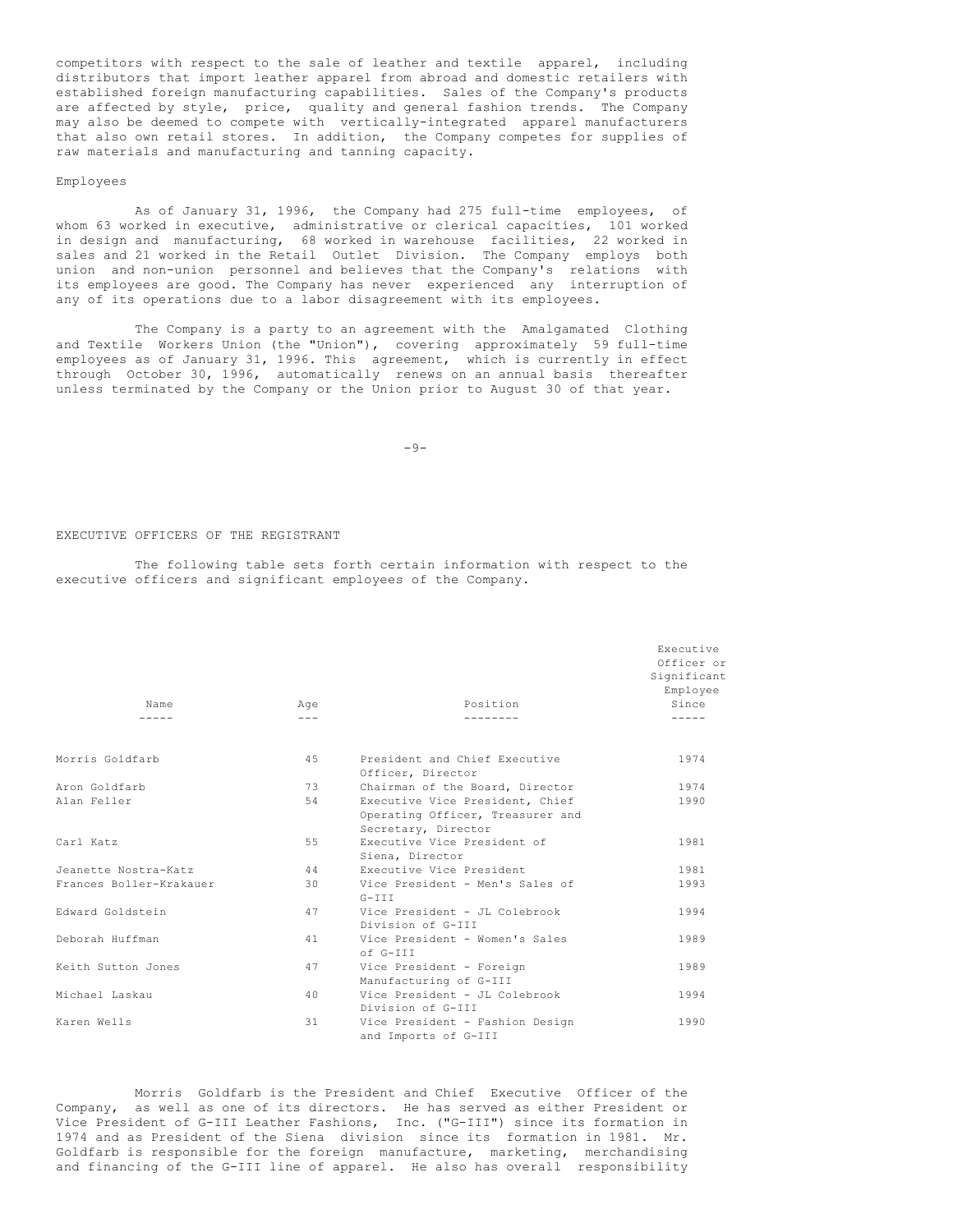competitors with respect to the sale of leather and textile apparel, including distributors that import leather apparel from abroad and domestic retailers with established foreign manufacturing capabilities. Sales of the Company's products are affected by style, price, quality and general fashion trends. The Company may also be deemed to compete with vertically-integrated apparel manufacturers that also own retail stores. In addition, the Company competes for supplies of raw materials and manufacturing and tanning capacity.

#### Employees

As of January 31, 1996, the Company had 275 full-time employees, of whom 63 worked in executive, administrative or clerical capacities, 101 worked in design and manufacturing, 68 worked in warehouse facilities, 22 worked in sales and 21 worked in the Retail Outlet Division. The Company employs both union and non-union personnel and believes that the Company's relations with its employees are good. The Company has never experienced any interruption of any of its operations due to a labor disagreement with its employees.

The Company is a party to an agreement with the Amalgamated Clothing and Textile Workers Union (the "Union"), covering approximately 59 full-time employees as of January 31, 1996. This agreement, which is currently in effect through October 30, 1996, automatically renews on an annual basis thereafter unless terminated by the Company or the Union prior to August 30 of that year.

-9-

#### EXECUTIVE OFFICERS OF THE REGISTRANT

The following table sets forth certain information with respect to the executive officers and significant employees of the Company.

|                         |         |                                                                                            | Executive<br>Officer or<br>Significant<br>Employee |
|-------------------------|---------|--------------------------------------------------------------------------------------------|----------------------------------------------------|
| Name                    | Age     | Position                                                                                   | Since                                              |
|                         | $- - -$ |                                                                                            |                                                    |
| Morris Goldfarb         | 45      | President and Chief Executive<br>Officer, Director                                         | 1974                                               |
| Aron Goldfarb           | 73      | Chairman of the Board, Director                                                            | 1974                                               |
| Alan Feller             | 54      | Executive Vice President, Chief<br>Operating Officer, Treasurer and<br>Secretary, Director | 1990                                               |
| Carl Katz               | 55      | Executive Vice President of<br>Siena, Director                                             | 1981                                               |
| Jeanette Nostra-Katz    | 44      | Executive Vice President                                                                   | 1981                                               |
| Frances Boller-Krakauer | 30      | Vice President - Men's Sales of<br>$G-III$                                                 | 1993                                               |
| Edward Goldstein        | 47      | Vice President - JL Colebrook<br>Division of G-III                                         | 1994                                               |
| Deborah Huffman         | 41      | Vice President - Women's Sales<br>$of$ $G-TTT$                                             | 1989                                               |
| Keith Sutton Jones      | 47      | Vice President - Foreign<br>Manufacturing of G-III                                         | 1989                                               |
| Michael Laskau          | 40      | Vice President - JL Colebrook<br>Division of G-III                                         | 1994                                               |
| Karen Wells             | 31      | Vice President - Fashion Design<br>and Imports of G-III                                    | 1990                                               |

Morris Goldfarb is the President and Chief Executive Officer of the Company, as well as one of its directors. He has served as either President or Vice President of G-III Leather Fashions, Inc. ("G-III") since its formation in 1974 and as President of the Siena division since its formation in 1981. Mr. Goldfarb is responsible for the foreign manufacture, marketing, merchandising and financing of the G-III line of apparel. He also has overall responsibility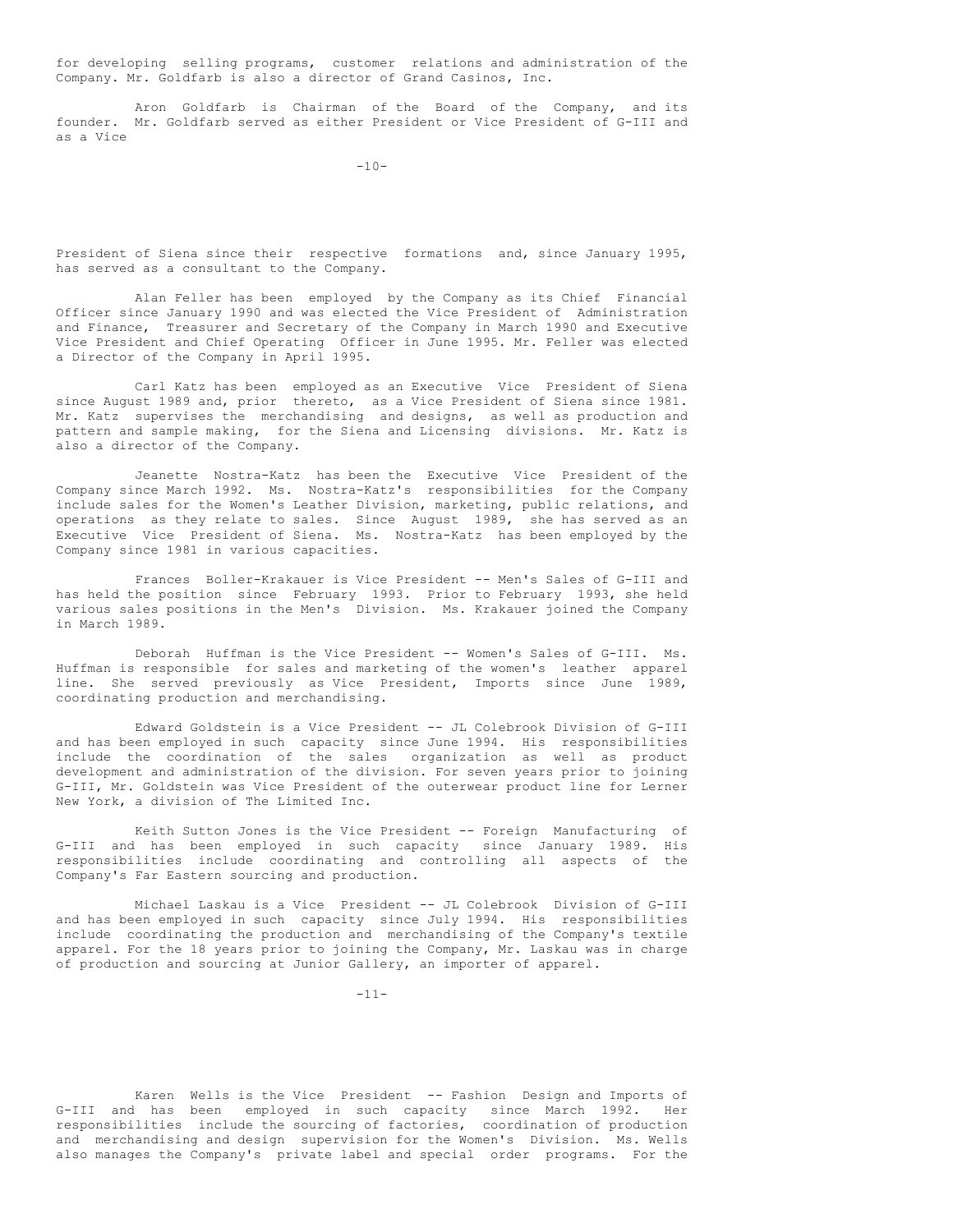for developing selling programs, customer relations and administration of the Company. Mr. Goldfarb is also a director of Grand Casinos, Inc.

Aron Goldfarb is Chairman of the Board of the Company, and its founder. Mr. Goldfarb served as either President or Vice President of G-III and as a Vice

 $-10-$ 

President of Siena since their respective formations and, since January 1995, has served as a consultant to the Company.

Alan Feller has been employed by the Company as its Chief Financial Officer since January 1990 and was elected the Vice President of Administration and Finance, Treasurer and Secretary of the Company in March 1990 and Executive Vice President and Chief Operating Officer in June 1995. Mr. Feller was elected a Director of the Company in April 1995.

Carl Katz has been employed as an Executive Vice President of Siena since August 1989 and, prior thereto, as a Vice President of Siena since 1981. Mr. Katz supervises the merchandising and designs, as well as production and pattern and sample making, for the Siena and Licensing divisions. Mr. Katz is also a director of the Company.

Jeanette Nostra-Katz has been the Executive Vice President of the Company since March 1992. Ms. Nostra-Katz's responsibilities for the Company include sales for the Women's Leather Division, marketing, public relations, and operations as they relate to sales. Since August 1989, she has served as an Executive Vice President of Siena. Ms. Nostra-Katz has been employed by the Company since 1981 in various capacities.

Frances Boller-Krakauer is Vice President -- Men's Sales of G-III and has held the position since February 1993. Prior to February 1993, she held various sales positions in the Men's Division. Ms. Krakauer joined the Company in March 1989.

Deborah Huffman is the Vice President -- Women's Sales of G-III. Ms. Huffman is responsible for sales and marketing of the women's leather apparel line. She served previously as Vice President, Imports since June 1989, coordinating production and merchandising.

Edward Goldstein is a Vice President -- JL Colebrook Division of G-III and has been employed in such capacity since June 1994. His responsibilities include the coordination of the sales organization as well as product development and administration of the division. For seven years prior to joining G-III, Mr. Goldstein was Vice President of the outerwear product line for Lerner New York, a division of The Limited Inc.

Keith Sutton Jones is the Vice President -- Foreign Manufacturing of G-III and has been employed in such capacity since January 1989. His responsibilities include coordinating and controlling all aspects of the Company's Far Eastern sourcing and production.

Michael Laskau is a Vice President -- JL Colebrook Division of G-III and has been employed in such capacity since July 1994. His responsibilities include coordinating the production and merchandising of the Company's textile apparel. For the 18 years prior to joining the Company, Mr. Laskau was in charge of production and sourcing at Junior Gallery, an importer of apparel.

 $-11-$ 

Karen Wells is the Vice President -- Fashion Design and Imports of G-III and has been employed in such capacity since March 1992. Her responsibilities include the sourcing of factories, coordination of production and merchandising and design supervision for the Women's Division. Ms. Wells also manages the Company's private label and special order programs. For the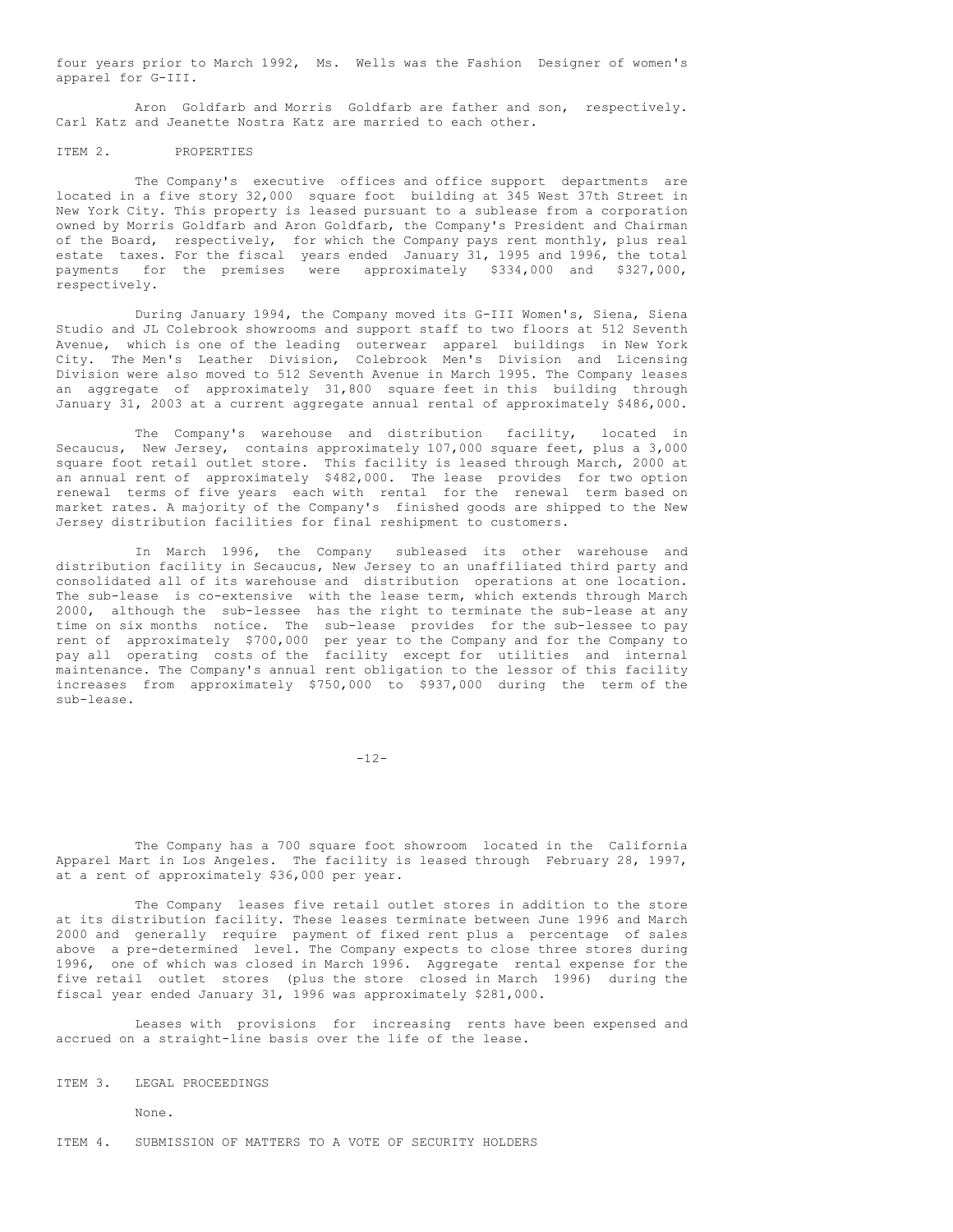four years prior to March 1992, Ms. Wells was the Fashion Designer of women's apparel for G-III.

Aron Goldfarb and Morris Goldfarb are father and son, respectively. Carl Katz and Jeanette Nostra Katz are married to each other.

#### ITEM 2. PROPERTIES

The Company's executive offices and office support departments are located in a five story 32,000 square foot building at 345 West 37th Street in New York City. This property is leased pursuant to a sublease from a corporation owned by Morris Goldfarb and Aron Goldfarb, the Company's President and Chairman of the Board, respectively, for which the Company pays rent monthly, plus real estate taxes. For the fiscal years ended January 31, 1995 and 1996, the total payments for the premises were approximately \$334,000 and \$327,000, respectively.

During January 1994, the Company moved its G-III Women's, Siena, Siena Studio and JL Colebrook showrooms and support staff to two floors at 512 Seventh Avenue, which is one of the leading outerwear apparel buildings in New York City. The Men's Leather Division, Colebrook Men's Division and Licensing Division were also moved to 512 Seventh Avenue in March 1995. The Company leases an aggregate of approximately 31,800 square feet in this building through January 31, 2003 at a current aggregate annual rental of approximately \$486,000.

The Company's warehouse and distribution facility, located in Secaucus, New Jersey, contains approximately 107,000 square feet, plus a 3,000 square foot retail outlet store. This facility is leased through March, 2000 at an annual rent of approximately \$482,000. The lease provides for two option renewal terms of five years each with rental for the renewal term based on market rates. A majority of the Company's finished goods are shipped to the New Jersey distribution facilities for final reshipment to customers.

In March 1996, the Company subleased its other warehouse and distribution facility in Secaucus, New Jersey to an unaffiliated third party and consolidated all of its warehouse and distribution operations at one location. The sub-lease is co-extensive with the lease term, which extends through March 2000, although the sub-lessee has the right to terminate the sub-lease at any time on six months notice. The sub-lease provides for the sub-lessee to pay rent of approximately \$700,000 per year to the Company and for the Company to pay all operating costs of the facility except for utilities and internal maintenance. The Company's annual rent obligation to the lessor of this facility increases from approximately \$750,000 to \$937,000 during the term of the sub-lease.

 $-12-$ 

The Company has a 700 square foot showroom located in the California Apparel Mart in Los Angeles. The facility is leased through February 28, 1997, at a rent of approximately \$36,000 per year.

The Company leases five retail outlet stores in addition to the store at its distribution facility. These leases terminate between June 1996 and March 2000 and generally require payment of fixed rent plus a percentage of sales above a pre-determined level. The Company expects to close three stores during 1996, one of which was closed in March 1996. Aggregate rental expense for the five retail outlet stores (plus the store closed in March 1996) during the fiscal year ended January 31, 1996 was approximately \$281,000.

Leases with provisions for increasing rents have been expensed and accrued on a straight-line basis over the life of the lease.

ITEM 3. LEGAL PROCEEDINGS

None.

ITEM 4. SUBMISSION OF MATTERS TO A VOTE OF SECURITY HOLDERS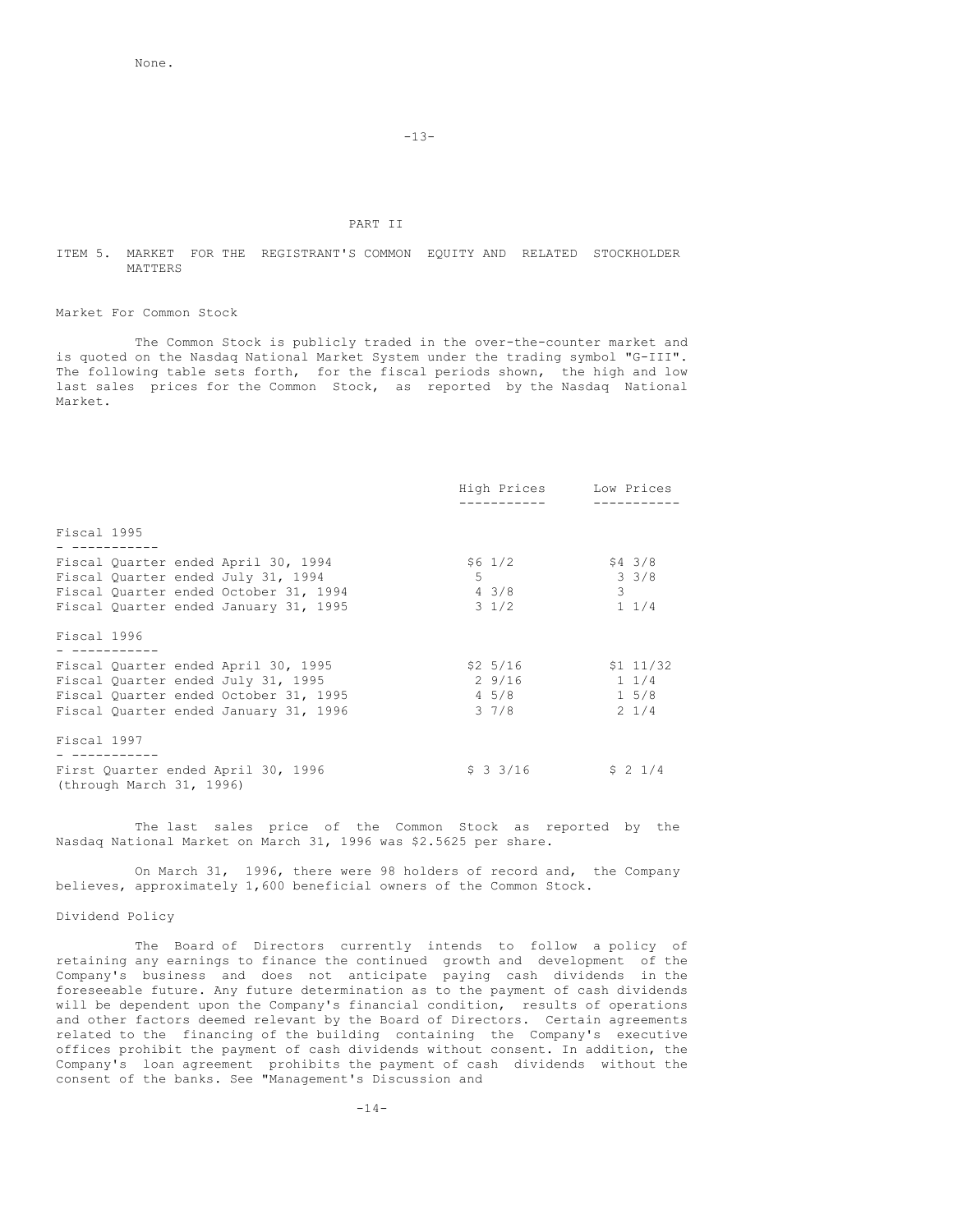-13-

# PART II

#### ITEM 5. MARKET FOR THE REGISTRANT'S COMMON EQUITY AND RELATED STOCKHOLDER MATTERS

#### Market For Common Stock

The Common Stock is publicly traded in the over-the-counter market and is quoted on the Nasdaq National Market System under the trading symbol "G-III". The following table sets forth, for the fiscal periods shown, the high and low last sales prices for the Common Stock, as reported by the Nasdaq National Market.

|                                                                |                 | High Prices Low Prices |
|----------------------------------------------------------------|-----------------|------------------------|
|                                                                |                 |                        |
| Fiscal 1995                                                    |                 |                        |
|                                                                |                 |                        |
| Fiscal Quarter ended April 30, 1994                            | \$6 1/2         | $$4\;3/8$              |
| Fiscal Quarter ended July 31, 1994                             | $5 - 5$         | $3 \frac{3}{8}$        |
| Fiscal Ouarter ended October 31, 1994                          | 4 3/8           | $\mathcal{B}$          |
| Fiscal Ouarter ended January 31, 1995                          | $3 \frac{1}{2}$ | $1 \t1/4$              |
| Fiscal 1996                                                    |                 |                        |
| Fiscal Quarter ended April 30, 1995                            | \$2 5/16        | \$1 11/32              |
| Fiscal Quarter ended July 31, 1995                             | 2 9/16          | $1 \t1/4$              |
| Fiscal Quarter ended October 31, 1995                          | 4 5/8           | $1\,5/8$               |
| Fiscal Quarter ended January 31, 1996                          | 3 7/8           | $2 \frac{1}{4}$        |
| Fiscal 1997                                                    |                 |                        |
| First Quarter ended April 30, 1996<br>(through March 31, 1996) | \$3,3/16        | $$2\;1/4$              |

The last sales price of the Common Stock as reported by the Nasdaq National Market on March 31, 1996 was \$2.5625 per share.

On March 31, 1996, there were 98 holders of record and, the Company believes, approximately 1,600 beneficial owners of the Common Stock.

#### Dividend Policy

The Board of Directors currently intends to follow a policy of retaining any earnings to finance the continued growth and development of the Company's business and does not anticipate paying cash dividends in the foreseeable future. Any future determination as to the payment of cash dividends will be dependent upon the Company's financial condition, results of operations and other factors deemed relevant by the Board of Directors. Certain agreements related to the financing of the building containing the Company's executive offices prohibit the payment of cash dividends without consent. In addition, the Company's loan agreement prohibits the payment of cash dividends without the consent of the banks. See "Management's Discussion and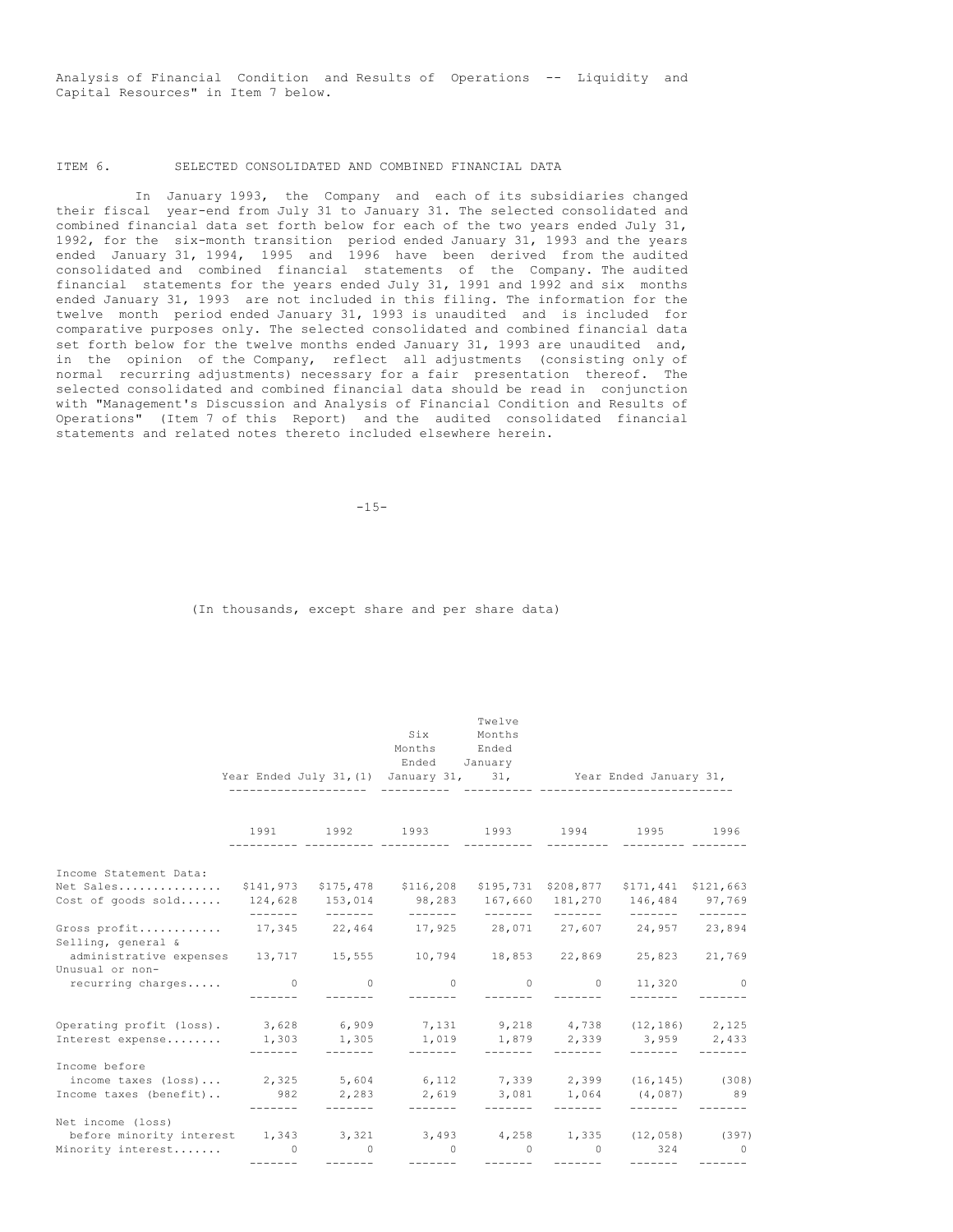Analysis of Financial Condition and Results of Operations -- Liquidity and Capital Resources" in Item 7 below.

# ITEM 6. SELECTED CONSOLIDATED AND COMBINED FINANCIAL DATA

In January 1993, the Company and each of its subsidiaries changed their fiscal year-end from July 31 to January 31. The selected consolidated and combined financial data set forth below for each of the two years ended July 31, 1992, for the six-month transition period ended January 31, 1993 and the years ended January 31, 1994, 1995 and 1996 have been derived from the audited consolidated and combined financial statements of the Company. The audited financial statements for the years ended July 31, 1991 and 1992 and six months ended January 31, 1993 are not included in this filing. The information for the twelve month period ended January 31, 1993 is unaudited and is included for comparative purposes only. The selected consolidated and combined financial data set forth below for the twelve months ended January 31, 1993 are unaudited and, in the opinion of the Company, reflect all adjustments (consisting only of normal recurring adjustments) necessary for a fair presentation thereof. The selected consolidated and combined financial data should be read in conjunction with "Management's Discussion and Analysis of Financial Condition and Results of Operations" (Item 7 of this Report) and the audited consolidated financial statements and related notes thereto included elsewhere herein.

 $-15-$ 

(In thousands, except share and per share data)

|                                                                                     |          |                                                                                                                                                                                                                                                                                                                                                                                                                                                                                        |                                                                       | Twelve                                                           |                 |                                    |                 |
|-------------------------------------------------------------------------------------|----------|----------------------------------------------------------------------------------------------------------------------------------------------------------------------------------------------------------------------------------------------------------------------------------------------------------------------------------------------------------------------------------------------------------------------------------------------------------------------------------------|-----------------------------------------------------------------------|------------------------------------------------------------------|-----------------|------------------------------------|-----------------|
|                                                                                     |          |                                                                                                                                                                                                                                                                                                                                                                                                                                                                                        | Six Months                                                            |                                                                  |                 |                                    |                 |
|                                                                                     |          |                                                                                                                                                                                                                                                                                                                                                                                                                                                                                        | Months Ended                                                          |                                                                  |                 |                                    |                 |
|                                                                                     |          |                                                                                                                                                                                                                                                                                                                                                                                                                                                                                        | Ended January                                                         |                                                                  |                 |                                    |                 |
|                                                                                     |          |                                                                                                                                                                                                                                                                                                                                                                                                                                                                                        | Year Ended July 31, (1) January 31, 31, Year Ended January 31,        |                                                                  |                 |                                    |                 |
|                                                                                     |          |                                                                                                                                                                                                                                                                                                                                                                                                                                                                                        |                                                                       |                                                                  |                 |                                    |                 |
|                                                                                     |          |                                                                                                                                                                                                                                                                                                                                                                                                                                                                                        | 1991 1992 1993 1993 1994 1995 1996                                    |                                                                  |                 |                                    |                 |
| Income Statement Data:                                                              |          |                                                                                                                                                                                                                                                                                                                                                                                                                                                                                        |                                                                       |                                                                  |                 |                                    |                 |
| Net Sales                                                                           |          |                                                                                                                                                                                                                                                                                                                                                                                                                                                                                        | \$141,973 \$175,478 \$116,208 \$195,731 \$208,877 \$171,441 \$121,663 |                                                                  |                 |                                    |                 |
| Cost of goods sold                                                                  | -------- | <u> annonce</u>                                                                                                                                                                                                                                                                                                                                                                                                                                                                        | 124,628 153,014 98,283 167,660 181,270 146,484 97,769                 |                                                                  |                 |                                    |                 |
| Gross profit 17,345 22,464 17,925 28,071 27,607 24,957 23,894<br>Selling, general & |          |                                                                                                                                                                                                                                                                                                                                                                                                                                                                                        |                                                                       |                                                                  |                 |                                    |                 |
| administrative expenses 13,717 15,555<br>Unusual or non-                            |          |                                                                                                                                                                                                                                                                                                                                                                                                                                                                                        |                                                                       |                                                                  |                 | 10,794 18,853 22,869 25,823 21,769 |                 |
| recurring charges 0                                                                 |          | $\sim$ 0                                                                                                                                                                                                                                                                                                                                                                                                                                                                               | $\bigcirc$                                                            | $\sim$ 0<br>--------                                             | $\circ$         | 11,320 0                           |                 |
| Operating profit (loss). 3,628 6,909 7,131 9,218 4,738 (12,186) 2,125               |          |                                                                                                                                                                                                                                                                                                                                                                                                                                                                                        |                                                                       |                                                                  |                 |                                    |                 |
| Interest expense 1,303 1,305 1,019 1,879 2,339 3,959 2,433                          | -------- | ________                                                                                                                                                                                                                                                                                                                                                                                                                                                                               | ________                                                              |                                                                  |                 | --------                           | $- - - - - - -$ |
| Income before                                                                       |          |                                                                                                                                                                                                                                                                                                                                                                                                                                                                                        |                                                                       |                                                                  |                 |                                    |                 |
| income taxes (loss) 2,325 5,604 6,112 7,339 2,399 (16,145) (308)                    |          |                                                                                                                                                                                                                                                                                                                                                                                                                                                                                        |                                                                       |                                                                  |                 |                                    |                 |
| Income taxes (benefit) 982 2,283 2,619 3,081 1,064 (4,087) 89                       | -------- | --------                                                                                                                                                                                                                                                                                                                                                                                                                                                                               | --------                                                              | --------                                                         | -------         | --------                           |                 |
| Net income (loss)                                                                   |          |                                                                                                                                                                                                                                                                                                                                                                                                                                                                                        |                                                                       |                                                                  |                 |                                    |                 |
| before minority interest 1,343 3,321 3,493 4,258 1,335 (12,058) (397)               |          |                                                                                                                                                                                                                                                                                                                                                                                                                                                                                        |                                                                       |                                                                  |                 |                                    |                 |
| Minority interest 0 0                                                               |          | $\begin{array}{cccccccccc} \multicolumn{2}{c}{} & \multicolumn{2}{c}{} & \multicolumn{2}{c}{} & \multicolumn{2}{c}{} & \multicolumn{2}{c}{} & \multicolumn{2}{c}{} & \multicolumn{2}{c}{} & \multicolumn{2}{c}{} & \multicolumn{2}{c}{} & \multicolumn{2}{c}{} & \multicolumn{2}{c}{} & \multicolumn{2}{c}{} & \multicolumn{2}{c}{} & \multicolumn{2}{c}{} & \multicolumn{2}{c}{} & \multicolumn{2}{c}{} & \multicolumn{2}{c}{} & \multicolumn{2}{c}{} & \multicolumn{2}{c}{} & \mult$ | --------                                                              | $\begin{array}{ccccccc}\n0 & 0 & 0 & 0\n\end{array}$<br>-------- | $- - - - - - -$ | --------                           | $324$ 0         |
|                                                                                     |          |                                                                                                                                                                                                                                                                                                                                                                                                                                                                                        |                                                                       |                                                                  |                 |                                    |                 |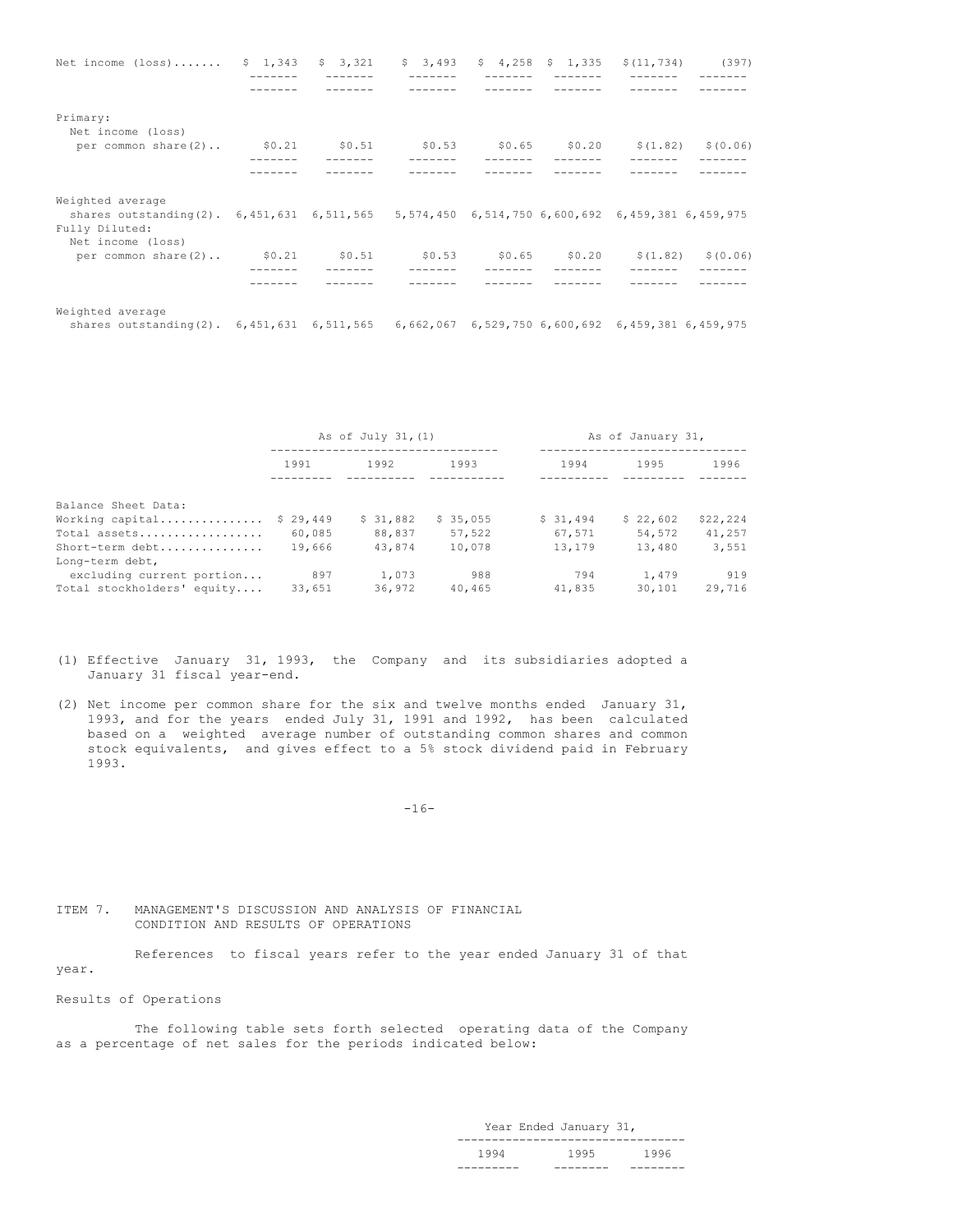| Net income (loss) \$ 1,343 \$ 3,321 \$ 3,493 \$ 4,258 \$ 1,335 \$ (11,734) (397)                               |  |  |  |  |
|----------------------------------------------------------------------------------------------------------------|--|--|--|--|
|                                                                                                                |  |  |  |  |
|                                                                                                                |  |  |  |  |
| Primary:<br>Net income (loss)                                                                                  |  |  |  |  |
| per common share (2) \$0.21 \$0.51 \$0.53 \$0.65 \$0.20 \$(1.82) \$(0.06)                                      |  |  |  |  |
|                                                                                                                |  |  |  |  |
|                                                                                                                |  |  |  |  |
| Weighted average                                                                                               |  |  |  |  |
| shares outstanding(2). 6,451,631 6,511,565 5,574,450 6,514,750 6,600,692 6,459,381 6,459,975<br>Fully Diluted: |  |  |  |  |
| Net income (loss)                                                                                              |  |  |  |  |
| per common share (2) \$0.21 \$0.51 \$0.53 \$0.65 \$0.20 \$(1.82) \$(0.06)                                      |  |  |  |  |
|                                                                                                                |  |  |  |  |
|                                                                                                                |  |  |  |  |
| Weighted average                                                                                               |  |  |  |  |
| shares outstanding(2). 6,451,631 6,511,565 6,662,067 6,529,750 6,600,692 6,459,381 6,459,975                   |  |  |  |  |

|                            | As of July 31, (1) |          |          | As of January 31, |          |          |
|----------------------------|--------------------|----------|----------|-------------------|----------|----------|
|                            | 1991               | 1992     | 1993     | 1994              | 1995     | 1996     |
| Balance Sheet Data:        |                    |          |          |                   |          |          |
| Working capital            | \$29,449           | \$31,882 | \$35,055 | \$31,494          | \$22,602 | \$22,224 |
| Total assets               | 60,085             | 88,837   | 57,522   | 67,571            | 54,572   | 41,257   |
| Short-term debt            | 19,666             | 43,874   | 10,078   | 13,179            | 13,480   | 3,551    |
| Long-term debt,            |                    |          |          |                   |          |          |
| excluding current portion  | 897                | 1,073    | 988      | 794               | 1,479    | 919      |
| Total stockholders' equity | 33,651             | 36,972   | 40,465   | 41,835            | 30,101   | 29,716   |

- (1) Effective January 31, 1993, the Company and its subsidiaries adopted a January 31 fiscal year-end.
- (2) Net income per common share for the six and twelve months ended January 31, 1993, and for the years ended July 31, 1991 and 1992, has been calculated based on a weighted average number of outstanding common shares and common stock equivalents, and gives effect to a 5% stock dividend paid in February 1993.

 $-16-$ 

ITEM 7. MANAGEMENT'S DISCUSSION AND ANALYSIS OF FINANCIAL CONDITION AND RESULTS OF OPERATIONS

References to fiscal years refer to the year ended January 31 of that year.

Results of Operations

The following table sets forth selected operating data of the Company as a percentage of net sales for the periods indicated below:

> Year Ended January 31, --------------------------------- 1994 1995 1996<br>-------- -------- ---------------- -------- --------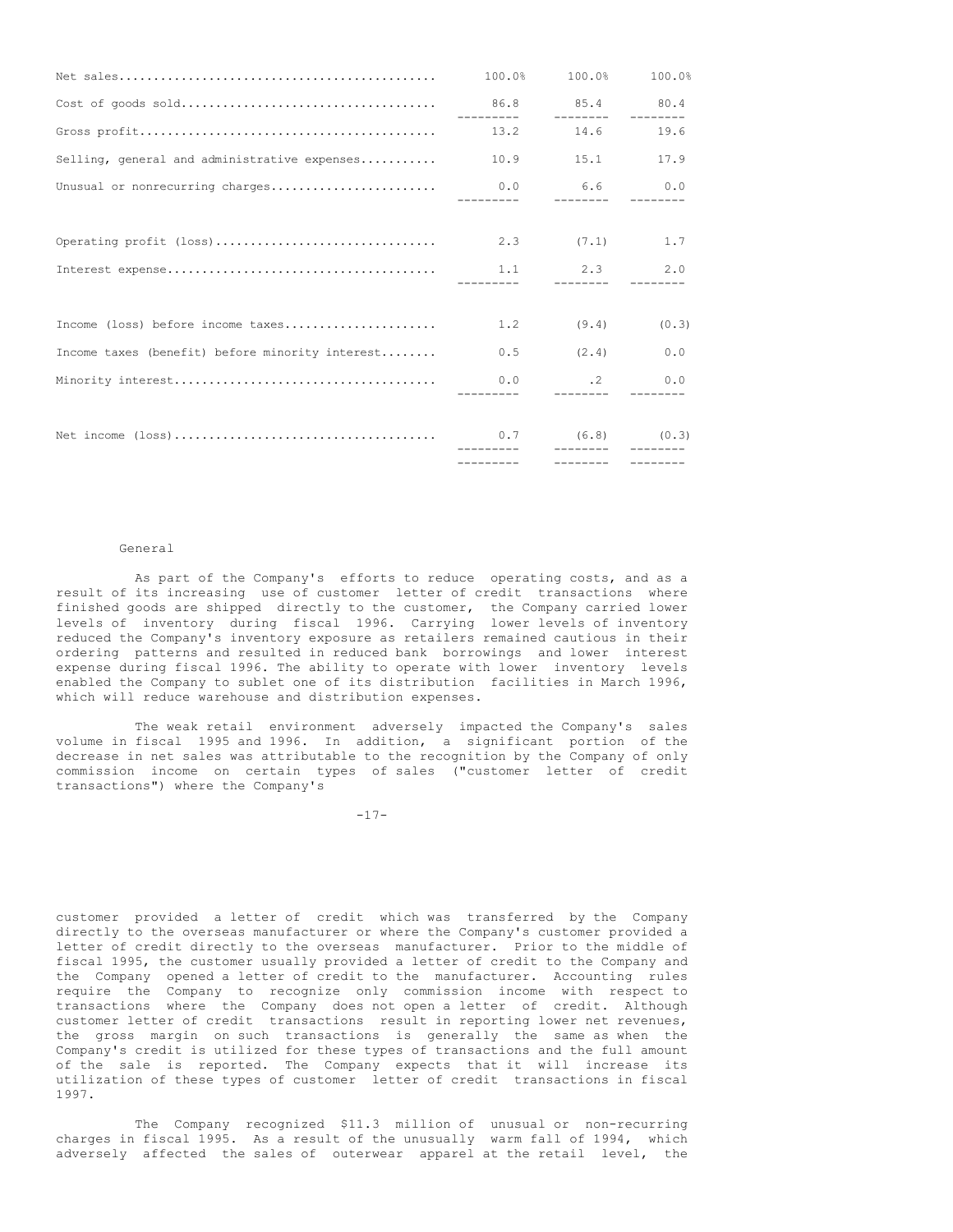|                                                        |     | 100.0% 100.0% 100.0%           |      |
|--------------------------------------------------------|-----|--------------------------------|------|
|                                                        |     |                                |      |
|                                                        |     |                                | 19.6 |
| Selling, general and administrative expenses 10.9 15.1 |     |                                | 17.9 |
|                                                        |     | __________  _________  _______ |      |
|                                                        |     |                                |      |
|                                                        |     |                                |      |
|                                                        |     |                                |      |
|                                                        |     |                                |      |
| Income (loss) before income taxes                      | 1.2 | $(9.4)$ $(0.3)$                |      |
| Income taxes (benefit) before minority interest        |     | $0.5$ $(2.4)$ $0.0$            |      |
|                                                        |     |                                |      |
|                                                        |     |                                |      |
|                                                        |     |                                |      |

#### General

As part of the Company's efforts to reduce operating costs, and as a result of its increasing use of customer letter of credit transactions where finished goods are shipped directly to the customer, the Company carried lower levels of inventory during fiscal 1996. Carrying lower levels of inventory reduced the Company's inventory exposure as retailers remained cautious in their ordering patterns and resulted in reduced bank borrowings and lower interest expense during fiscal 1996. The ability to operate with lower inventory levels enabled the Company to sublet one of its distribution facilities in March 1996, which will reduce warehouse and distribution expenses.

The weak retail environment adversely impacted the Company's sales volume in fiscal 1995 and 1996. In addition, a significant portion of the decrease in net sales was attributable to the recognition by the Company of only commission income on certain types of sales ("customer letter of credit transactions") where the Company's

-17-

customer provided a letter of credit which was transferred by the Company directly to the overseas manufacturer or where the Company's customer provided a letter of credit directly to the overseas manufacturer. Prior to the middle of fiscal 1995, the customer usually provided a letter of credit to the Company and the Company opened a letter of credit to the manufacturer. Accounting rules require the Company to recognize only commission income with respect to transactions where the Company does not open a letter of credit. Although customer letter of credit transactions result in reporting lower net revenues, the gross margin on such transactions is generally the same as when the Company's credit is utilized for these types of transactions and the full amount of the sale is reported. The Company expects that it will increase its utilization of these types of customer letter of credit transactions in fiscal 1997.

The Company recognized \$11.3 million of unusual or non-recurring charges in fiscal 1995. As a result of the unusually warm fall of 1994, which adversely affected the sales of outerwear apparel at the retail level, the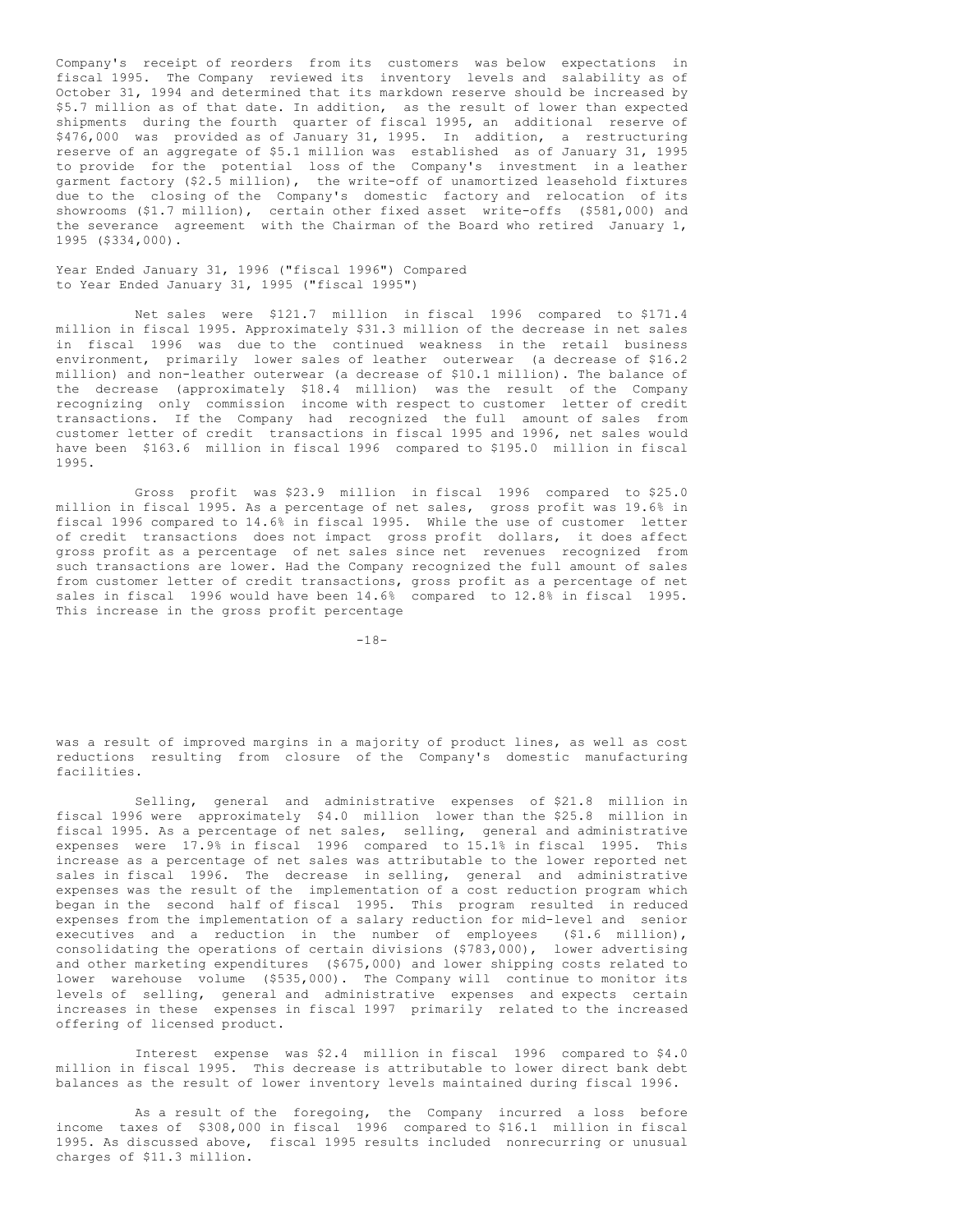Company's receipt of reorders from its customers was below expectations in fiscal 1995. The Company reviewed its inventory levels and salability as of October 31, 1994 and determined that its markdown reserve should be increased by \$5.7 million as of that date. In addition, as the result of lower than expected shipments during the fourth quarter of fiscal 1995, an additional reserve of \$476,000 was provided as of January 31, 1995. In addition, a restructuring reserve of an aggregate of \$5.1 million was established as of January 31, 1995 to provide for the potential loss of the Company's investment in a leather garment factory (\$2.5 million), the write-off of unamortized leasehold fixtures due to the closing of the Company's domestic factory and relocation of its showrooms (\$1.7 million), certain other fixed asset write-offs (\$581,000) and the severance agreement with the Chairman of the Board who retired January 1, 1995 (\$334,000).

Year Ended January 31, 1996 ("fiscal 1996") Compared to Year Ended January 31, 1995 ("fiscal 1995")

Net sales were \$121.7 million in fiscal 1996 compared to \$171.4 million in fiscal 1995. Approximately \$31.3 million of the decrease in net sales in fiscal 1996 was due to the continued weakness in the retail business environment, primarily lower sales of leather outerwear (a decrease of \$16.2 million) and non-leather outerwear (a decrease of \$10.1 million). The balance of the decrease (approximately \$18.4 million) was the result of the Company recognizing only commission income with respect to customer letter of credit transactions. If the Company had recognized the full amount of sales from customer letter of credit transactions in fiscal 1995 and 1996, net sales would have been \$163.6 million in fiscal 1996 compared to \$195.0 million in fiscal 1995.

Gross profit was \$23.9 million in fiscal 1996 compared to \$25.0 million in fiscal 1995. As a percentage of net sales, gross profit was 19.6% in fiscal 1996 compared to 14.6% in fiscal 1995. While the use of customer letter of credit transactions does not impact gross profit dollars, it does affect gross profit as a percentage of net sales since net revenues recognized from such transactions are lower. Had the Company recognized the full amount of sales from customer letter of credit transactions, gross profit as a percentage of net sales in fiscal 1996 would have been 14.6% compared to 12.8% in fiscal 1995. This increase in the gross profit percentage

 $-18-$ 

was a result of improved margins in a majority of product lines, as well as cost reductions resulting from closure of the Company's domestic manufacturing facilities.

Selling, general and administrative expenses of \$21.8 million in fiscal 1996 were approximately \$4.0 million lower than the \$25.8 million in fiscal 1995. As a percentage of net sales, selling, general and administrative expenses were 17.9% in fiscal 1996 compared to 15.1% in fiscal 1995. This increase as a percentage of net sales was attributable to the lower reported net sales in fiscal 1996. The decrease in selling, general and administrative expenses was the result of the implementation of a cost reduction program which began in the second half of fiscal 1995. This program resulted in reduced expenses from the implementation of a salary reduction for mid-level and senior executives and a reduction in the number of employees (\$1.6 million), consolidating the operations of certain divisions (\$783,000), lower advertising and other marketing expenditures (\$675,000) and lower shipping costs related to lower warehouse volume (\$535,000). The Company will continue to monitor its levels of selling, general and administrative expenses and expects certain increases in these expenses in fiscal 1997 primarily related to the increased offering of licensed product.

Interest expense was \$2.4 million in fiscal 1996 compared to \$4.0 million in fiscal 1995. This decrease is attributable to lower direct bank debt balances as the result of lower inventory levels maintained during fiscal 1996.

As a result of the foregoing, the Company incurred a loss before income taxes of \$308,000 in fiscal 1996 compared to \$16.1 million in fiscal 1995. As discussed above, fiscal 1995 results included nonrecurring or unusual charges of \$11.3 million.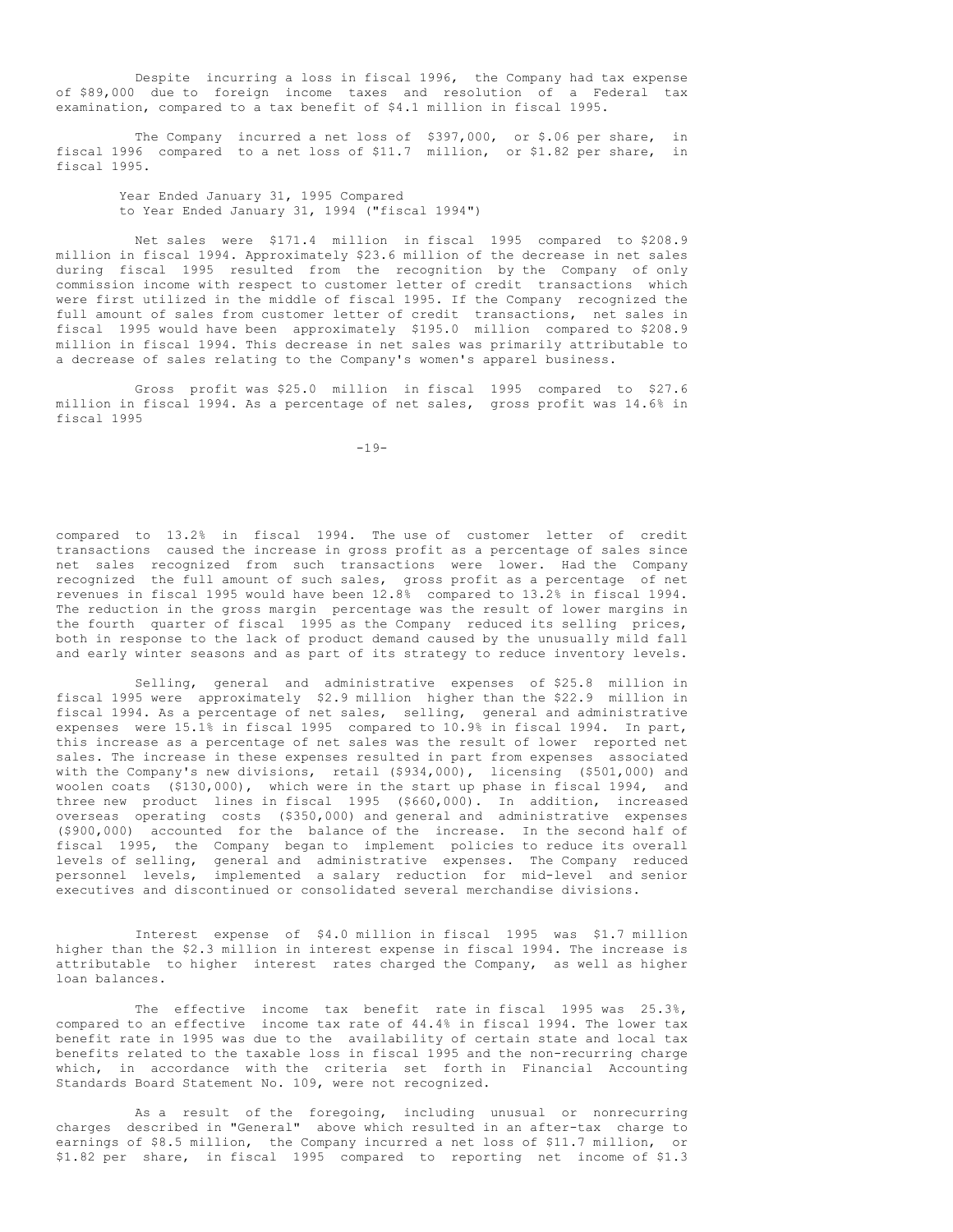Despite incurring a loss in fiscal 1996, the Company had tax expense of \$89,000 due to foreign income taxes and resolution of a Federal tax examination, compared to a tax benefit of \$4.1 million in fiscal 1995.

The Company incurred a net loss of \$397,000, or \$.06 per share, in fiscal 1996 compared to a net loss of \$11.7 million, or \$1.82 per share, in fiscal 1995.

Year Ended January 31, 1995 Compared to Year Ended January 31, 1994 ("fiscal 1994")

Net sales were \$171.4 million in fiscal 1995 compared to \$208.9 million in fiscal 1994. Approximately \$23.6 million of the decrease in net sales during fiscal 1995 resulted from the recognition by the Company of only commission income with respect to customer letter of credit transactions which were first utilized in the middle of fiscal 1995. If the Company recognized the full amount of sales from customer letter of credit transactions, net sales in fiscal 1995 would have been approximately \$195.0 million compared to \$208.9 million in fiscal 1994. This decrease in net sales was primarily attributable to a decrease of sales relating to the Company's women's apparel business.

Gross profit was \$25.0 million in fiscal 1995 compared to \$27.6 million in fiscal 1994. As a percentage of net sales, gross profit was 14.6% in fiscal 1995

-19-

compared to 13.2% in fiscal 1994. The use of customer letter of credit transactions caused the increase in gross profit as a percentage of sales since net sales recognized from such transactions were lower. Had the Company recognized the full amount of such sales, gross profit as a percentage of net revenues in fiscal 1995 would have been 12.8% compared to 13.2% in fiscal 1994. The reduction in the gross margin percentage was the result of lower margins in the fourth quarter of fiscal 1995 as the Company reduced its selling prices, both in response to the lack of product demand caused by the unusually mild fall and early winter seasons and as part of its strategy to reduce inventory levels.

Selling, general and administrative expenses of \$25.8 million in fiscal 1995 were approximately \$2.9 million higher than the \$22.9 million in fiscal 1994. As a percentage of net sales, selling, general and administrative expenses were 15.1% in fiscal 1995 compared to 10.9% in fiscal 1994. In part, this increase as a percentage of net sales was the result of lower reported net sales. The increase in these expenses resulted in part from expenses associated with the Company's new divisions, retail (\$934,000), licensing (\$501,000) and woolen coats (\$130,000), which were in the start up phase in fiscal 1994, and three new product lines in fiscal 1995 (\$660,000). In addition, increased overseas operating costs (\$350,000) and general and administrative expenses (\$900,000) accounted for the balance of the increase. In the second half of fiscal 1995, the Company began to implement policies to reduce its overall levels of selling, general and administrative expenses. The Company reduced personnel levels, implemented a salary reduction for mid-level and senior executives and discontinued or consolidated several merchandise divisions.

Interest expense of \$4.0 million in fiscal 1995 was \$1.7 million higher than the \$2.3 million in interest expense in fiscal 1994. The increase is attributable to higher interest rates charged the Company, as well as higher loan balances.

The effective income tax benefit rate in fiscal 1995 was 25.3%, compared to an effective income tax rate of 44.4% in fiscal 1994. The lower tax benefit rate in 1995 was due to the availability of certain state and local tax benefits related to the taxable loss in fiscal 1995 and the non-recurring charge which, in accordance with the criteria set forth in Financial Accounting Standards Board Statement No. 109, were not recognized.

As a result of the foregoing, including unusual or nonrecurring charges described in "General" above which resulted in an after-tax charge to earnings of \$8.5 million, the Company incurred a net loss of \$11.7 million, or \$1.82 per share, in fiscal 1995 compared to reporting net income of \$1.3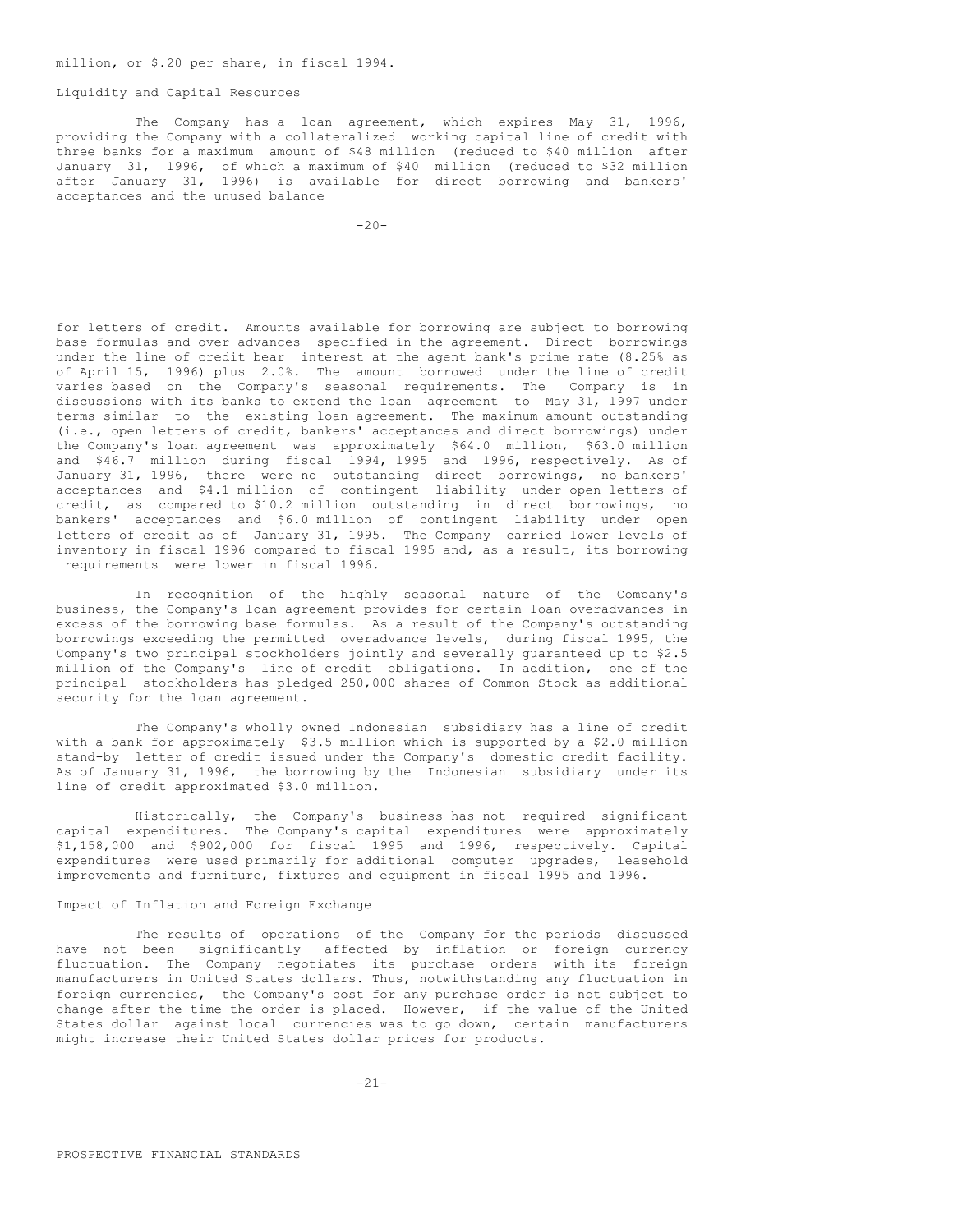## Liquidity and Capital Resources

The Company has a loan agreement, which expires May 31, 1996, providing the Company with a collateralized working capital line of credit with three banks for a maximum amount of \$48 million (reduced to \$40 million after January 31, 1996, of which a maximum of \$40 million (reduced to \$32 million after January 31, 1996) is available for direct borrowing and bankers' acceptances and the unused balance

 $-20-$ 

for letters of credit. Amounts available for borrowing are subject to borrowing base formulas and over advances specified in the agreement. Direct borrowings under the line of credit bear interest at the agent bank's prime rate (8.25% as of April 15, 1996) plus 2.0%. The amount borrowed under the line of credit varies based on the Company's seasonal requirements. The Company is in discussions with its banks to extend the loan agreement to May 31, 1997 under terms similar to the existing loan agreement. The maximum amount outstanding (i.e., open letters of credit, bankers' acceptances and direct borrowings) under the Company's loan agreement was approximately \$64.0 million, \$63.0 million and \$46.7 million during fiscal 1994, 1995 and 1996, respectively. As of January 31, 1996, there were no outstanding direct borrowings, no bankers' acceptances and \$4.1 million of contingent liability under open letters of credit, as compared to \$10.2 million outstanding in direct borrowings, no bankers' acceptances and \$6.0 million of contingent liability under open letters of credit as of January 31, 1995. The Company carried lower levels of inventory in fiscal 1996 compared to fiscal 1995 and, as a result, its borrowing requirements were lower in fiscal 1996.

In recognition of the highly seasonal nature of the Company's business, the Company's loan agreement provides for certain loan overadvances in excess of the borrowing base formulas. As a result of the Company's outstanding borrowings exceeding the permitted overadvance levels, during fiscal 1995, the Company's two principal stockholders jointly and severally guaranteed up to \$2.5 million of the Company's line of credit obligations. In addition, one of the principal stockholders has pledged 250,000 shares of Common Stock as additional security for the loan agreement.

The Company's wholly owned Indonesian subsidiary has a line of credit with a bank for approximately \$3.5 million which is supported by a \$2.0 million stand-by letter of credit issued under the Company's domestic credit facility. As of January 31, 1996, the borrowing by the Indonesian subsidiary under its line of credit approximated \$3.0 million.

Historically, the Company's business has not required significant capital expenditures. The Company's capital expenditures were approximately \$1,158,000 and \$902,000 for fiscal 1995 and 1996, respectively. Capital expenditures were used primarily for additional computer upgrades, leasehold improvements and furniture, fixtures and equipment in fiscal 1995 and 1996.

# Impact of Inflation and Foreign Exchange

The results of operations of the Company for the periods discussed have not been significantly affected by inflation or foreign currency fluctuation. The Company negotiates its purchase orders with its foreign manufacturers in United States dollars. Thus, notwithstanding any fluctuation in foreign currencies, the Company's cost for any purchase order is not subject to change after the time the order is placed. However, if the value of the United States dollar against local currencies was to go down, certain manufacturers might increase their United States dollar prices for products.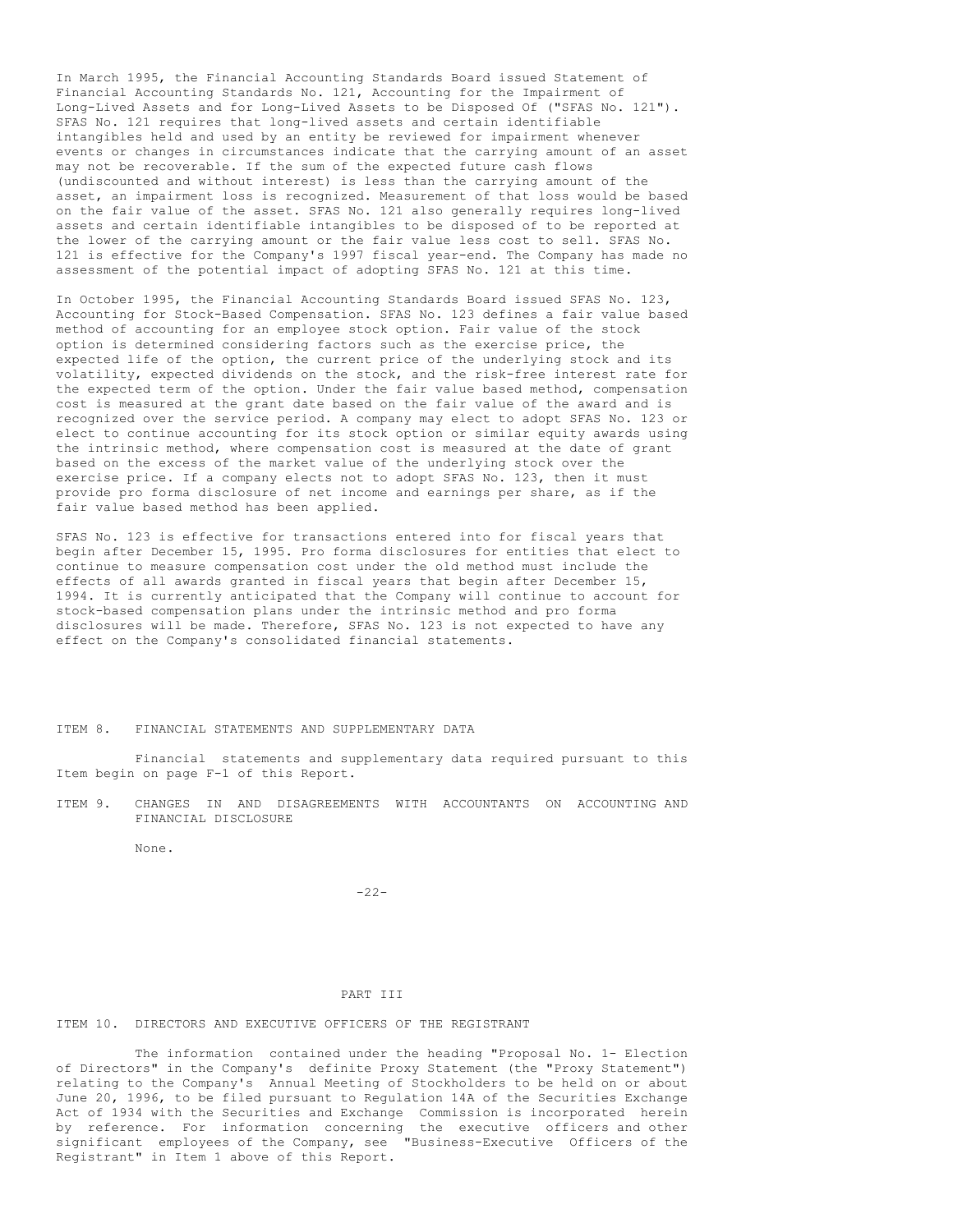In March 1995, the Financial Accounting Standards Board issued Statement of Financial Accounting Standards No. 121, Accounting for the Impairment of Long-Lived Assets and for Long-Lived Assets to be Disposed Of ("SFAS No. 121"). SFAS No. 121 requires that long-lived assets and certain identifiable intangibles held and used by an entity be reviewed for impairment whenever events or changes in circumstances indicate that the carrying amount of an asset may not be recoverable. If the sum of the expected future cash flows (undiscounted and without interest) is less than the carrying amount of the asset, an impairment loss is recognized. Measurement of that loss would be based on the fair value of the asset. SFAS No. 121 also generally requires long-lived assets and certain identifiable intangibles to be disposed of to be reported at the lower of the carrying amount or the fair value less cost to sell. SFAS No. 121 is effective for the Company's 1997 fiscal year-end. The Company has made no assessment of the potential impact of adopting SFAS No. 121 at this time.

In October 1995, the Financial Accounting Standards Board issued SFAS No. 123, Accounting for Stock-Based Compensation. SFAS No. 123 defines a fair value based method of accounting for an employee stock option. Fair value of the stock option is determined considering factors such as the exercise price, the expected life of the option, the current price of the underlying stock and its volatility, expected dividends on the stock, and the risk-free interest rate for the expected term of the option. Under the fair value based method, compensation cost is measured at the grant date based on the fair value of the award and is recognized over the service period. A company may elect to adopt SFAS No. 123 or elect to continue accounting for its stock option or similar equity awards using the intrinsic method, where compensation cost is measured at the date of grant based on the excess of the market value of the underlying stock over the exercise price. If a company elects not to adopt SFAS No. 123, then it must provide pro forma disclosure of net income and earnings per share, as if the fair value based method has been applied.

SFAS No. 123 is effective for transactions entered into for fiscal years that begin after December 15, 1995. Pro forma disclosures for entities that elect to continue to measure compensation cost under the old method must include the effects of all awards granted in fiscal years that begin after December 15, 1994. It is currently anticipated that the Company will continue to account for stock-based compensation plans under the intrinsic method and pro forma disclosures will be made. Therefore, SFAS No. 123 is not expected to have any effect on the Company's consolidated financial statements.

ITEM 8. FINANCIAL STATEMENTS AND SUPPLEMENTARY DATA

Financial statements and supplementary data required pursuant to this Item begin on page F-1 of this Report.

ITEM 9. CHANGES IN AND DISAGREEMENTS WITH ACCOUNTANTS ON ACCOUNTING AND FINANCIAL DISCLOSURE

None.

-22-

## PART III

# ITEM 10. DIRECTORS AND EXECUTIVE OFFICERS OF THE REGISTRANT

The information contained under the heading "Proposal No. 1- Election of Directors" in the Company's definite Proxy Statement (the "Proxy Statement") relating to the Company's Annual Meeting of Stockholders to be held on or about June 20, 1996, to be filed pursuant to Regulation 14A of the Securities Exchange Act of 1934 with the Securities and Exchange Commission is incorporated herein by reference. For information concerning the executive officers and other significant employees of the Company, see "Business-Executive Officers of the Registrant" in Item 1 above of this Report.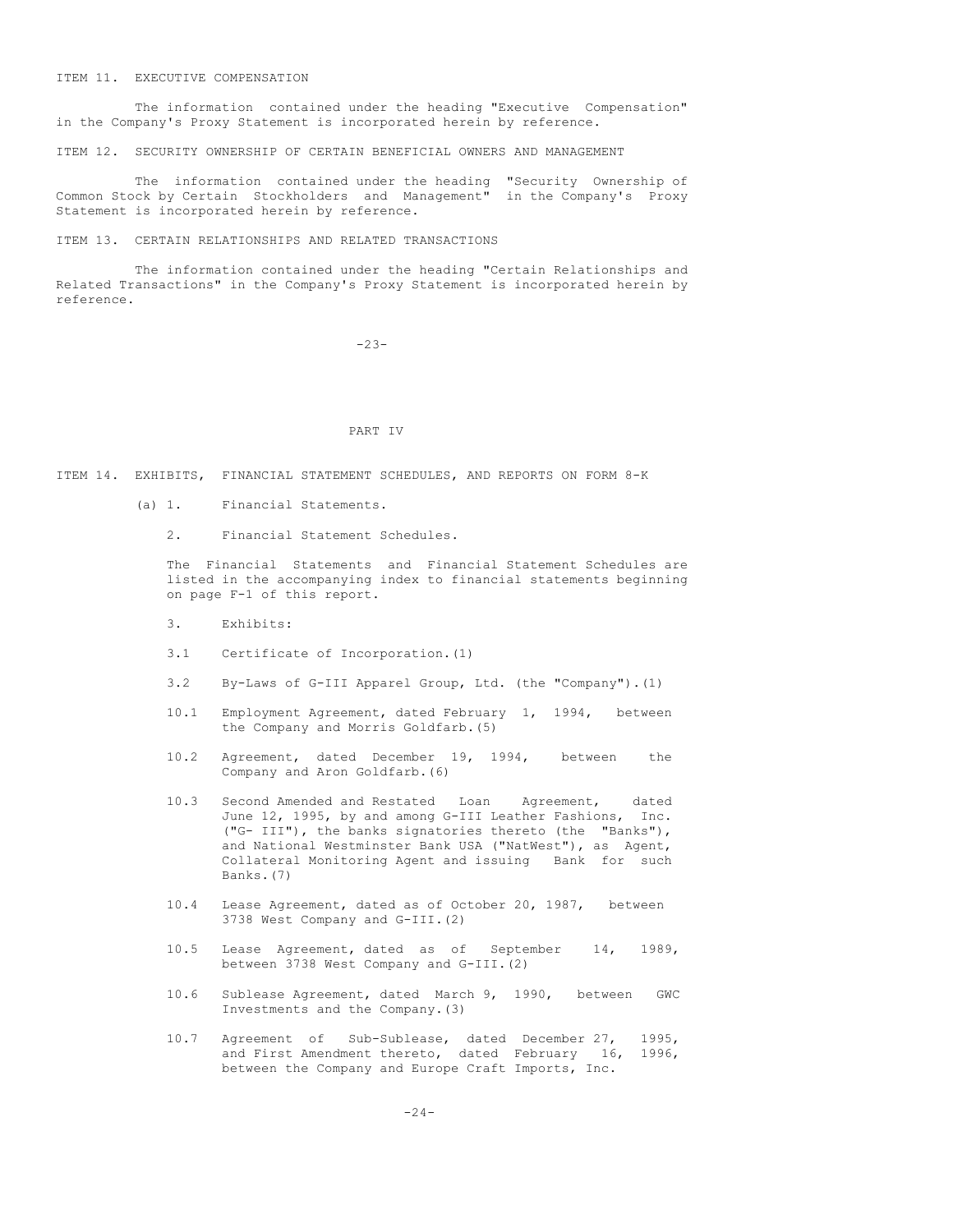#### ITEM 11. EXECUTIVE COMPENSATION

The information contained under the heading "Executive Compensation" in the Company's Proxy Statement is incorporated herein by reference.

ITEM 12. SECURITY OWNERSHIP OF CERTAIN BENEFICIAL OWNERS AND MANAGEMENT

The information contained under the heading "Security Ownership of Common Stock by Certain Stockholders and Management" in the Company's Proxy Statement is incorporated herein by reference.

ITEM 13. CERTAIN RELATIONSHIPS AND RELATED TRANSACTIONS

The information contained under the heading "Certain Relationships and Related Transactions" in the Company's Proxy Statement is incorporated herein by reference.

-23-

#### PART IV

ITEM 14. EXHIBITS, FINANCIAL STATEMENT SCHEDULES, AND REPORTS ON FORM 8-K

- (a) 1. Financial Statements.
	- 2. Financial Statement Schedules.

The Financial Statements and Financial Statement Schedules are listed in the accompanying index to financial statements beginning on page F-1 of this report.

- 3. Exhibits:
- 3.1 Certificate of Incorporation.(1)
- 3.2 By-Laws of G-III Apparel Group, Ltd. (the "Company").(1)
- 10.1 Employment Agreement, dated February 1, 1994, between the Company and Morris Goldfarb.(5)
- 10.2 Agreement, dated December 19, 1994, between the Company and Aron Goldfarb.(6)
- 10.3 Second Amended and Restated Loan Agreement, dated June 12, 1995, by and among G-III Leather Fashions, Inc. ("G- III"), the banks signatories thereto (the "Banks"), and National Westminster Bank USA ("NatWest"), as Agent, Collateral Monitoring Agent and issuing Bank for such Banks.(7)
- 10.4 Lease Agreement, dated as of October 20, 1987, between 3738 West Company and G-III.(2)
- 10.5 Lease Agreement, dated as of September 14, 1989, between 3738 West Company and G-III.(2)
- 10.6 Sublease Agreement, dated March 9, 1990, between GWC Investments and the Company.(3)
- 10.7 Agreement of Sub-Sublease, dated December 27, 1995, and First Amendment thereto, dated February 16, 1996, between the Company and Europe Craft Imports, Inc.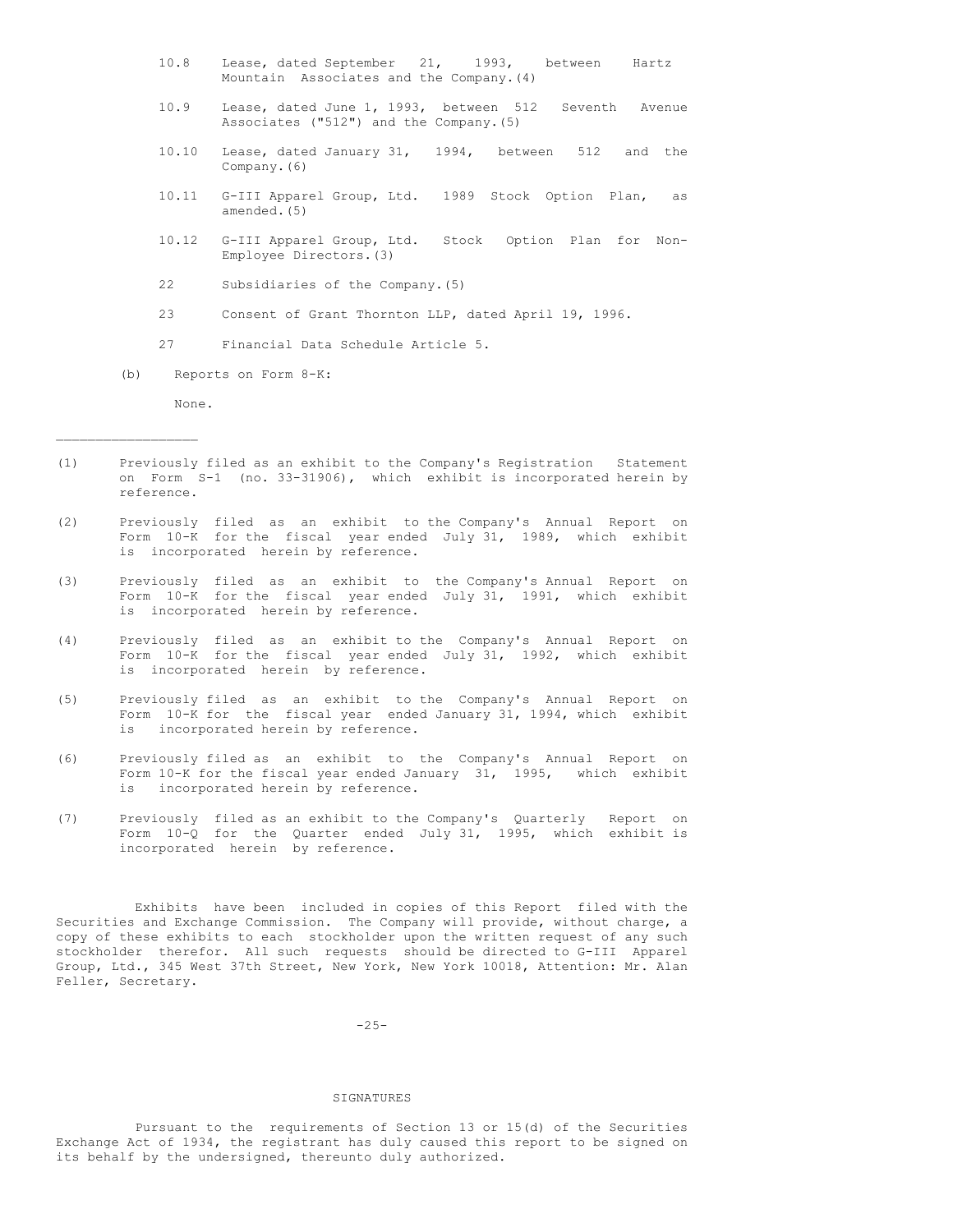- 10.8 Lease, dated September 21, 1993, between Hartz Mountain Associates and the Company.(4)
- 10.9 Lease, dated June 1, 1993, between 512 Seventh Avenue Associates ("512") and the Company.(5)
- 10.10 Lease, dated January 31, 1994, between 512 and the Company.(6)
- 10.11 G-III Apparel Group, Ltd. 1989 Stock Option Plan, as amended.(5)
- 10.12 G-III Apparel Group, Ltd. Stock Option Plan for Non-Employee Directors.(3)
- 22 Subsidiaries of the Company.(5)
- 23 Consent of Grant Thornton LLP, dated April 19, 1996.
- 27 Financial Data Schedule Article 5.
- (b) Reports on Form 8-K:

None.

 $\_$ 

- (1) Previously filed as an exhibit to the Company's Registration Statement on Form S-1 (no. 33-31906), which exhibit is incorporated herein by reference.
- (2) Previously filed as an exhibit to the Company's Annual Report on Form 10-K for the fiscal year ended July 31, 1989, which exhibit is incorporated herein by reference.
- (3) Previously filed as an exhibit to the Company's Annual Report on Form 10-K for the fiscal year ended July 31, 1991, which exhibit is incorporated herein by reference.
- (4) Previously filed as an exhibit to the Company's Annual Report on Form 10-K for the fiscal year ended July 31, 1992, which exhibit is incorporated herein by reference.
- (5) Previously filed as an exhibit to the Company's Annual Report on Form 10-K for the fiscal year ended January 31, 1994, which exhibit is incorporated herein by reference.
- (6) Previously filed as an exhibit to the Company's Annual Report on Form 10-K for the fiscal year ended January 31, 1995, which exhibit is incorporated herein by reference.
- (7) Previously filed as an exhibit to the Company's Quarterly Report on Form 10-Q for the Quarter ended July 31, 1995, which exhibit is incorporated herein by reference.

Exhibits have been included in copies of this Report filed with the Securities and Exchange Commission. The Company will provide, without charge, a copy of these exhibits to each stockholder upon the written request of any such stockholder therefor. All such requests should be directed to G-III Apparel Group, Ltd., 345 West 37th Street, New York, New York 10018, Attention: Mr. Alan Feller, Secretary.

 $-25-$ 

#### SIGNATURES

Pursuant to the requirements of Section 13 or 15(d) of the Securities Exchange Act of 1934, the registrant has duly caused this report to be signed on its behalf by the undersigned, thereunto duly authorized.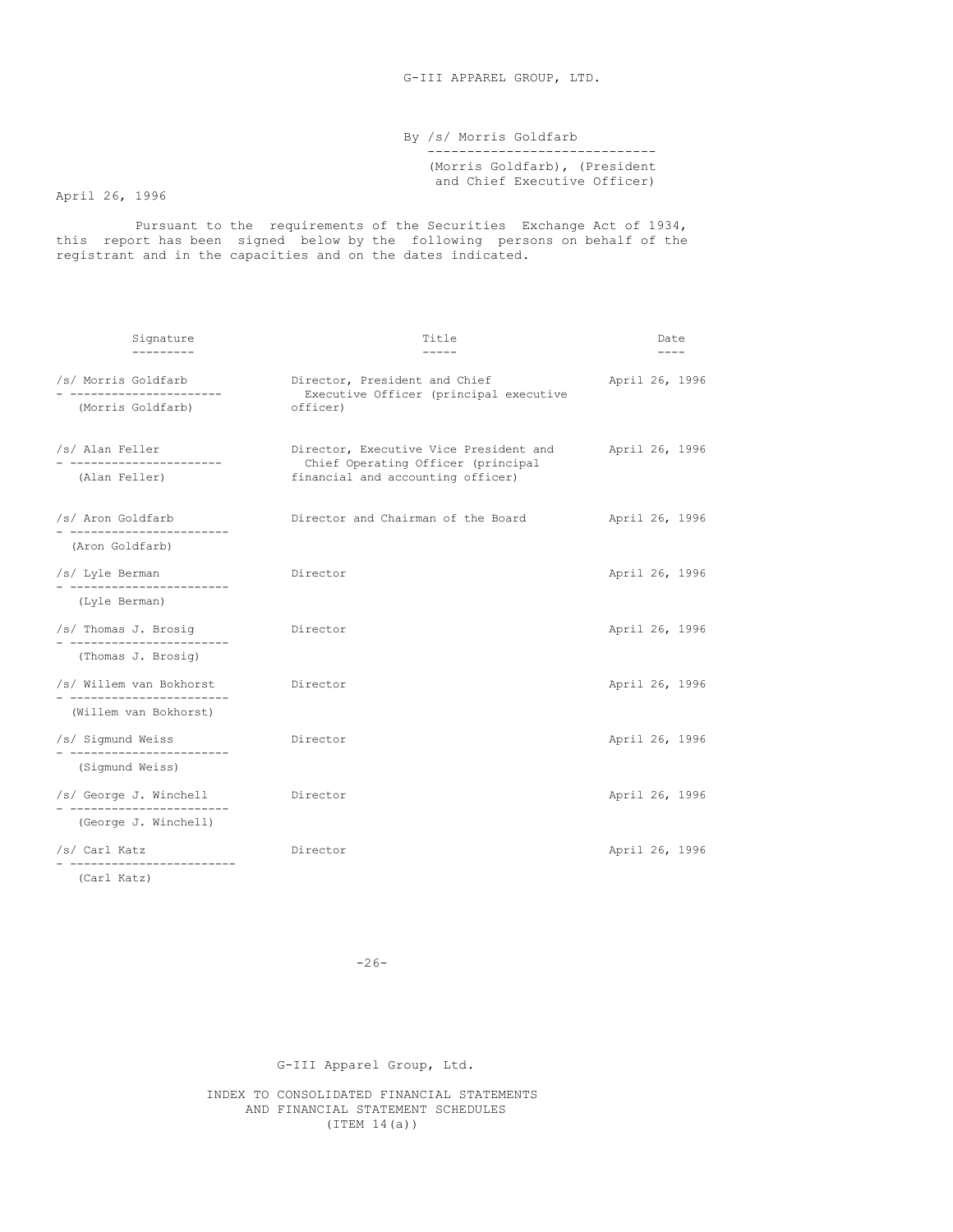# By /s/ Morris Goldfarb ----------------------------- (Morris Goldfarb), (President and Chief Executive Officer)

April 26, 1996

Pursuant to the requirements of the Securities Exchange Act of 1934, this report has been signed below by the following persons on behalf of the registrant and in the capacities and on the dates indicated.

| Signature                                       | Title                                                                        | Date           |
|-------------------------------------------------|------------------------------------------------------------------------------|----------------|
| /s/ Morris Goldfarb<br>-----------------------  | Director, President and Chief<br>Executive Officer (principal executive      | April 26, 1996 |
| (Morris Goldfarb)                               | officer)                                                                     |                |
| /s/ Alan Feller<br>-----------------------      | Director, Executive Vice President and<br>Chief Operating Officer (principal | April 26, 1996 |
| (Alan Feller)                                   | financial and accounting officer)                                            |                |
| /s/ Aron Goldfarb<br>- ------------------------ | Director and Chairman of the Board                                           | April 26, 1996 |
| (Aron Goldfarb)                                 |                                                                              |                |
| /s/ Lyle Berman                                 | Director                                                                     | April 26, 1996 |
| (Lyle Berman)                                   |                                                                              |                |
| /s/ Thomas J. Brosig<br>____________________    | Director                                                                     | April 26, 1996 |
| (Thomas J. Brosig)                              |                                                                              |                |
| /s/ Willem van Bokhorst                         | Director                                                                     | April 26, 1996 |
| (Willem van Bokhorst)                           |                                                                              |                |
| /s/ Sigmund Weiss<br>------------------------   | Director                                                                     | April 26, 1996 |
| (Sigmund Weiss)                                 |                                                                              |                |
| /s/ George J. Winchell                          | Director                                                                     | April 26, 1996 |
| (George J. Winchell)                            |                                                                              |                |
| /s/ Carl Katz<br>------------------             | Director                                                                     | April 26, 1996 |

(Carl Katz)

 $-26-$ 

G-III Apparel Group, Ltd.

INDEX TO CONSOLIDATED FINANCIAL STATEMENTS AND FINANCIAL STATEMENT SCHEDULES (ITEM 14(a))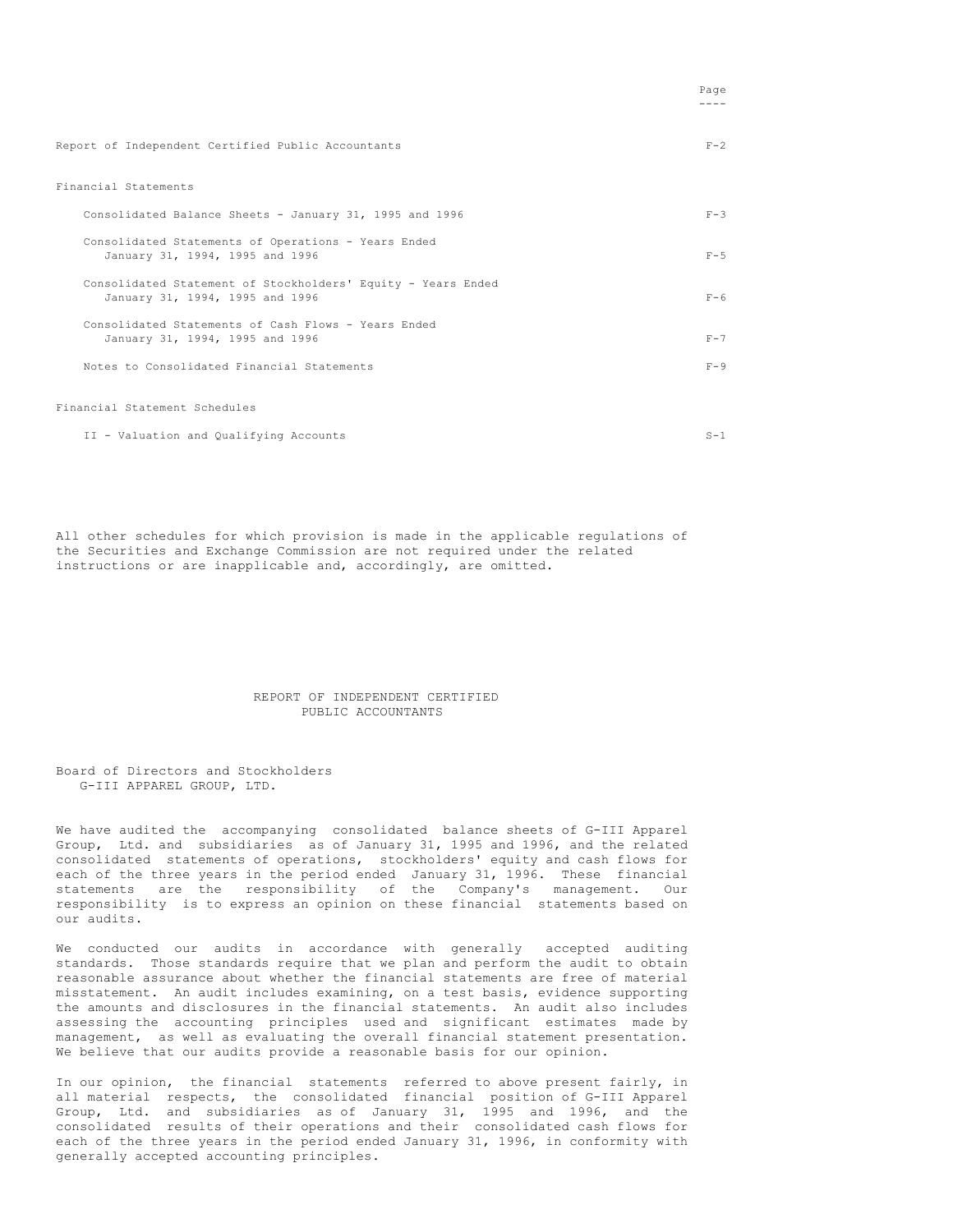|                                                                                                 | raye    |
|-------------------------------------------------------------------------------------------------|---------|
| Report of Independent Certified Public Accountants                                              | $F-2$   |
| Financial Statements                                                                            |         |
| Consolidated Balance Sheets - January 31, 1995 and 1996                                         | $F - 3$ |
| Consolidated Statements of Operations - Years Ended<br>January 31, 1994, 1995 and 1996          | $F - 5$ |
| Consolidated Statement of Stockholders' Equity - Years Ended<br>January 31, 1994, 1995 and 1996 | $F - 6$ |
| Consolidated Statements of Cash Flows - Years Ended<br>January 31, 1994, 1995 and 1996          | $F - 7$ |
| Notes to Consolidated Financial Statements                                                      | $F - 9$ |
| Financial Statement Schedules                                                                   |         |
| II - Valuation and Qualifying Accounts                                                          | $S-1$   |

Page

All other schedules for which provision is made in the applicable regulations of the Securities and Exchange Commission are not required under the related instructions or are inapplicable and, accordingly, are omitted.

## REPORT OF INDEPENDENT CERTIFIED PUBLIC ACCOUNTANTS

Board of Directors and Stockholders G-III APPAREL GROUP, LTD.

We have audited the accompanying consolidated balance sheets of G-III Apparel Group, Ltd. and subsidiaries as of January 31, 1995 and 1996, and the related consolidated statements of operations, stockholders' equity and cash flows for each of the three years in the period ended January 31, 1996. These financial statements are the responsibility of the Company's management. Our responsibility is to express an opinion on these financial statements based on our audits.

We conducted our audits in accordance with generally accepted auditing standards. Those standards require that we plan and perform the audit to obtain reasonable assurance about whether the financial statements are free of material misstatement. An audit includes examining, on a test basis, evidence supporting the amounts and disclosures in the financial statements. An audit also includes assessing the accounting principles used and significant estimates made by management, as well as evaluating the overall financial statement presentation. We believe that our audits provide a reasonable basis for our opinion.

In our opinion, the financial statements referred to above present fairly, in all material respects, the consolidated financial position of G-III Apparel Group, Ltd. and subsidiaries as of January 31, 1995 and 1996, and the consolidated results of their operations and their consolidated cash flows for each of the three years in the period ended January 31, 1996, in conformity with generally accepted accounting principles.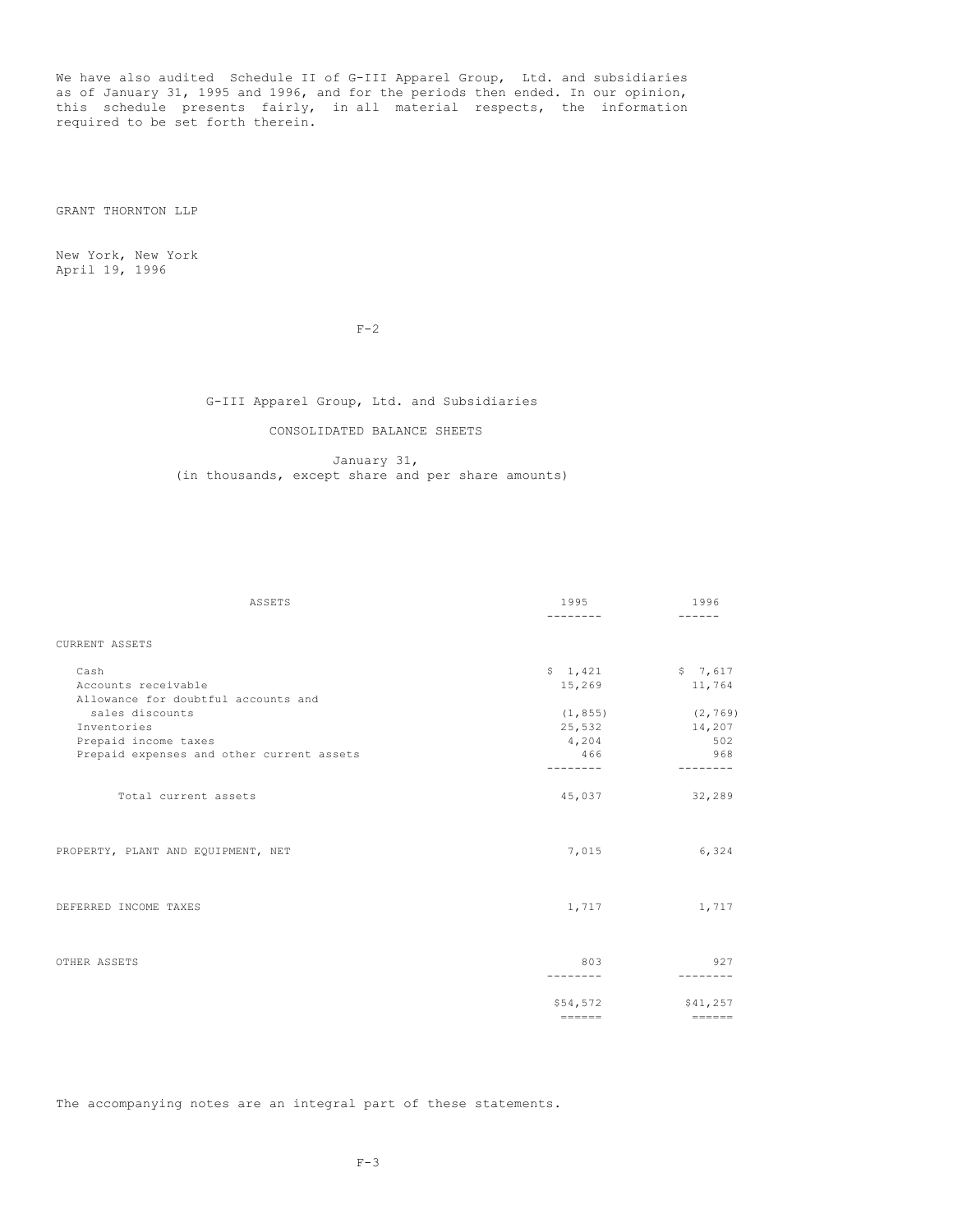We have also audited Schedule II of G-III Apparel Group, Ltd. and subsidiaries as of January 31, 1995 and 1996, and for the periods then ended. In our opinion, this schedule presents fairly, in all material respects, the information required to be set forth therein.

GRANT THORNTON LLP

New York, New York April 19, 1996

 $F-2$ 

# G-III Apparel Group, Ltd. and Subsidiaries

## CONSOLIDATED BALANCE SHEETS

January 31, (in thousands, except share and per share amounts)

| ASSETS                                    | 1995            | 1996                |
|-------------------------------------------|-----------------|---------------------|
|                                           |                 |                     |
| CURRENT ASSETS                            |                 |                     |
| Cash                                      |                 | $$1,421$ $$7,617$   |
| Accounts receivable                       | 15,269          | 11,764              |
| Allowance for doubtful accounts and       |                 |                     |
| sales discounts                           | (1, 855)        | (2, 769)            |
| Inventories                               | 25,532          | 14,207              |
| Prepaid income taxes                      | 4,204           | 502                 |
| Prepaid expenses and other current assets | 466             | 968                 |
|                                           | --------        | --------            |
| Total current assets                      | 45,037          | 32,289              |
| PROPERTY, PLANT AND EQUIPMENT, NET        | 7,015           | 6,324               |
| DEFERRED INCOME TAXES                     | 1,717           | 1,717               |
| OTHER ASSETS                              | 803<br>-------- | 927<br>--------     |
|                                           |                 |                     |
|                                           | \$54,572        | \$41,257            |
|                                           | $= = = = = = =$ | $=$ $=$ $=$ $=$ $=$ |

The accompanying notes are an integral part of these statements.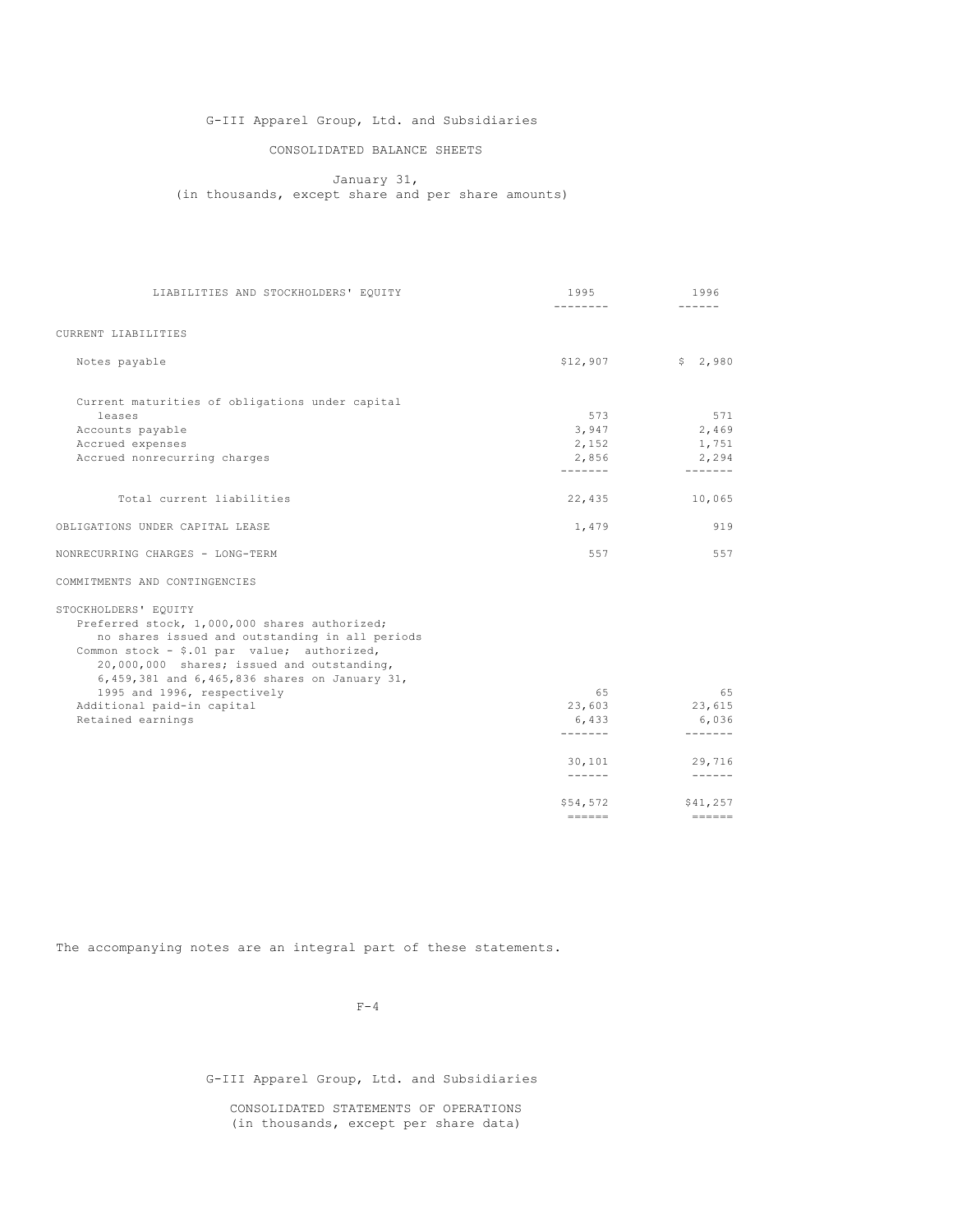# G-III Apparel Group, Ltd. and Subsidiaries

# CONSOLIDATED BALANCE SHEETS

January 31, (in thousands, except share and per share amounts)

| LIABILITIES AND STOCKHOLDERS' EQUITY                                                                                                                                                                                                                                   | 1995             | 1996                  |
|------------------------------------------------------------------------------------------------------------------------------------------------------------------------------------------------------------------------------------------------------------------------|------------------|-----------------------|
|                                                                                                                                                                                                                                                                        | --------         | ------                |
| CURRENT LIABILITIES                                                                                                                                                                                                                                                    |                  |                       |
| Notes payable                                                                                                                                                                                                                                                          | \$12,907         | \$2,980               |
| Current maturities of obligations under capital                                                                                                                                                                                                                        |                  |                       |
| leases                                                                                                                                                                                                                                                                 | 573              | 571                   |
| Accounts payable                                                                                                                                                                                                                                                       | 3,947            | 2,469                 |
| Accrued expenses                                                                                                                                                                                                                                                       | 2,152            | 1,751                 |
| Accrued nonrecurring charges                                                                                                                                                                                                                                           | 2,856<br>------- | 2,294<br>-------      |
| Total current liabilities                                                                                                                                                                                                                                              | 22,435           | 10,065                |
| OBLIGATIONS UNDER CAPITAL LEASE                                                                                                                                                                                                                                        | 1,479            | 919                   |
| NONRECURRING CHARGES - LONG-TERM                                                                                                                                                                                                                                       | 557              | 557                   |
| COMMITMENTS AND CONTINGENCIES                                                                                                                                                                                                                                          |                  |                       |
| STOCKHOLDERS' EQUITY<br>Preferred stock, 1,000,000 shares authorized;<br>no shares issued and outstanding in all periods<br>Common stock - \$.01 par value; authorized,<br>20,000,000 shares; issued and outstanding,<br>6,459,381 and 6,465,836 shares on January 31, |                  |                       |
| 1995 and 1996, respectively                                                                                                                                                                                                                                            | 65               | 65                    |
| Additional paid-in capital<br>Retained earnings                                                                                                                                                                                                                        | 23,603<br>6,433  | 23,615<br>6,036       |
|                                                                                                                                                                                                                                                                        | -------          | -------               |
|                                                                                                                                                                                                                                                                        | 30,101           | 29,716                |
|                                                                                                                                                                                                                                                                        |                  |                       |
|                                                                                                                                                                                                                                                                        | \$54,572         | \$41,257<br>$==-=-=-$ |
|                                                                                                                                                                                                                                                                        | $= = = = = = =$  |                       |

The accompanying notes are an integral part of these statements.

 $F-4$ 

G-III Apparel Group, Ltd. and Subsidiaries

CONSOLIDATED STATEMENTS OF OPERATIONS (in thousands, except per share data)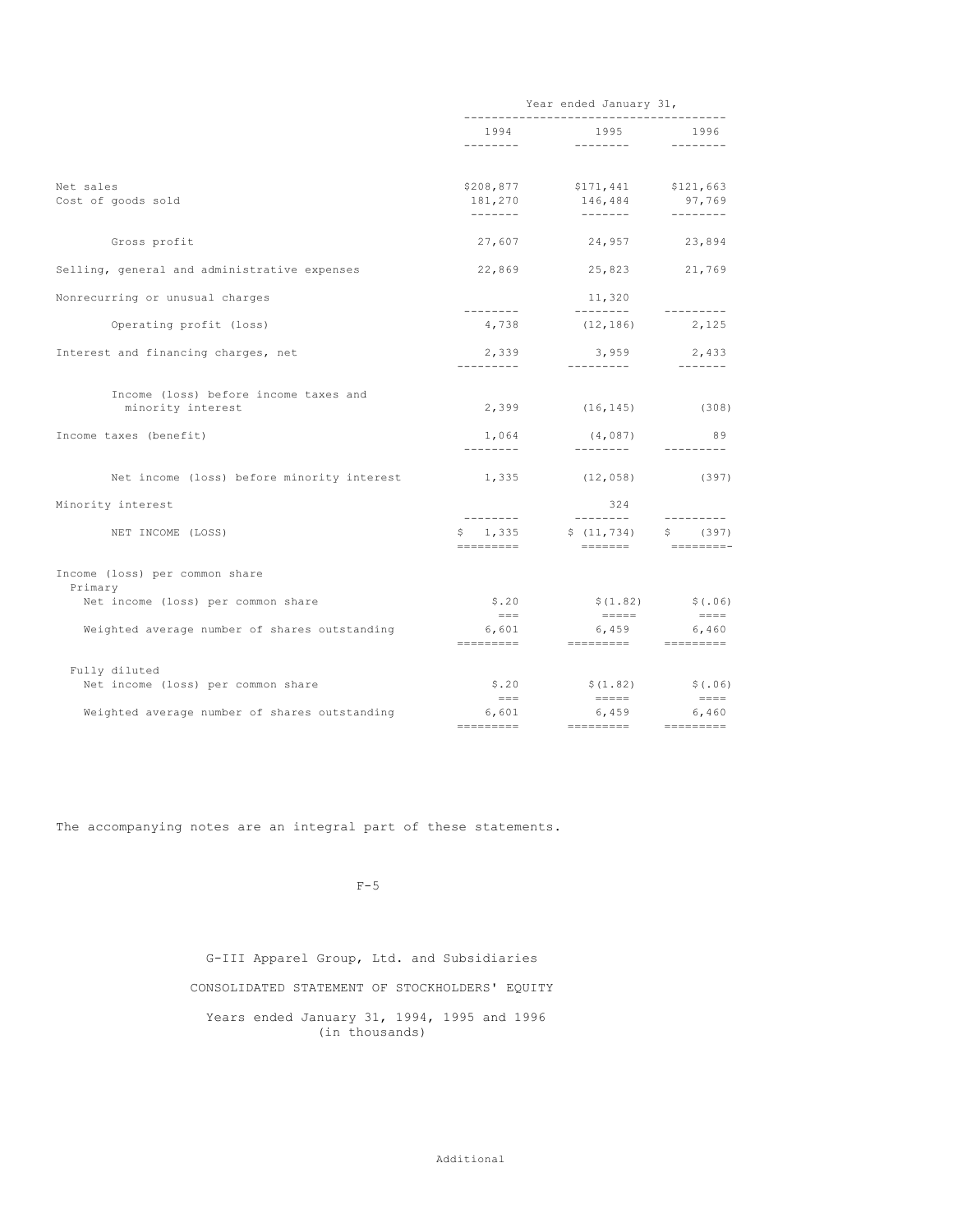|                                                            | Year ended January 31,           |                                       |                                                           |
|------------------------------------------------------------|----------------------------------|---------------------------------------|-----------------------------------------------------------|
|                                                            |                                  | 1995                                  | 1996<br>---------                                         |
| Net sales<br>Cost of goods sold                            | \$208,877<br>181,270<br>-------- | $$171,441$ $$121,663$<br>146,484      | 97,769                                                    |
| Gross profit                                               |                                  | 27,607 24,957 23,894                  |                                                           |
| Selling, general and administrative expenses               | 22,869                           | 25,823                                | 21,769                                                    |
| Nonrecurring or unusual charges                            | ---------                        | 11,320                                |                                                           |
| Operating profit (loss)                                    |                                  | $4,738$ $(12,186)$ $2,125$            |                                                           |
| Interest and financing charges, net                        | 2,339<br>----------              | 3,959<br>_________                    | 2,433<br>--------                                         |
| Income (loss) before income taxes and<br>minority interest | 2,399                            | $(16, 145)$ (308)                     |                                                           |
| Income taxes (benefit)                                     | 1,064<br>--------                | (4,087)<br>_________                  | 89<br>---------                                           |
| Net income (loss) before minority interest                 |                                  | $1,335$ (12,058) (397)                |                                                           |
| Minority interest                                          | .                                | 324<br>_________                      | ---------                                                 |
| NET INCOME (LOSS)                                          | \$1,335<br>=========             | \$(11, 734)                           | \$ (397)                                                  |
| Income (loss) per common share<br>Primary                  |                                  |                                       |                                                           |
| Net income (loss) per common share                         | S.20<br>$=$ $=$ $=$              | $=$ $=$ $=$ $=$                       | $$(1.82)$ $$(.06)$<br>$= \qquad \qquad = \qquad = \qquad$ |
| Weighted average number of shares outstanding              | 6,601                            | 6,459                                 | 6,460                                                     |
| Fully diluted<br>Net income (loss) per common share        | S.20<br>$=$ $=$ $=$              | $$(1.82)$ $$(.06)$<br>$=$ $=$ $=$ $=$ |                                                           |
| Weighted average number of shares outstanding              | 6,601                            | 6,459<br>=========                    | $= \qquad \qquad = \qquad = \qquad$<br>6,460<br>========= |
|                                                            |                                  |                                       |                                                           |

The accompanying notes are an integral part of these statements.

 $F-5$ 

G-III Apparel Group, Ltd. and Subsidiaries CONSOLIDATED STATEMENT OF STOCKHOLDERS' EQUITY Years ended January 31, 1994, 1995 and 1996 (in thousands)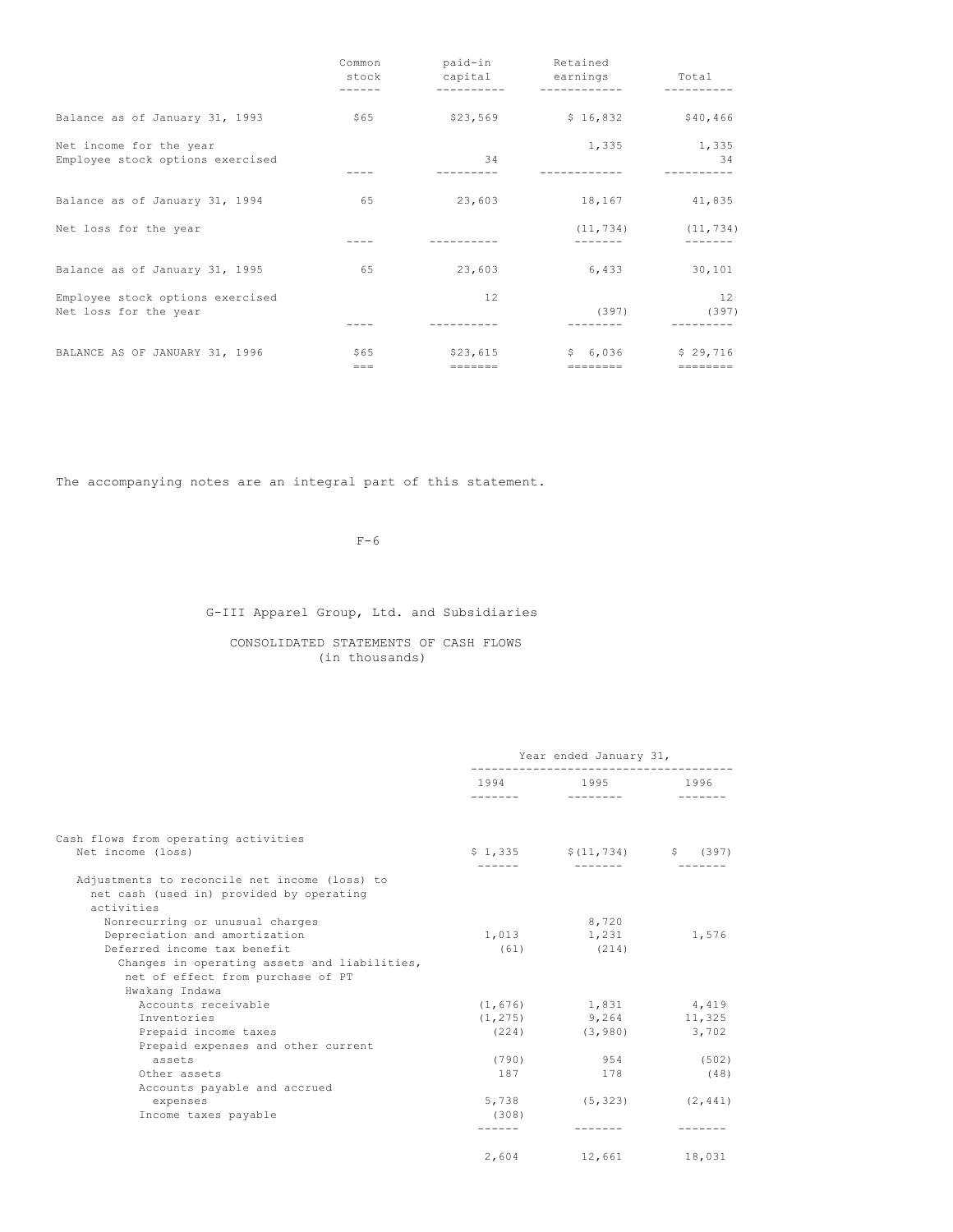|                                                             | Common<br>stock | paid-in<br>capital          | Retained<br>earnings         | Total<br>-------              |
|-------------------------------------------------------------|-----------------|-----------------------------|------------------------------|-------------------------------|
| Balance as of January 31, 1993                              | \$65            | \$23,569                    | \$16,832                     | \$40,466                      |
| Net income for the year<br>Employee stock options exercised |                 | 34                          | 1,335                        | 1,335<br>-34                  |
| Balance as of January 31, 1994                              | 65              | 23,603                      | 18,167                       | 41,835                        |
| Net loss for the year                                       |                 |                             | (11, 734)                    | (11, 734)                     |
| Balance as of January 31, 1995                              | 65              | 23,603                      | 6,433                        | 30,101                        |
| Employee stock options exercised<br>Net loss for the year   |                 | 12                          | (397)                        | 12<br>(397)                   |
| BALANCE AS OF JANUARY 31, 1996                              | \$65<br>$== =$  | \$23,615<br>$=$ = = = = = = | \$6,036<br>$=$ = = = = = = = | \$29,716<br>$=$ = = = = = = = |

The accompanying notes are an integral part of this statement.

 $F-6$ 

# G-III Apparel Group, Ltd. and Subsidiaries

CONSOLIDATED STATEMENTS OF CASH FLOWS (in thousands)

|                                                                                                         | Year ended January 31, |                                                    |          |
|---------------------------------------------------------------------------------------------------------|------------------------|----------------------------------------------------|----------|
|                                                                                                         | 1994                   | 1995 1996<br>a na mata mata sa sa na sa na sa na s |          |
| Cash flows from operating activities<br>Net income (loss)                                               |                        | $$1,335$ $$(11,734)$ $$(397)$                      |          |
|                                                                                                         |                        |                                                    |          |
| Adjustments to reconcile net income (loss) to<br>net cash (used in) provided by operating<br>activities |                        |                                                    |          |
| Nonrecurring or unusual charges                                                                         |                        | 8,720                                              |          |
| Depreciation and amortization                                                                           | 1,013                  | 1,231                                              | 1,576    |
| Deferred income tax benefit                                                                             | (61)                   | (214)                                              |          |
| Changes in operating assets and liabilities,<br>net of effect from purchase of PT<br>Hwakang Indawa     |                        |                                                    |          |
| Accounts receivable                                                                                     |                        | $(1, 676)$ 1,831 4,419                             |          |
| Inventories                                                                                             |                        | $(1, 275)$ 9, 264 11, 325                          |          |
| Prepaid income taxes                                                                                    |                        | $(224)$ $(3,980)$ 3,702                            |          |
| Prepaid expenses and other current                                                                      |                        |                                                    |          |
| assets                                                                                                  | (790)                  | 954                                                | (502)    |
| Other assets                                                                                            | 187                    | 178                                                | (48)     |
| Accounts payable and accrued                                                                            |                        |                                                    |          |
| expenses                                                                                                | 5,738                  | (5, 323)                                           | (2, 441) |
| Income taxes payable                                                                                    | (308)                  |                                                    |          |
|                                                                                                         |                        |                                                    |          |
|                                                                                                         |                        | 2,604 12,661                                       | 18,031   |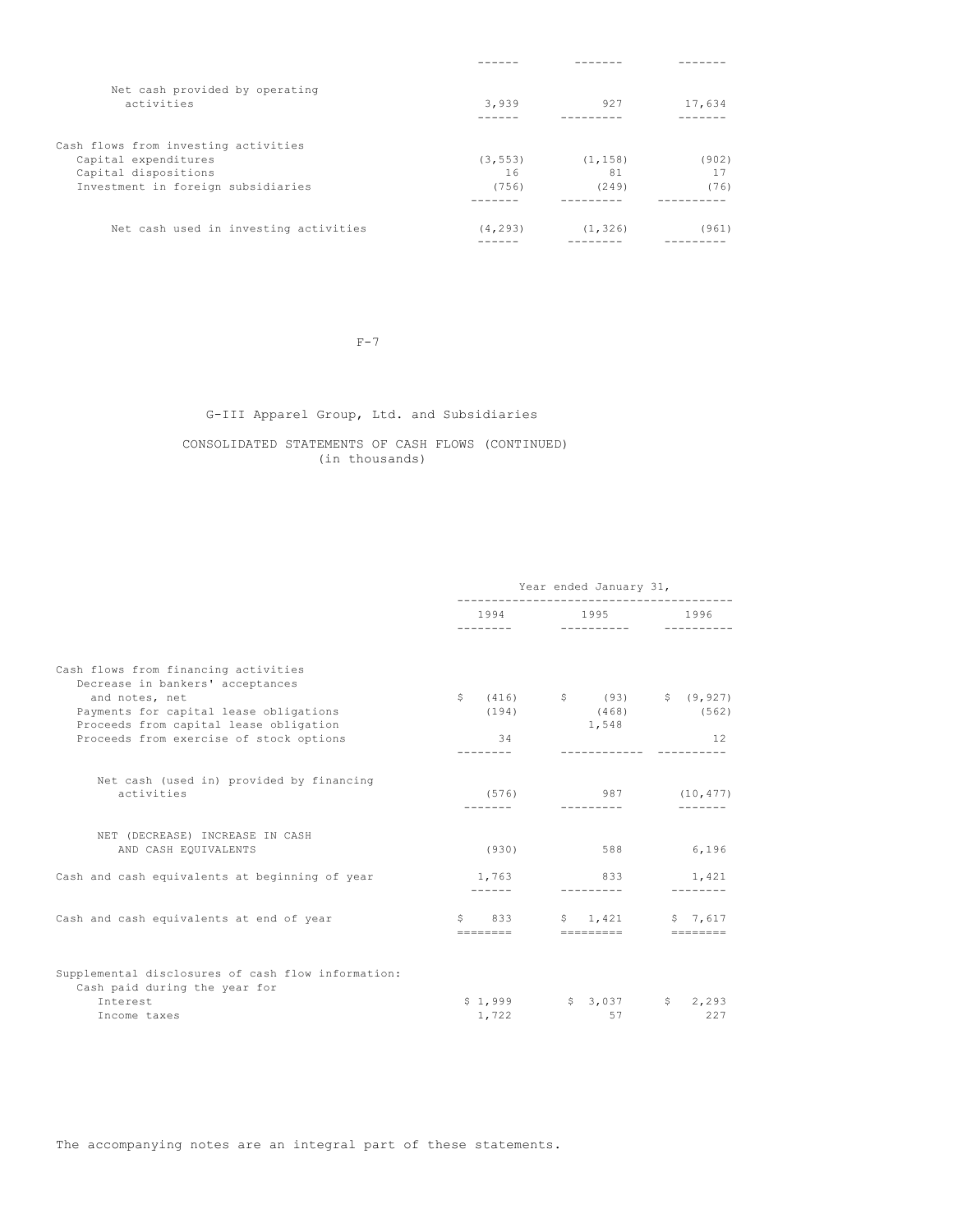| Net cash provided by operating        |          |          |        |
|---------------------------------------|----------|----------|--------|
| activities                            | 3,939    | 927      | 17,634 |
|                                       |          |          |        |
| Cash flows from investing activities  |          |          |        |
| Capital expenditures                  | (3, 553) | (1, 158) | (902)  |
| Capital dispositions                  | 16       | 81       | 17     |
| Investment in foreign subsidiaries    | (756)    | (249)    | (76)   |
|                                       |          |          |        |
| Net cash used in investing activities | (4, 293) | (1, 326) | (961)  |
|                                       |          |          |        |

 $F-7$ 

# G-III Apparel Group, Ltd. and Subsidiaries

# CONSOLIDATED STATEMENTS OF CASH FLOWS (CONTINUED) (in thousands)

|                                                                                                                                                                                                                           | Year ended January 31,                                                                                                           |                                                                                        |                             |
|---------------------------------------------------------------------------------------------------------------------------------------------------------------------------------------------------------------------------|----------------------------------------------------------------------------------------------------------------------------------|----------------------------------------------------------------------------------------|-----------------------------|
|                                                                                                                                                                                                                           | 1994 — 1994 — 1995 — 1996 — 1996 — 1997 — 1997 — 1997 — 1998 — 1998 — 1998 — 1998 — 1998 — 1998 — 1998 — 1998 — 199<br>--------- | 1995<br>----------                                                                     | 1996                        |
| Cash flows from financing activities<br>Decrease in bankers' acceptances<br>and notes, net<br>Payments for capital lease obligations<br>Proceeds from capital lease obligation<br>Proceeds from exercise of stock options | (194)<br>34                                                                                                                      | $\frac{1}{2}$ (416) $\frac{1}{2}$ (93) $\frac{1}{2}$ (9,927)<br>$(468)$ (562)<br>1,548 | 12                          |
| Net cash (used in) provided by financing<br>activities                                                                                                                                                                    | (576)                                                                                                                            | 987                                                                                    | (10, 477)                   |
| NET (DECREASE) INCREASE IN CASH<br>AND CASH EQUIVALENTS                                                                                                                                                                   | (930)                                                                                                                            | 588                                                                                    | 6,196                       |
| Cash and cash equivalents at beginning of year                                                                                                                                                                            | 1,763                                                                                                                            | 833                                                                                    | 1,421                       |
| Cash and cash equivalents at end of year                                                                                                                                                                                  | S<br>833<br>========                                                                                                             | \$1,421<br>=========                                                                   | 57.617<br>$=$ = = = = = = = |
| Supplemental disclosures of cash flow information:<br>Cash paid during the year for<br>Interest<br>Income taxes                                                                                                           | \$1,999<br>1,722                                                                                                                 | \$3,037<br>57                                                                          | \$2,293<br>227              |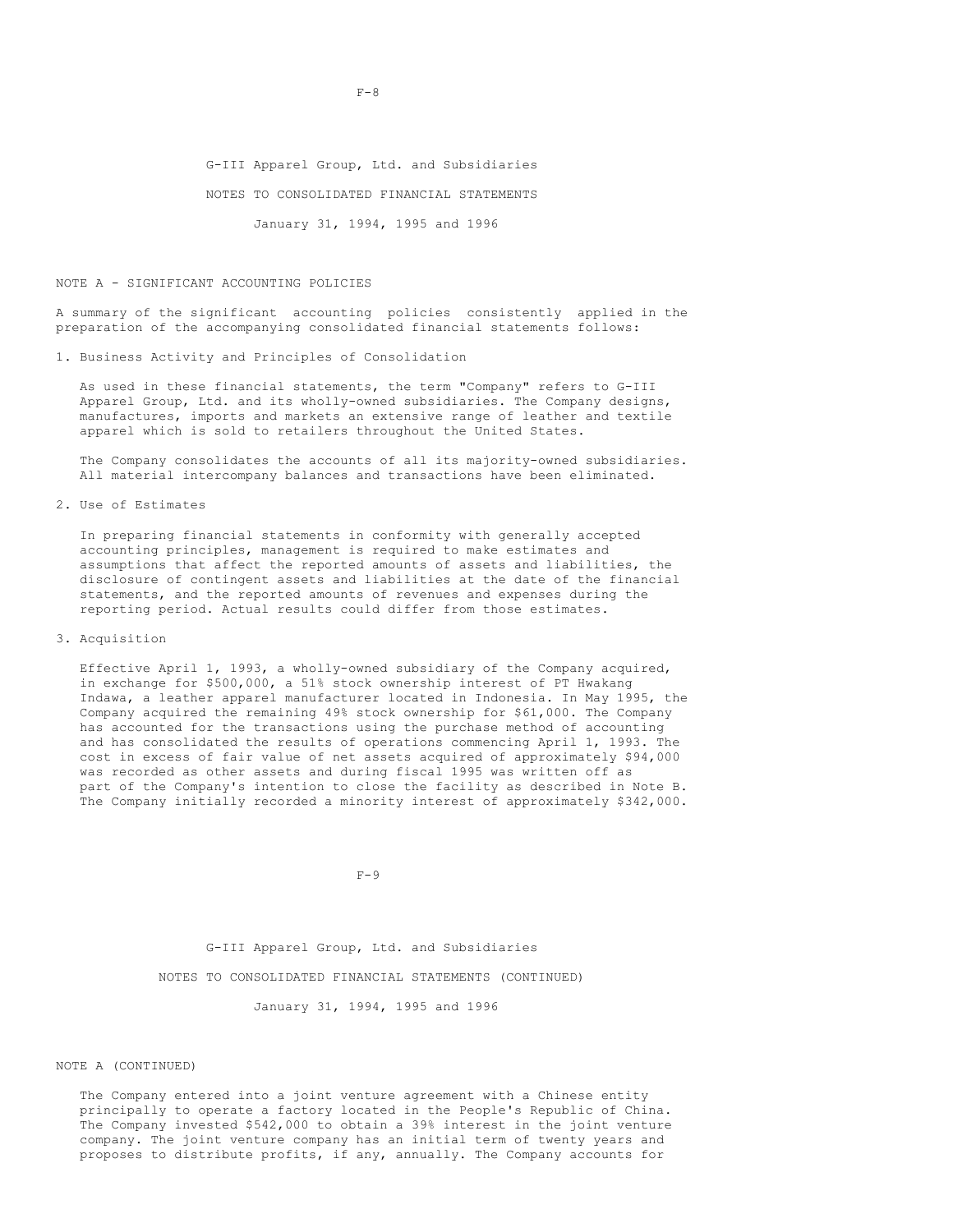G-III Apparel Group, Ltd. and Subsidiaries NOTES TO CONSOLIDATED FINANCIAL STATEMENTS

January 31, 1994, 1995 and 1996

#### NOTE A - SIGNIFICANT ACCOUNTING POLICIES

A summary of the significant accounting policies consistently applied in the preparation of the accompanying consolidated financial statements follows:

1. Business Activity and Principles of Consolidation

As used in these financial statements, the term "Company" refers to G-III Apparel Group, Ltd. and its wholly-owned subsidiaries. The Company designs, manufactures, imports and markets an extensive range of leather and textile apparel which is sold to retailers throughout the United States.

The Company consolidates the accounts of all its majority-owned subsidiaries. All material intercompany balances and transactions have been eliminated.

2. Use of Estimates

In preparing financial statements in conformity with generally accepted accounting principles, management is required to make estimates and assumptions that affect the reported amounts of assets and liabilities, the disclosure of contingent assets and liabilities at the date of the financial statements, and the reported amounts of revenues and expenses during the reporting period. Actual results could differ from those estimates.

3. Acquisition

Effective April 1, 1993, a wholly-owned subsidiary of the Company acquired, in exchange for \$500,000, a 51% stock ownership interest of PT Hwakang Indawa, a leather apparel manufacturer located in Indonesia. In May 1995, the Company acquired the remaining 49% stock ownership for \$61,000. The Company has accounted for the transactions using the purchase method of accounting and has consolidated the results of operations commencing April 1, 1993. The cost in excess of fair value of net assets acquired of approximately \$94,000 was recorded as other assets and during fiscal 1995 was written off as part of the Company's intention to close the facility as described in Note B. The Company initially recorded a minority interest of approximately \$342,000.

 $F-9$ 

G-III Apparel Group, Ltd. and Subsidiaries NOTES TO CONSOLIDATED FINANCIAL STATEMENTS (CONTINUED)

January 31, 1994, 1995 and 1996

#### NOTE A (CONTINUED)

The Company entered into a joint venture agreement with a Chinese entity principally to operate a factory located in the People's Republic of China. The Company invested \$542,000 to obtain a 39% interest in the joint venture company. The joint venture company has an initial term of twenty years and proposes to distribute profits, if any, annually. The Company accounts for

 $F - 8$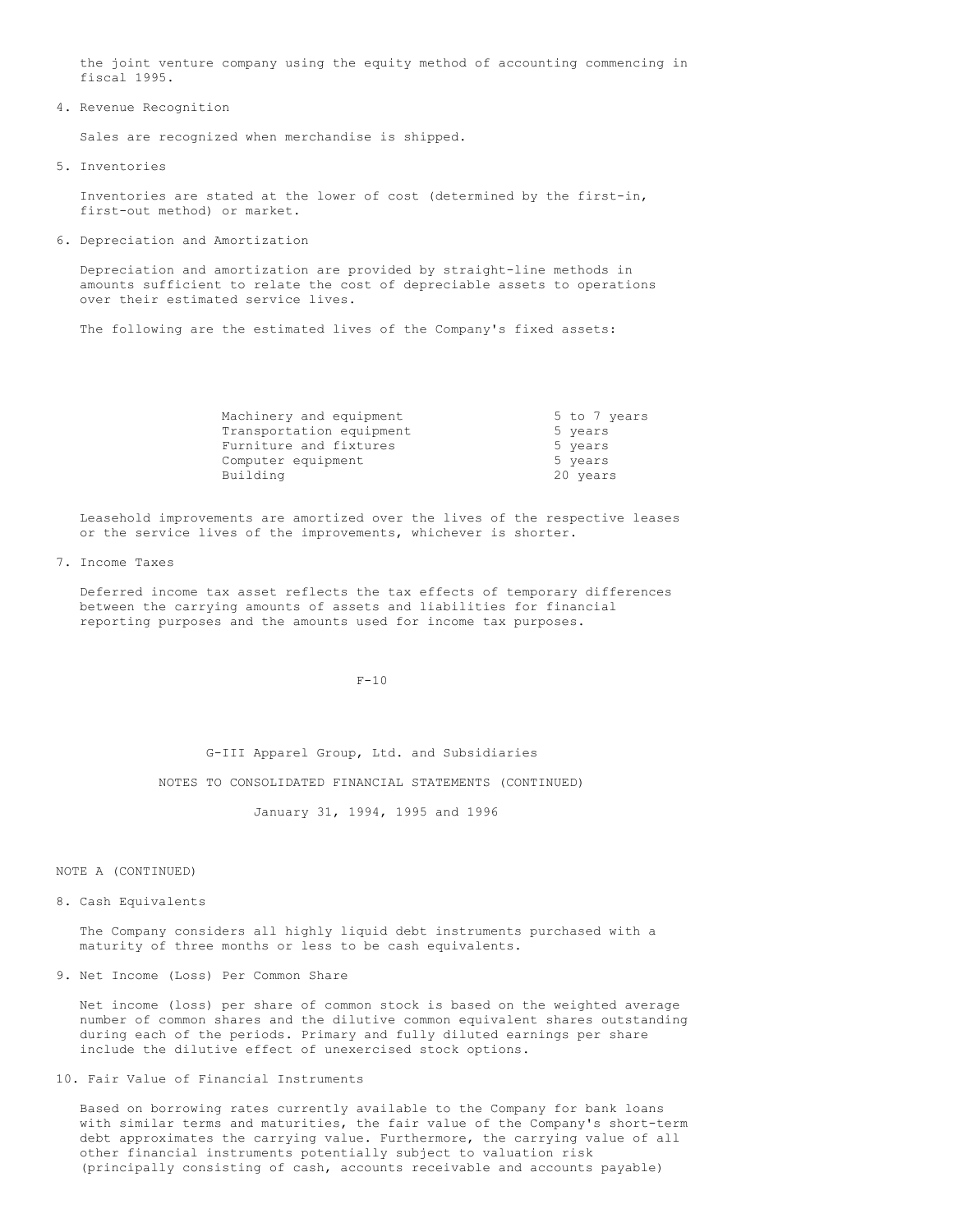the joint venture company using the equity method of accounting commencing in fiscal 1995.

4. Revenue Recognition

Sales are recognized when merchandise is shipped.

5. Inventories

Inventories are stated at the lower of cost (determined by the first-in, first-out method) or market.

6. Depreciation and Amortization

Depreciation and amortization are provided by straight-line methods in amounts sufficient to relate the cost of depreciable assets to operations over their estimated service lives.

The following are the estimated lives of the Company's fixed assets:

| Machinery and equipment  |          | 5 to 7 years |
|--------------------------|----------|--------------|
| Transportation equipment | 5 years  |              |
| Furniture and fixtures   | 5 years  |              |
| Computer equipment       | 5 years  |              |
| Building                 | 20 years |              |

Leasehold improvements are amortized over the lives of the respective leases or the service lives of the improvements, whichever is shorter.

7. Income Taxes

Deferred income tax asset reflects the tax effects of temporary differences between the carrying amounts of assets and liabilities for financial reporting purposes and the amounts used for income tax purposes.

 $F-10$ 

G-III Apparel Group, Ltd. and Subsidiaries

NOTES TO CONSOLIDATED FINANCIAL STATEMENTS (CONTINUED)

January 31, 1994, 1995 and 1996

NOTE A (CONTINUED)

#### 8. Cash Equivalents

The Company considers all highly liquid debt instruments purchased with a maturity of three months or less to be cash equivalents.

## 9. Net Income (Loss) Per Common Share

Net income (loss) per share of common stock is based on the weighted average number of common shares and the dilutive common equivalent shares outstanding during each of the periods. Primary and fully diluted earnings per share include the dilutive effect of unexercised stock options.

# 10. Fair Value of Financial Instruments

Based on borrowing rates currently available to the Company for bank loans with similar terms and maturities, the fair value of the Company's short-term debt approximates the carrying value. Furthermore, the carrying value of all other financial instruments potentially subject to valuation risk (principally consisting of cash, accounts receivable and accounts payable)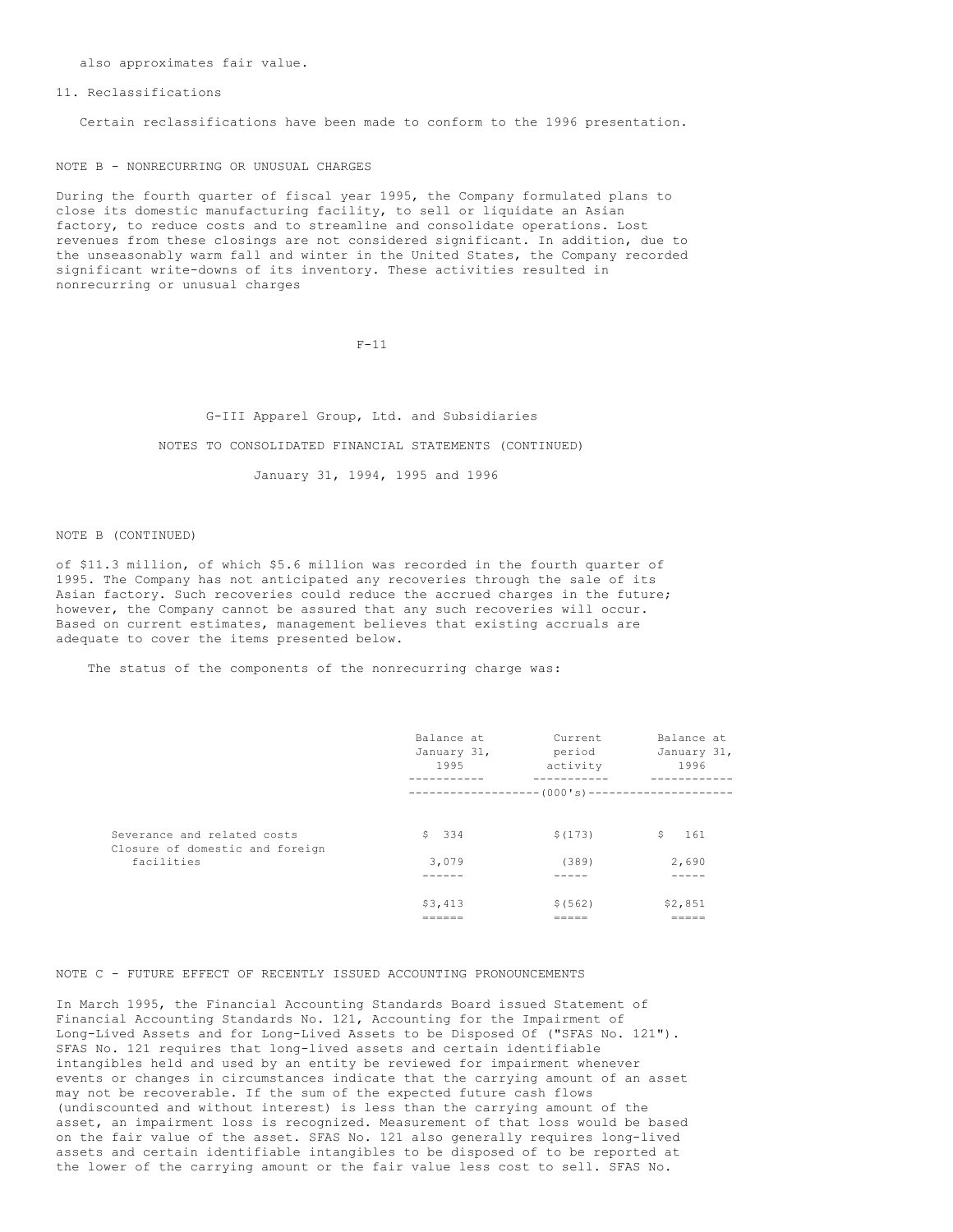also approximates fair value.

11. Reclassifications

Certain reclassifications have been made to conform to the 1996 presentation.

NOTE B - NONRECURRING OR UNUSUAL CHARGES

During the fourth quarter of fiscal year 1995, the Company formulated plans to close its domestic manufacturing facility, to sell or liquidate an Asian factory, to reduce costs and to streamline and consolidate operations. Lost revenues from these closings are not considered significant. In addition, due to the unseasonably warm fall and winter in the United States, the Company recorded significant write-downs of its inventory. These activities resulted in nonrecurring or unusual charges

 $F-11$ 

G-III Apparel Group, Ltd. and Subsidiaries NOTES TO CONSOLIDATED FINANCIAL STATEMENTS (CONTINUED) January 31, 1994, 1995 and 1996

NOTE B (CONTINUED)

of \$11.3 million, of which \$5.6 million was recorded in the fourth quarter of 1995. The Company has not anticipated any recoveries through the sale of its Asian factory. Such recoveries could reduce the accrued charges in the future; however, the Company cannot be assured that any such recoveries will occur. Based on current estimates, management believes that existing accruals are adequate to cover the items presented below.

The status of the components of the nonrecurring charge was:

|                                                                | Balance at<br>January 31,<br>1995 | Current<br>period<br>activity                     | Balance at<br>January 31,<br>1996 |
|----------------------------------------------------------------|-----------------------------------|---------------------------------------------------|-----------------------------------|
|                                                                |                                   | ------------------- (000's)---------------------- |                                   |
| Severance and related costs<br>Closure of domestic and foreign | \$334                             | \$(173)                                           | S.<br>161                         |
| facilities                                                     | 3,079                             | (389)                                             | 2,690                             |
|                                                                | \$3,413                           | \$ (562)                                          | \$2,851<br>------                 |

NOTE C - FUTURE EFFECT OF RECENTLY ISSUED ACCOUNTING PRONOUNCEMENTS

In March 1995, the Financial Accounting Standards Board issued Statement of Financial Accounting Standards No. 121, Accounting for the Impairment of Long-Lived Assets and for Long-Lived Assets to be Disposed Of ("SFAS No. 121"). SFAS No. 121 requires that long-lived assets and certain identifiable intangibles held and used by an entity be reviewed for impairment whenever events or changes in circumstances indicate that the carrying amount of an asset may not be recoverable. If the sum of the expected future cash flows (undiscounted and without interest) is less than the carrying amount of the asset, an impairment loss is recognized. Measurement of that loss would be based on the fair value of the asset. SFAS No. 121 also generally requires long-lived assets and certain identifiable intangibles to be disposed of to be reported at the lower of the carrying amount or the fair value less cost to sell. SFAS No.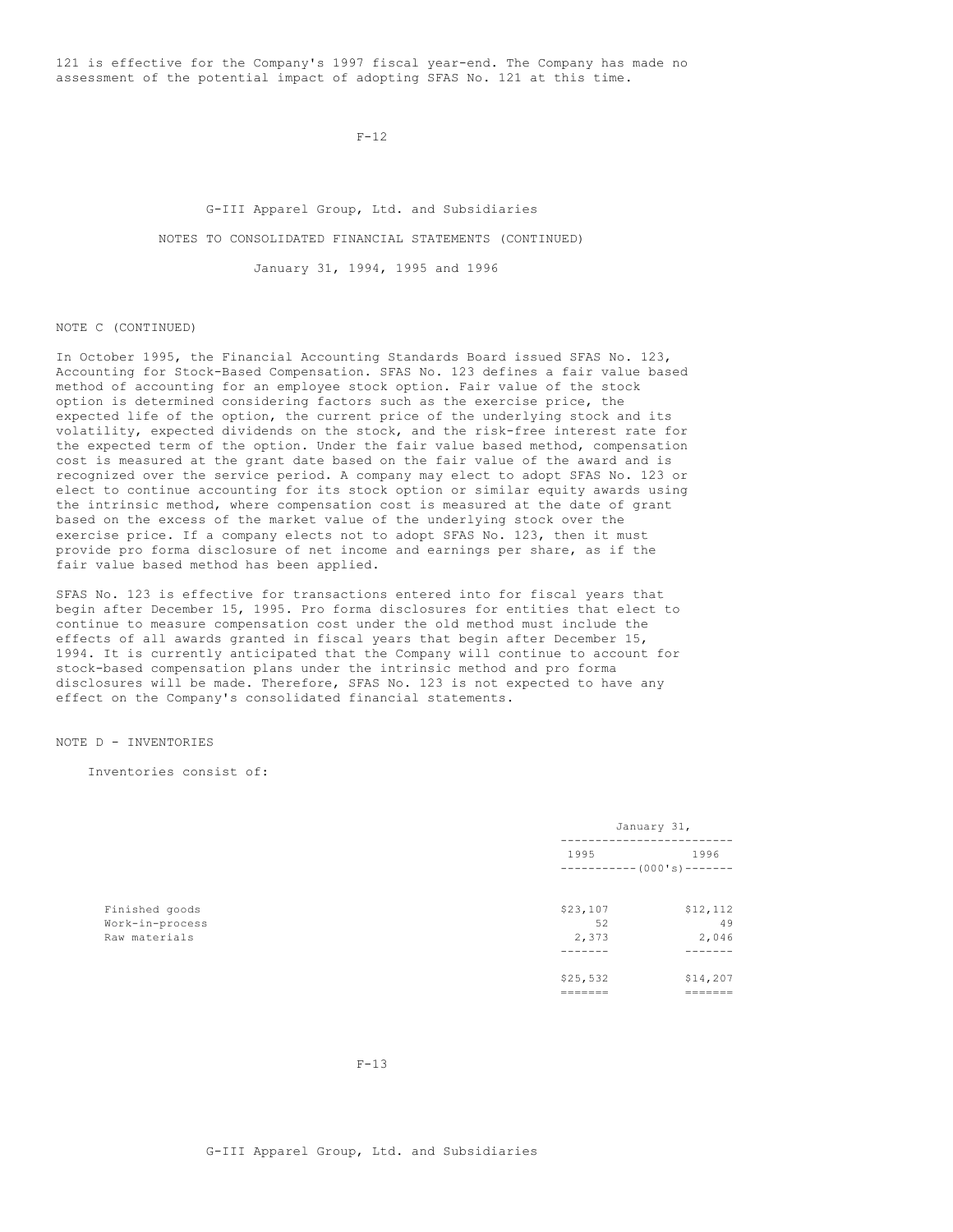121 is effective for the Company's 1997 fiscal year-end. The Company has made no assessment of the potential impact of adopting SFAS No. 121 at this time.

 $F-12$ 

G-III Apparel Group, Ltd. and Subsidiaries NOTES TO CONSOLIDATED FINANCIAL STATEMENTS (CONTINUED) January 31, 1994, 1995 and 1996

NOTE C (CONTINUED)

In October 1995, the Financial Accounting Standards Board issued SFAS No. 123, Accounting for Stock-Based Compensation. SFAS No. 123 defines a fair value based method of accounting for an employee stock option. Fair value of the stock option is determined considering factors such as the exercise price, the expected life of the option, the current price of the underlying stock and its volatility, expected dividends on the stock, and the risk-free interest rate for the expected term of the option. Under the fair value based method, compensation cost is measured at the grant date based on the fair value of the award and is recognized over the service period. A company may elect to adopt SFAS No. 123 or elect to continue accounting for its stock option or similar equity awards using the intrinsic method, where compensation cost is measured at the date of grant based on the excess of the market value of the underlying stock over the exercise price. If a company elects not to adopt SFAS No. 123, then it must provide pro forma disclosure of net income and earnings per share, as if the fair value based method has been applied.

SFAS No. 123 is effective for transactions entered into for fiscal years that begin after December 15, 1995. Pro forma disclosures for entities that elect to continue to measure compensation cost under the old method must include the effects of all awards granted in fiscal years that begin after December 15, 1994. It is currently anticipated that the Company will continue to account for stock-based compensation plans under the intrinsic method and pro forma disclosures will be made. Therefore, SFAS No. 123 is not expected to have any effect on the Company's consolidated financial statements.

NOTE D - INVENTORIES

Inventories consist of:

|                 |                          | January 31, |  |
|-----------------|--------------------------|-------------|--|
|                 | 1995                     | 1996        |  |
|                 | $---------(000's)------$ |             |  |
| Finished goods  | \$23,107                 | \$12,112    |  |
| Work-in-process | 52                       | 49          |  |
| Raw materials   | 2,373                    | 2,046       |  |
|                 |                          |             |  |
|                 | \$25,532                 | \$14,207    |  |
|                 |                          | =======     |  |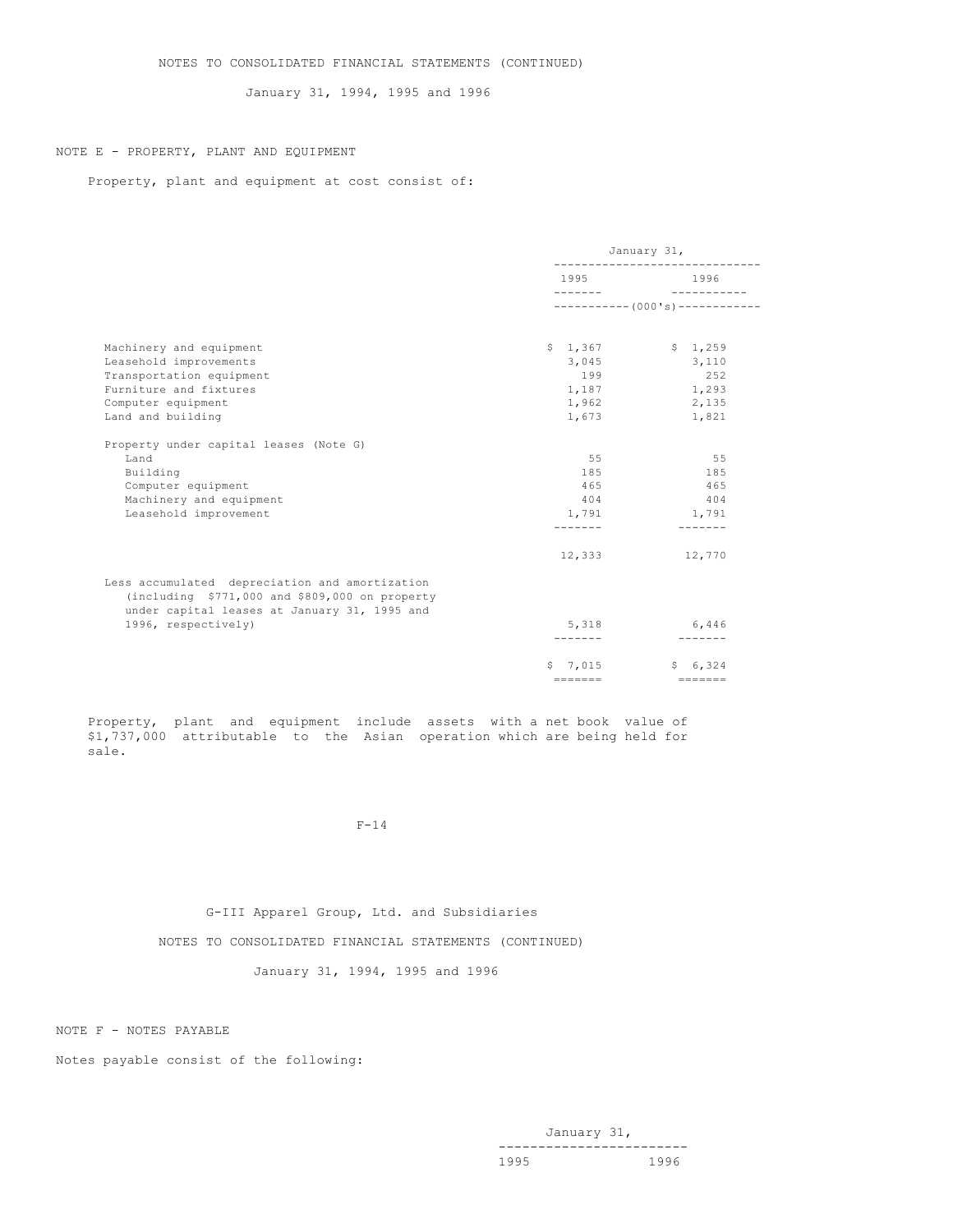January 31, 1994, 1995 and 1996

# NOTE E - PROPERTY, PLANT AND EQUIPMENT

Property, plant and equipment at cost consist of:

|                                                                                                                                                    | January 31,     |                 |  |
|----------------------------------------------------------------------------------------------------------------------------------------------------|-----------------|-----------------|--|
|                                                                                                                                                    |                 | 1996            |  |
|                                                                                                                                                    |                 |                 |  |
| Machinery and equipment                                                                                                                            | \$1,367         | \$1,259         |  |
| Leasehold improvements                                                                                                                             | 3,045           | 3,110           |  |
| Transportation equipment                                                                                                                           | 199             | 252             |  |
| Furniture and fixtures                                                                                                                             | 1,187           | 1,293           |  |
| Computer equipment                                                                                                                                 | 1,962           | 2,135           |  |
| Land and building                                                                                                                                  | 1,673           | 1,821           |  |
| Property under capital leases (Note G)                                                                                                             |                 |                 |  |
| Land                                                                                                                                               | 55              | 55              |  |
| Building                                                                                                                                           | 185             | 185             |  |
| Computer equipment                                                                                                                                 | 465             | 465             |  |
| Machinery and equipment                                                                                                                            | 404             | 404             |  |
| Leasehold improvement                                                                                                                              | 1,791           | 1,791           |  |
|                                                                                                                                                    |                 |                 |  |
|                                                                                                                                                    | 12,333          | 12,770          |  |
| Less accumulated depreciation and amortization<br>(including $$771,000$ and $$809,000$ on property<br>under capital leases at January 31, 1995 and |                 |                 |  |
| 1996, respectively)                                                                                                                                | 5,318           | 6,446           |  |
|                                                                                                                                                    |                 | --------        |  |
|                                                                                                                                                    | 5, 7, 015       | \$6.324         |  |
|                                                                                                                                                    | $=$ = = = = = = | $=$ = = = = = = |  |

Property, plant and equipment include assets with a net book value of \$1,737,000 attributable to the Asian operation which are being held for sale.

## F-14

# G-III Apparel Group, Ltd. and Subsidiaries

NOTES TO CONSOLIDATED FINANCIAL STATEMENTS (CONTINUED)

January 31, 1994, 1995 and 1996

NOTE F - NOTES PAYABLE

Notes payable consist of the following: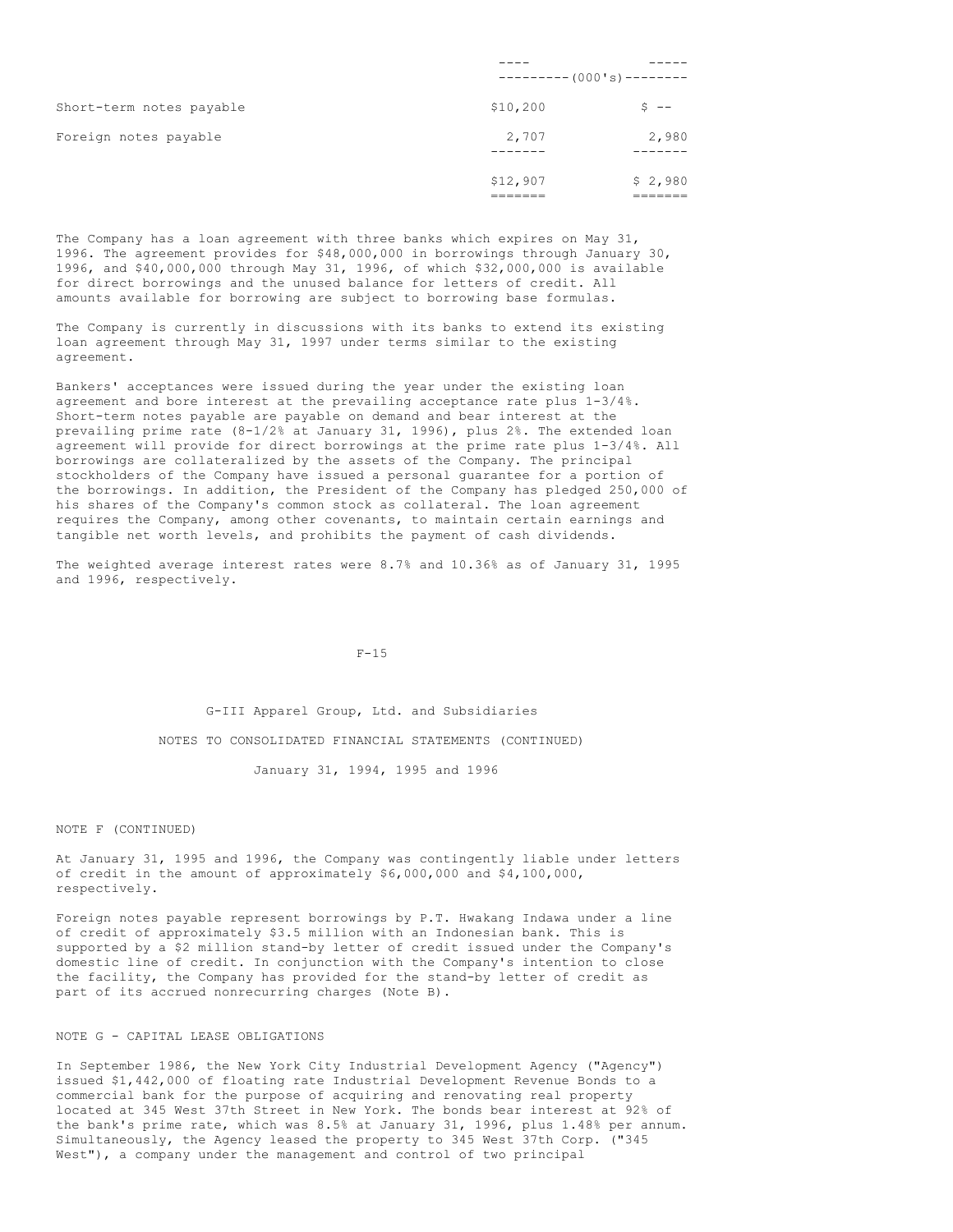|                          |          | $-------(000's)------$ |
|--------------------------|----------|------------------------|
| Short-term notes payable | \$10,200 | $S$ $-$                |
| Foreign notes payable    | 2,707    | 2,980                  |
|                          |          |                        |
|                          | \$12,907 | \$2,980                |

The Company has a loan agreement with three banks which expires on May 31, 1996. The agreement provides for \$48,000,000 in borrowings through January 30, 1996, and \$40,000,000 through May 31, 1996, of which \$32,000,000 is available for direct borrowings and the unused balance for letters of credit. All amounts available for borrowing are subject to borrowing base formulas.

The Company is currently in discussions with its banks to extend its existing loan agreement through May 31, 1997 under terms similar to the existing agreement.

Bankers' acceptances were issued during the year under the existing loan agreement and bore interest at the prevailing acceptance rate plus 1-3/4%. Short-term notes payable are payable on demand and bear interest at the prevailing prime rate (8-1/2% at January 31, 1996), plus 2%. The extended loan agreement will provide for direct borrowings at the prime rate plus 1-3/4%. All borrowings are collateralized by the assets of the Company. The principal stockholders of the Company have issued a personal guarantee for a portion of the borrowings. In addition, the President of the Company has pledged 250,000 of his shares of the Company's common stock as collateral. The loan agreement requires the Company, among other covenants, to maintain certain earnings and tangible net worth levels, and prohibits the payment of cash dividends.

The weighted average interest rates were 8.7% and 10.36% as of January 31, 1995 and 1996, respectively.

 $F-15$ 

G-III Apparel Group, Ltd. and Subsidiaries NOTES TO CONSOLIDATED FINANCIAL STATEMENTS (CONTINUED) January 31, 1994, 1995 and 1996

NOTE F (CONTINUED)

At January 31, 1995 and 1996, the Company was contingently liable under letters of credit in the amount of approximately \$6,000,000 and \$4,100,000, respectively.

Foreign notes payable represent borrowings by P.T. Hwakang Indawa under a line of credit of approximately \$3.5 million with an Indonesian bank. This is supported by a \$2 million stand-by letter of credit issued under the Company's domestic line of credit. In conjunction with the Company's intention to close the facility, the Company has provided for the stand-by letter of credit as part of its accrued nonrecurring charges (Note B).

# NOTE G - CAPITAL LEASE OBLIGATIONS

In September 1986, the New York City Industrial Development Agency ("Agency") issued \$1,442,000 of floating rate Industrial Development Revenue Bonds to a commercial bank for the purpose of acquiring and renovating real property located at 345 West 37th Street in New York. The bonds bear interest at 92% of the bank's prime rate, which was 8.5% at January 31, 1996, plus 1.48% per annum. Simultaneously, the Agency leased the property to 345 West 37th Corp. ("345 West"), a company under the management and control of two principal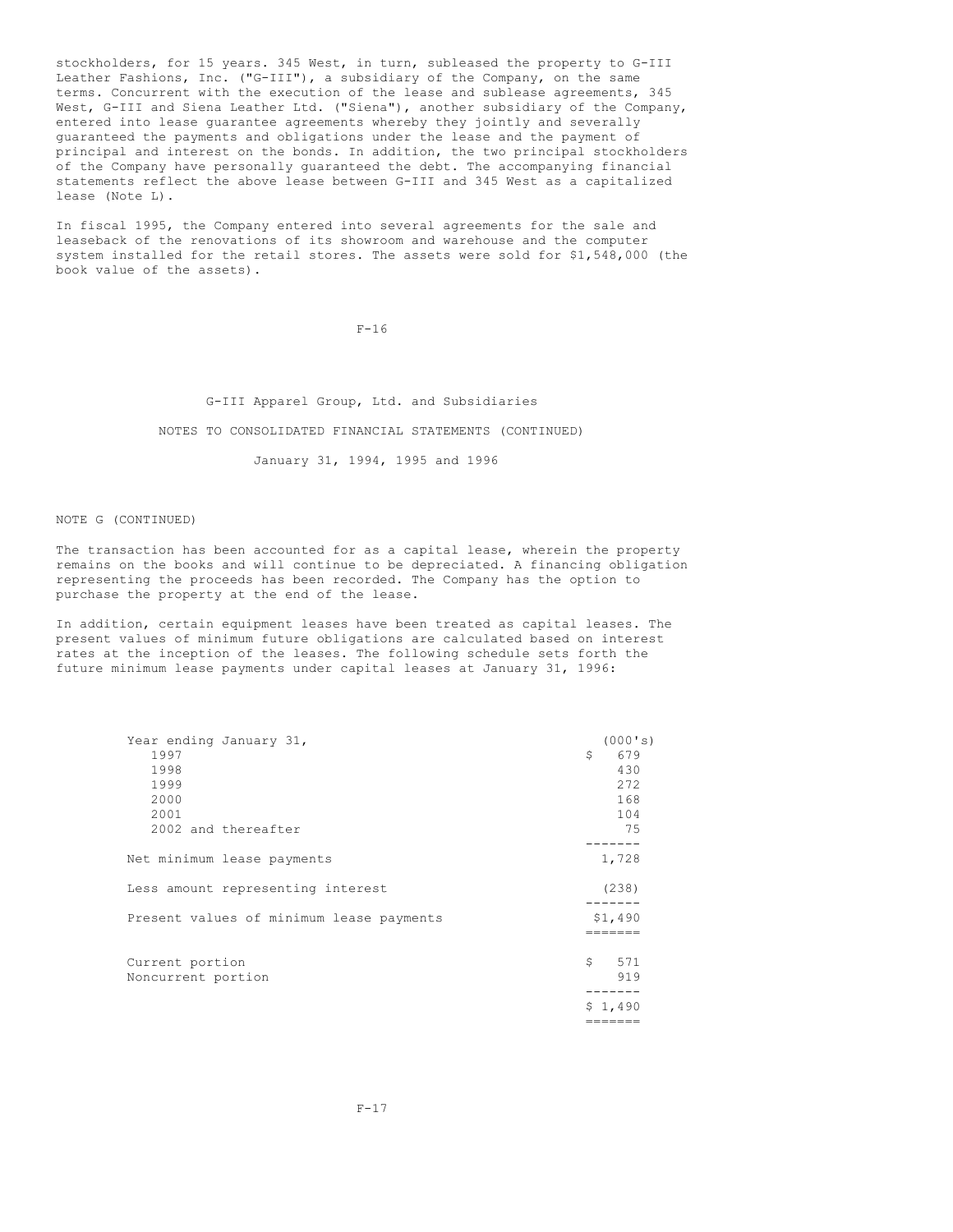stockholders, for 15 years. 345 West, in turn, subleased the property to G-III Leather Fashions, Inc. ("G-III"), a subsidiary of the Company, on the same terms. Concurrent with the execution of the lease and sublease agreements, 345 West, G-III and Siena Leather Ltd. ("Siena"), another subsidiary of the Company, entered into lease guarantee agreements whereby they jointly and severally guaranteed the payments and obligations under the lease and the payment of principal and interest on the bonds. In addition, the two principal stockholders of the Company have personally guaranteed the debt. The accompanying financial statements reflect the above lease between G-III and 345 West as a capitalized lease (Note L).

In fiscal 1995, the Company entered into several agreements for the sale and leaseback of the renovations of its showroom and warehouse and the computer system installed for the retail stores. The assets were sold for \$1,548,000 (the book value of the assets).

 $F-16$ 

G-III Apparel Group, Ltd. and Subsidiaries

NOTES TO CONSOLIDATED FINANCIAL STATEMENTS (CONTINUED)

January 31, 1994, 1995 and 1996

NOTE G (CONTINUED)

The transaction has been accounted for as a capital lease, wherein the property remains on the books and will continue to be depreciated. A financing obligation representing the proceeds has been recorded. The Company has the option to purchase the property at the end of the lease.

In addition, certain equipment leases have been treated as capital leases. The present values of minimum future obligations are calculated based on interest rates at the inception of the leases. The following schedule sets forth the future minimum lease payments under capital leases at January 31, 1996:

| Year ending January 31,                  | (000's)          |
|------------------------------------------|------------------|
| 1997                                     | Ŝ.<br>679        |
| 1998                                     | 430              |
| 1999                                     | 272              |
| 2000                                     | 168              |
| 2001                                     | 104              |
| 2002 and thereafter                      | 75               |
|                                          |                  |
| Net minimum lease payments               | 1,728            |
| Less amount representing interest        | (238)            |
| Present values of minimum lease payments | \$1,490          |
|                                          |                  |
| Current portion<br>Noncurrent portion    | 571<br>Ŝ.<br>919 |
|                                          |                  |
|                                          | \$1,490          |

=======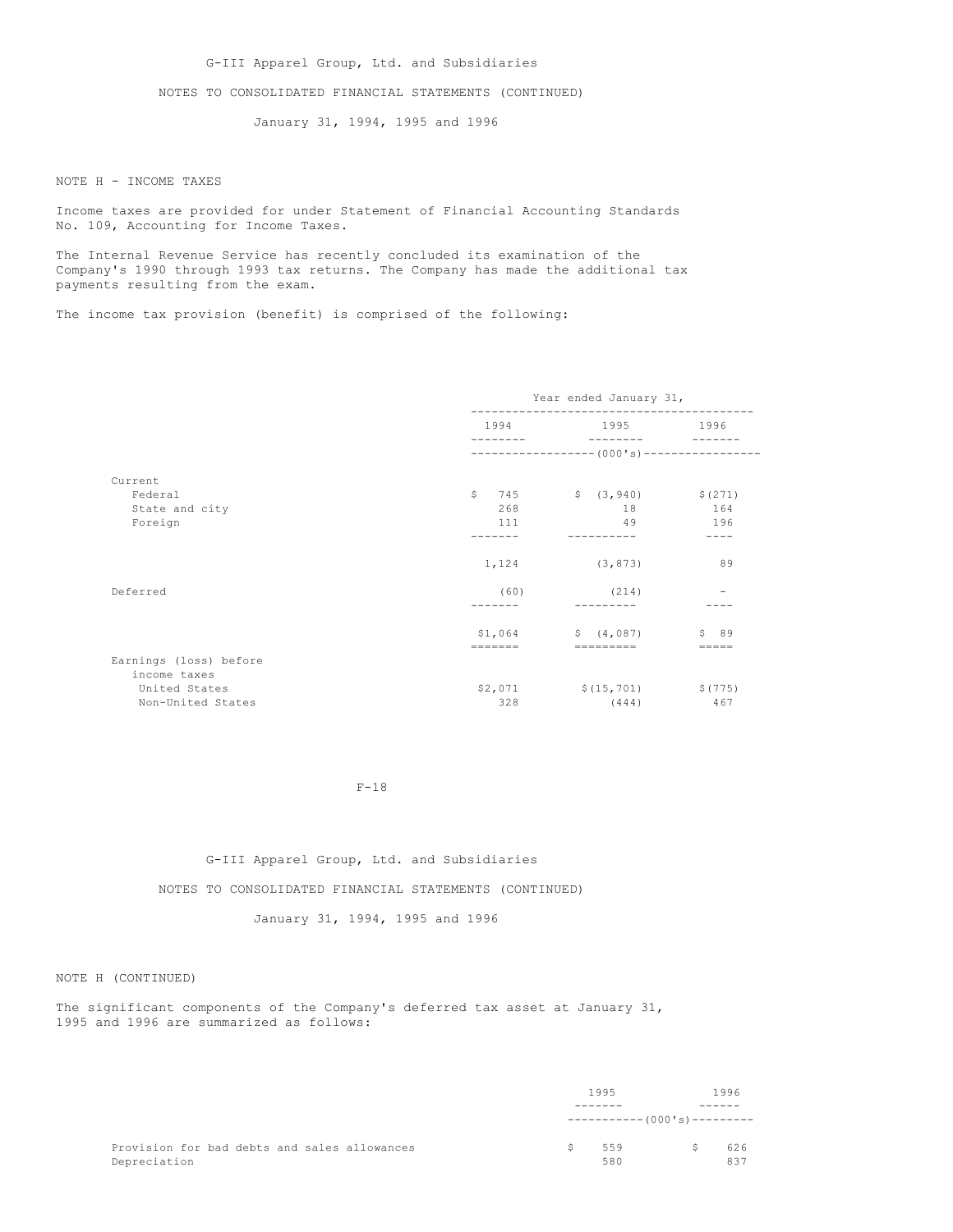G-III Apparel Group, Ltd. and Subsidiaries

NOTES TO CONSOLIDATED FINANCIAL STATEMENTS (CONTINUED)

January 31, 1994, 1995 and 1996

NOTE H - INCOME TAXES

Income taxes are provided for under Statement of Financial Accounting Standards No. 109, Accounting for Income Taxes.

The Internal Revenue Service has recently concluded its examination of the Company's 1990 through 1993 tax returns. The Company has made the additional tax payments resulting from the exam.

The income tax provision (benefit) is comprised of the following:

|                                        | Year ended January 31, |                                                     |                 |  |
|----------------------------------------|------------------------|-----------------------------------------------------|-----------------|--|
|                                        | 1994                   | 1995 1996                                           |                 |  |
|                                        |                        | ------------------ (000's)-----------------         |                 |  |
| Current                                |                        |                                                     |                 |  |
| Federal                                | $\mathsf{S}^-$         | $745$ $\frac{1}{5}$ $(3,940)$ $\frac{1}{5}$ $(271)$ |                 |  |
| State and city                         | 268                    | 18                                                  | 164             |  |
| Foreign                                | 111                    | 49                                                  | 196             |  |
|                                        |                        |                                                     |                 |  |
|                                        | 1,124                  | (3, 873)                                            | 89              |  |
| Deferred                               | (60)                   | (214)                                               |                 |  |
|                                        |                        |                                                     |                 |  |
|                                        |                        | $$1,064$ $$(4,087)$                                 | \$89            |  |
|                                        | $=$ = = = = = =        | $=$ = = = = = = = =                                 | $=$ $=$ $=$ $=$ |  |
| Earnings (loss) before<br>income taxes |                        |                                                     |                 |  |
| United States                          | \$2,071                | $$(15, 701)$ $$(775)$                               |                 |  |
| Non-United States                      | 328                    | (444)                                               | 467             |  |

# F-18

# G-III Apparel Group, Ltd. and Subsidiaries

NOTES TO CONSOLIDATED FINANCIAL STATEMENTS (CONTINUED)

January 31, 1994, 1995 and 1996

NOTE H (CONTINUED)

The significant components of the Company's deferred tax asset at January 31, 1995 and 1996 are summarized as follows:

|                                              | 1995 |                              | 1996 |     |
|----------------------------------------------|------|------------------------------|------|-----|
|                                              |      |                              |      |     |
|                                              |      | ----------- (000's)--------- |      |     |
| Provision for bad debts and sales allowances | S.   | 559                          | S.   | 626 |
| Depreciation                                 |      | 580                          |      | 837 |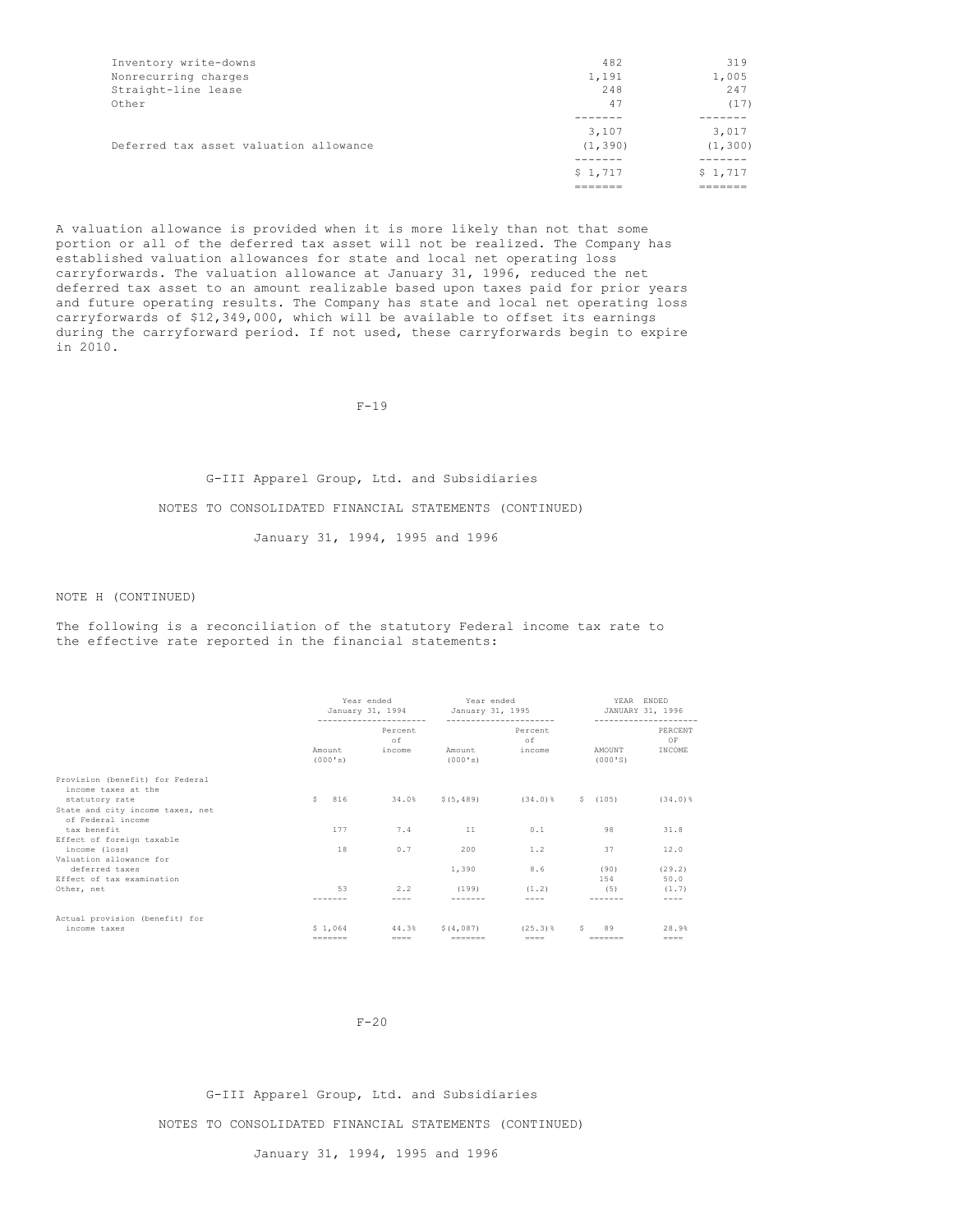|                                        | \$1,717  | \$1,717  |
|----------------------------------------|----------|----------|
|                                        |          |          |
| Deferred tax asset valuation allowance | (1, 390) | (1, 300) |
|                                        | 3,107    | 3,017    |
|                                        |          |          |
| Other                                  | 47       | (17)     |
| Straight-line lease                    | 248      | 247      |
| Nonrecurring charges                   | 1,191    | 1,005    |
| Inventory write-downs                  | 482      | 319      |
|                                        |          |          |

A valuation allowance is provided when it is more likely than not that some portion or all of the deferred tax asset will not be realized. The Company has established valuation allowances for state and local net operating loss carryforwards. The valuation allowance at January 31, 1996, reduced the net deferred tax asset to an amount realizable based upon taxes paid for prior years and future operating results. The Company has state and local net operating loss carryforwards of \$12,349,000, which will be available to offset its earnings during the carryforward period. If not used, these carryforwards begin to expire in 2010.

 $F-19$ 

# G-III Apparel Group, Ltd. and Subsidiaries NOTES TO CONSOLIDATED FINANCIAL STATEMENTS (CONTINUED) January 31, 1994, 1995 and 1996

## NOTE H (CONTINUED)

The following is a reconciliation of the statutory Federal income tax rate to the effective rate reported in the financial statements:

|                                                                         | Year ended<br>January 31, 1994 |                   | Year ended<br>January 31, 1995 |                   |                                 |   | YEAR ENDED<br>JANUARY 31, 1996 |                          |
|-------------------------------------------------------------------------|--------------------------------|-------------------|--------------------------------|-------------------|---------------------------------|---|--------------------------------|--------------------------|
|                                                                         |                                | Amount<br>(000's) | Percent<br>of<br>income        | Amount<br>(000's) | Percent<br>of<br>income         |   | AMOUNT<br>(000'S)              | PERCENT<br>OF<br>INCOME  |
| Provision (benefit) for Federal<br>income taxes at the                  |                                |                   |                                |                   |                                 |   |                                |                          |
| statutory rate<br>State and city income taxes, net<br>of Federal income | s                              | 816               | 34.0%                          | \$(5, 489)        | $(34.0)$ %                      |   | \$(105)                        | $(34.0)$ $%$             |
| tax benefit                                                             |                                | 177               | 7.4                            | 11                | 0.1                             |   | 98                             | 31.8                     |
| Effect of foreign taxable<br>income (loss)<br>Valuation allowance for   |                                | 18                | 0.7                            | 200               | 1.2                             |   | 37                             | 12.0                     |
| deferred taxes<br>Effect of tax examination                             |                                |                   |                                | 1,390             | 8.6                             |   | (90)<br>1.54                   | (29.2)<br>50.0           |
| Other, net                                                              |                                | 53                | 2.2                            | (199)             | (1.2)                           |   | (5)                            | (1.7)<br>----            |
|                                                                         |                                |                   |                                |                   |                                 |   |                                |                          |
| Actual provision (benefit) for<br>income taxes                          |                                | \$1.064           | 44.3%<br>$====$                | S(4.087)          | $(25.3)$ $%$<br>$=$ $=$ $=$ $=$ | s | 89<br>-------                  | 28.9%<br>$=$ $=$ $=$ $=$ |

 $F-20$ 

G-III Apparel Group, Ltd. and Subsidiaries NOTES TO CONSOLIDATED FINANCIAL STATEMENTS (CONTINUED)

January 31, 1994, 1995 and 1996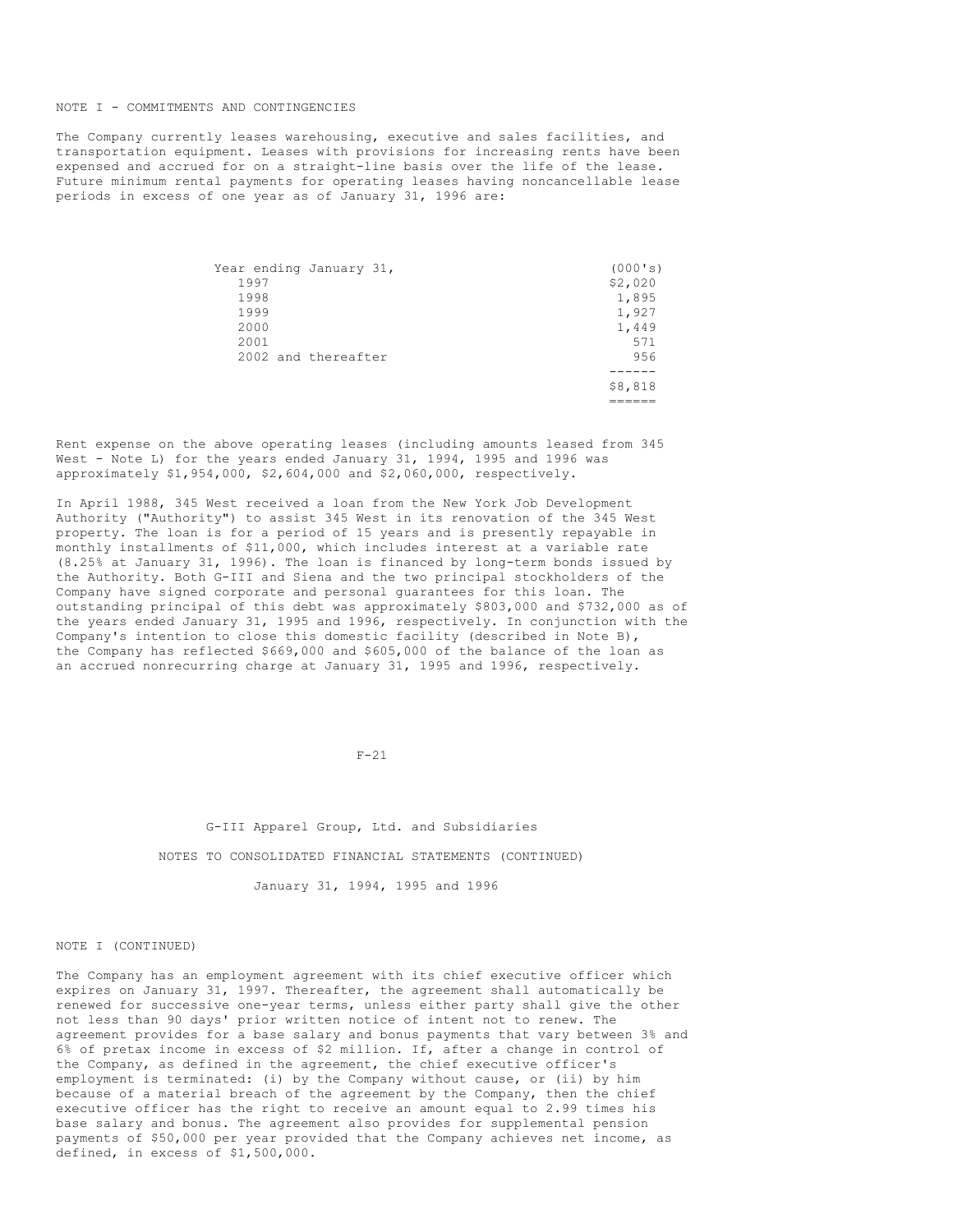#### NOTE I - COMMITMENTS AND CONTINGENCIES

The Company currently leases warehousing, executive and sales facilities, and transportation equipment. Leases with provisions for increasing rents have been expensed and accrued for on a straight-line basis over the life of the lease. Future minimum rental payments for operating leases having noncancellable lease periods in excess of one year as of January 31, 1996 are:

|      | Year ending January 31, | (000's) |
|------|-------------------------|---------|
| 1997 |                         | \$2,020 |
| 1998 |                         | 1,895   |
| 1999 |                         | 1,927   |
| 2000 |                         | 1,449   |
| 2001 |                         | 571     |
|      | 2002 and thereafter     | 956     |
|      |                         |         |
|      |                         | \$8,818 |
|      |                         |         |

Rent expense on the above operating leases (including amounts leased from 345 West - Note L) for the years ended January 31, 1994, 1995 and 1996 was approximately \$1,954,000, \$2,604,000 and \$2,060,000, respectively.

In April 1988, 345 West received a loan from the New York Job Development Authority ("Authority") to assist 345 West in its renovation of the 345 West property. The loan is for a period of 15 years and is presently repayable in monthly installments of \$11,000, which includes interest at a variable rate (8.25% at January 31, 1996). The loan is financed by long-term bonds issued by the Authority. Both G-III and Siena and the two principal stockholders of the Company have signed corporate and personal guarantees for this loan. The outstanding principal of this debt was approximately \$803,000 and \$732,000 as of the years ended January 31, 1995 and 1996, respectively. In conjunction with the Company's intention to close this domestic facility (described in Note B), the Company has reflected \$669,000 and \$605,000 of the balance of the loan as an accrued nonrecurring charge at January 31, 1995 and 1996, respectively.

F-21

G-III Apparel Group, Ltd. and Subsidiaries NOTES TO CONSOLIDATED FINANCIAL STATEMENTS (CONTINUED)

January 31, 1994, 1995 and 1996

#### NOTE I (CONTINUED)

The Company has an employment agreement with its chief executive officer which expires on January 31, 1997. Thereafter, the agreement shall automatically be renewed for successive one-year terms, unless either party shall give the other not less than 90 days' prior written notice of intent not to renew. The agreement provides for a base salary and bonus payments that vary between 3% and 6% of pretax income in excess of \$2 million. If, after a change in control of the Company, as defined in the agreement, the chief executive officer's employment is terminated: (i) by the Company without cause, or (ii) by him because of a material breach of the agreement by the Company, then the chief executive officer has the right to receive an amount equal to 2.99 times his base salary and bonus. The agreement also provides for supplemental pension payments of \$50,000 per year provided that the Company achieves net income, as defined, in excess of \$1,500,000.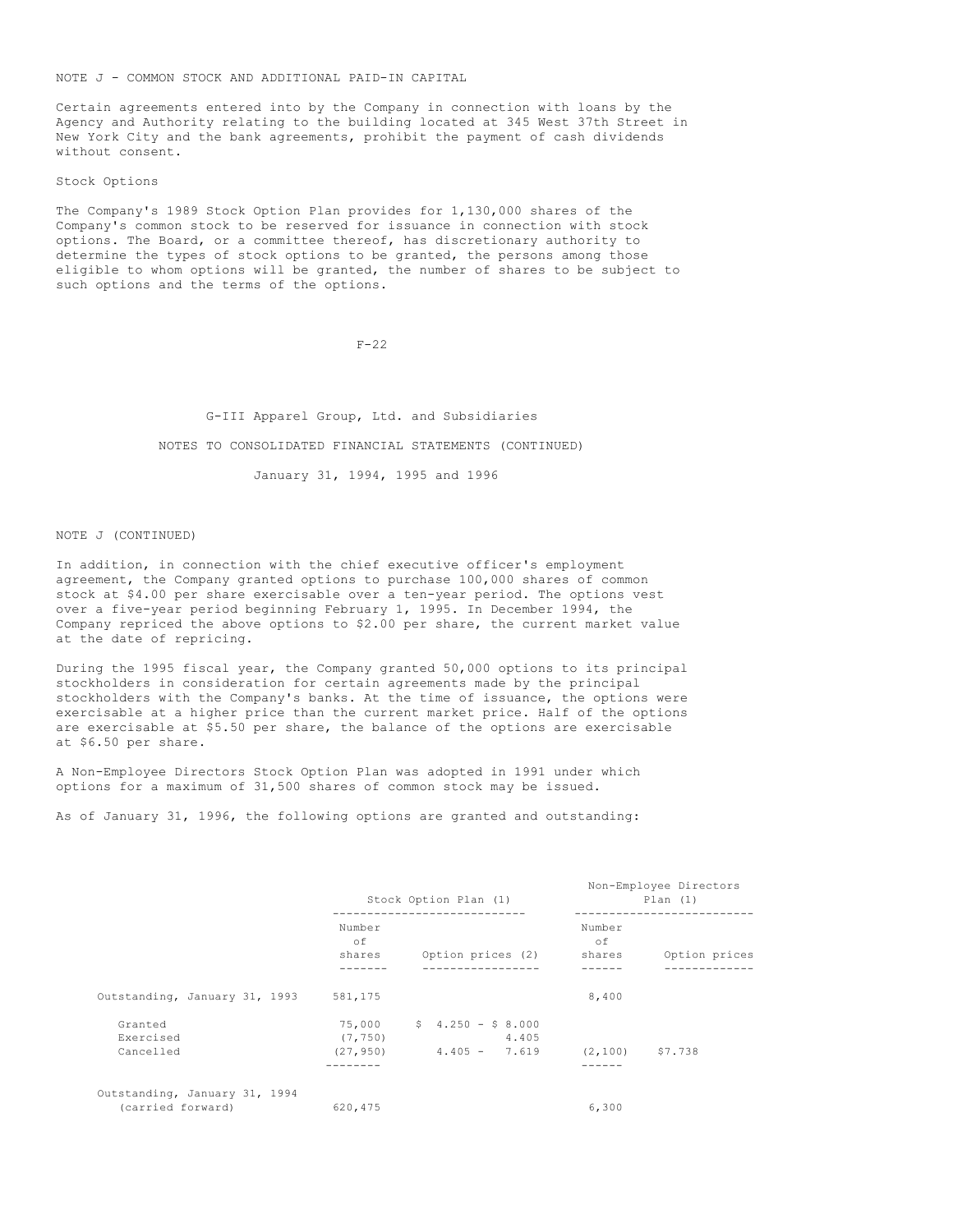NOTE J - COMMON STOCK AND ADDITIONAL PAID-IN CAPITAL

Certain agreements entered into by the Company in connection with loans by the Agency and Authority relating to the building located at 345 West 37th Street in New York City and the bank agreements, prohibit the payment of cash dividends without consent.

Stock Options

The Company's 1989 Stock Option Plan provides for 1,130,000 shares of the Company's common stock to be reserved for issuance in connection with stock options. The Board, or a committee thereof, has discretionary authority to determine the types of stock options to be granted, the persons among those eligible to whom options will be granted, the number of shares to be subject to such options and the terms of the options.

F-22

G-III Apparel Group, Ltd. and Subsidiaries NOTES TO CONSOLIDATED FINANCIAL STATEMENTS (CONTINUED) January 31, 1994, 1995 and 1996

NOTE J (CONTINUED)

In addition, in connection with the chief executive officer's employment agreement, the Company granted options to purchase 100,000 shares of common stock at \$4.00 per share exercisable over a ten-year period. The options vest over a five-year period beginning February 1, 1995. In December 1994, the Company repriced the above options to \$2.00 per share, the current market value at the date of repricing.

During the 1995 fiscal year, the Company granted 50,000 options to its principal stockholders in consideration for certain agreements made by the principal stockholders with the Company's banks. At the time of issuance, the options were exercisable at a higher price than the current market price. Half of the options are exercisable at \$5.50 per share, the balance of the options are exercisable at \$6.50 per share.

A Non-Employee Directors Stock Option Plan was adopted in 1991 under which options for a maximum of 31,500 shares of common stock may be issued.

As of January 31, 1996, the following options are granted and outstanding:

|                                                    | Stock Option Plan (1)  |                                                          | Non-Employee Directors<br>Plan(1) |                              |
|----------------------------------------------------|------------------------|----------------------------------------------------------|-----------------------------------|------------------------------|
|                                                    | Number<br>оf<br>shares | Option prices (2)                                        | Number<br>of<br>shares            | Option prices<br>----------- |
| Outstanding, January 31, 1993                      | 581,175                |                                                          | 8,400                             |                              |
| Granted<br>Exercised<br>Cancelled                  | (7, 750)<br>(27, 950)  | $75,000$ \$ 4.250 - \$ 8.000<br>4.405<br>$4.405 - 7.619$ | $(2, 100)$ $57.738$               |                              |
| Outstanding, January 31, 1994<br>(carried forward) | 620,475                |                                                          | 6,300                             |                              |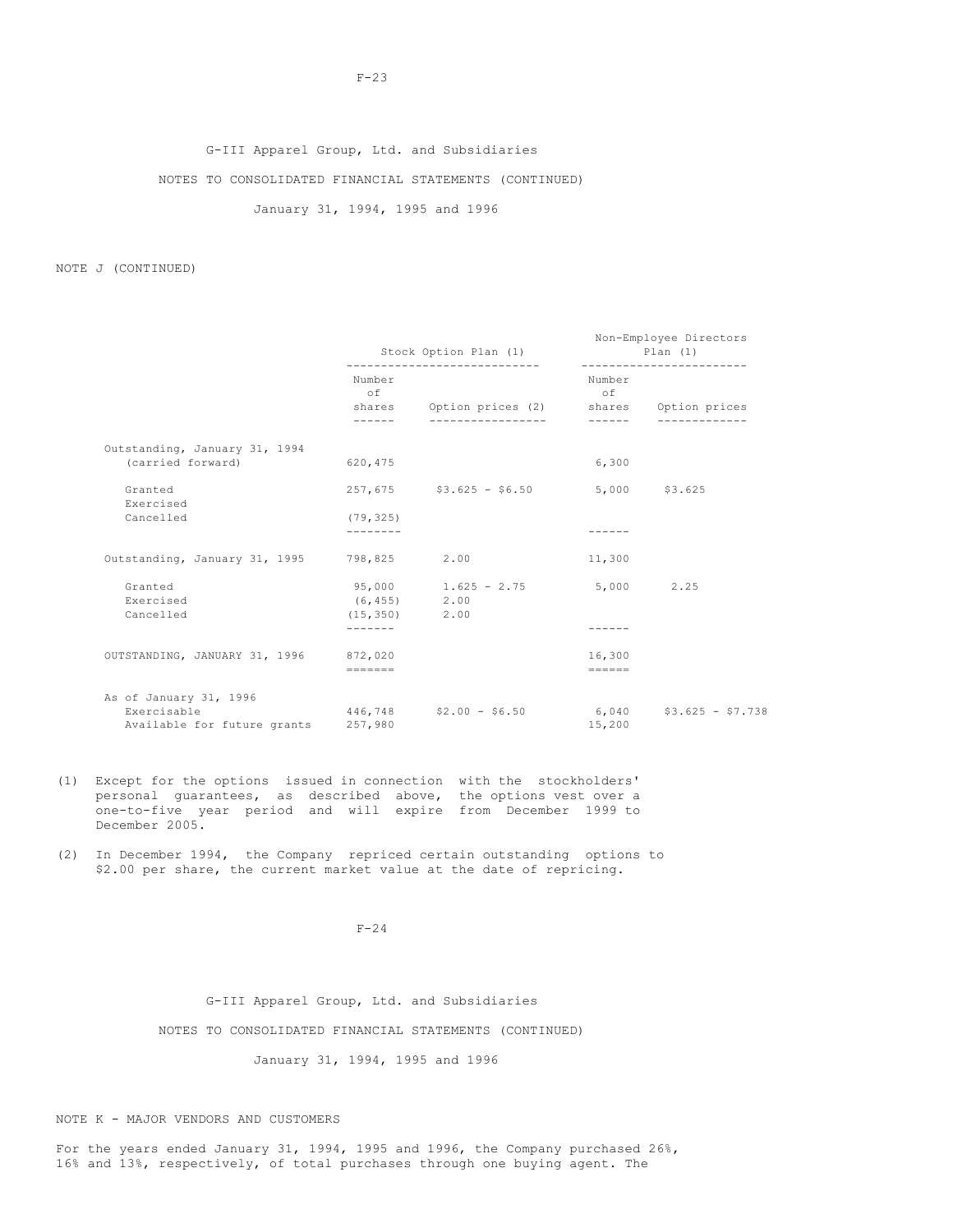# G-III Apparel Group, Ltd. and Subsidiaries

NOTES TO CONSOLIDATED FINANCIAL STATEMENTS (CONTINUED)

January 31, 1994, 1995 and 1996

NOTE J (CONTINUED)

|                                                                      | Stock Option Plan (1)<br>----------------------------- |                                                                     | Non-Employee Directors<br>Plan(1)<br>------------------------- |                           |  |
|----------------------------------------------------------------------|--------------------------------------------------------|---------------------------------------------------------------------|----------------------------------------------------------------|---------------------------|--|
|                                                                      | Number<br>$\circ$ f<br>------                          | shares Option prices (2) shares Option prices<br>------------------ | Number<br>of                                                   |                           |  |
| Outstanding, January 31, 1994                                        |                                                        |                                                                     |                                                                |                           |  |
| (carried forward)                                                    | 620, 475                                               |                                                                     | 6,300                                                          |                           |  |
| Granted<br>Exercised                                                 |                                                        | $257,675$ $$3.625 - $6.50$ $$5,000$ $$3.625$                        |                                                                |                           |  |
| Cancelled                                                            | (79, 325)<br>--------                                  |                                                                     |                                                                |                           |  |
| Outstanding, January 31, 1995 798,825 2.00                           |                                                        |                                                                     | 11,300                                                         |                           |  |
| Granted<br>Exercised                                                 | (6, 455)                                               | $95,000$ 1.625 - 2.75 5,000 2.25<br>2.00                            |                                                                |                           |  |
| Cancelled                                                            | $(15, 350)$ 2.00<br>-------                            |                                                                     |                                                                |                           |  |
| OUTSTANDING, JANUARY 31, 1996 872,020                                |                                                        |                                                                     | 16,300                                                         |                           |  |
|                                                                      | $=$                                                    |                                                                     | $=$                                                            |                           |  |
| As of January 31, 1996<br>Exercisable<br>Available for future grants | 257,980                                                | $446,748$ $$2.00 - $6.50$                                           | 15,200                                                         | $6,040$ $$3.625 - $7.738$ |  |

- (1) Except for the options issued in connection with the stockholders' personal guarantees, as described above, the options vest over a one-to-five year period and will expire from December 1999 to December 2005.
- (2) In December 1994, the Company repriced certain outstanding options to \$2.00 per share, the current market value at the date of repricing.

F-24

G-III Apparel Group, Ltd. and Subsidiaries

NOTES TO CONSOLIDATED FINANCIAL STATEMENTS (CONTINUED)

January 31, 1994, 1995 and 1996

NOTE K - MAJOR VENDORS AND CUSTOMERS

For the years ended January 31, 1994, 1995 and 1996, the Company purchased 26%, 16% and 13%, respectively, of total purchases through one buying agent. The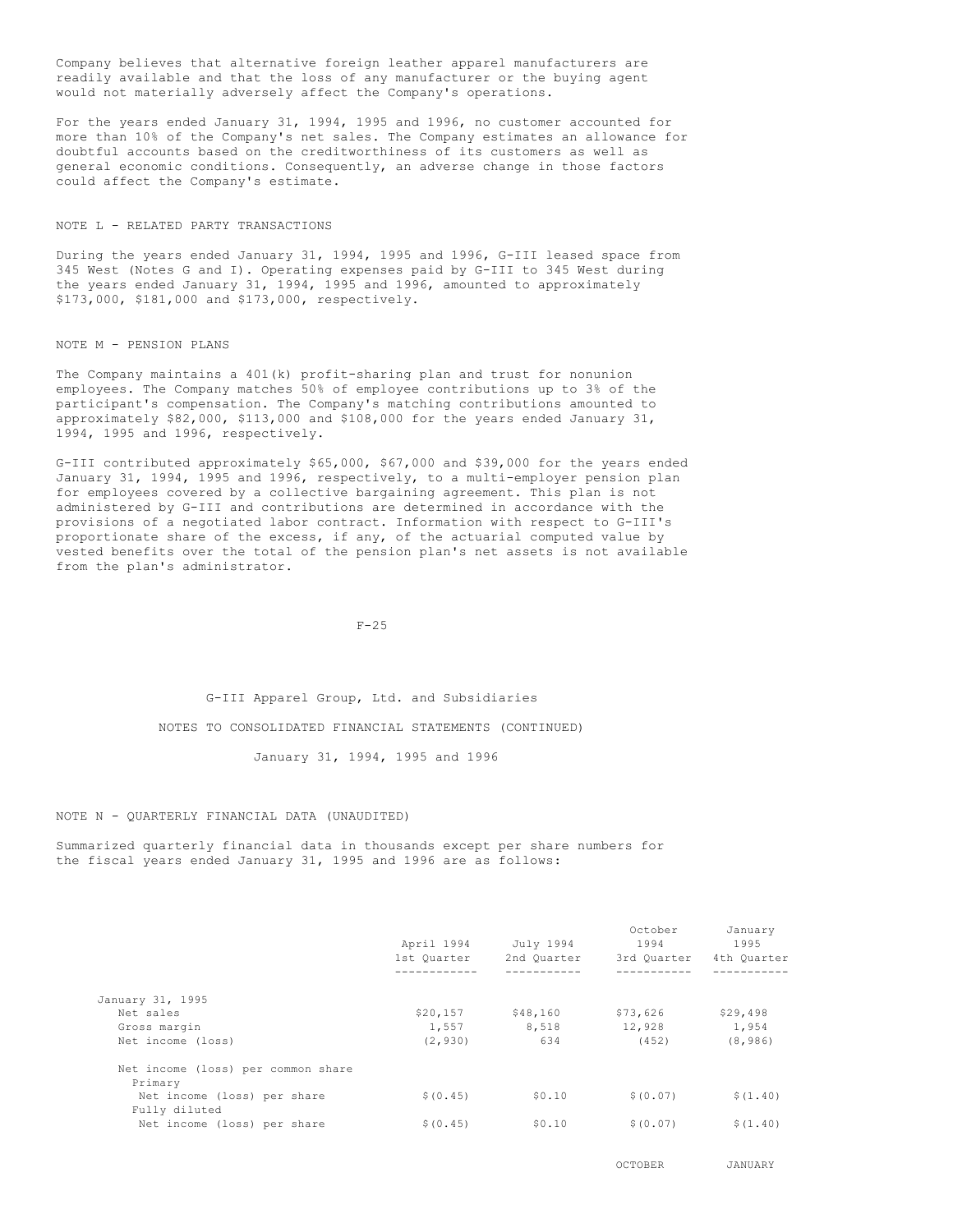Company believes that alternative foreign leather apparel manufacturers are readily available and that the loss of any manufacturer or the buying agent would not materially adversely affect the Company's operations.

For the years ended January 31, 1994, 1995 and 1996, no customer accounted for more than 10% of the Company's net sales. The Company estimates an allowance for doubtful accounts based on the creditworthiness of its customers as well as general economic conditions. Consequently, an adverse change in those factors could affect the Company's estimate.

#### NOTE L - RELATED PARTY TRANSACTIONS

During the years ended January 31, 1994, 1995 and 1996, G-III leased space from 345 West (Notes G and I). Operating expenses paid by G-III to 345 West during the years ended January 31, 1994, 1995 and 1996, amounted to approximately \$173,000, \$181,000 and \$173,000, respectively.

NOTE M - PENSION PLANS

The Company maintains a 401(k) profit-sharing plan and trust for nonunion employees. The Company matches 50% of employee contributions up to 3% of the participant's compensation. The Company's matching contributions amounted to approximately \$82,000, \$113,000 and \$108,000 for the years ended January 31, 1994, 1995 and 1996, respectively.

G-III contributed approximately \$65,000, \$67,000 and \$39,000 for the years ended January 31, 1994, 1995 and 1996, respectively, to a multi-employer pension plan for employees covered by a collective bargaining agreement. This plan is not administered by G-III and contributions are determined in accordance with the provisions of a negotiated labor contract. Information with respect to G-III's proportionate share of the excess, if any, of the actuarial computed value by vested benefits over the total of the pension plan's net assets is not available from the plan's administrator.

F-25

# G-III Apparel Group, Ltd. and Subsidiaries NOTES TO CONSOLIDATED FINANCIAL STATEMENTS (CONTINUED)

January 31, 1994, 1995 and 1996

#### NOTE N - QUARTERLY FINANCIAL DATA (UNAUDITED)

Summarized quarterly financial data in thousands except per share numbers for the fiscal years ended January 31, 1995 and 1996 are as follows:

|                                               | April 1994  | July 1994   | October<br>1994 | January<br>1995 |
|-----------------------------------------------|-------------|-------------|-----------------|-----------------|
|                                               | 1st Ouarter | 2nd Ouarter | 3rd Ouarter     | 4th Quarter     |
|                                               |             |             |                 |                 |
| January 31, 1995                              |             |             |                 |                 |
| Net sales                                     | \$20,157    | \$48,160    | \$73,626        | \$29,498        |
| Gross margin                                  | 1,557       | 8,518       | 12,928          | 1,954           |
| Net income (loss)                             | (2, 930)    | 634         | (452)           | (8, 986)        |
| Net income (loss) per common share<br>Primary |             |             |                 |                 |
| Net income (loss) per share<br>Fully diluted  | \$ (0.45)   | \$0.10      | \$ (0.07)       | \$(1, 40)       |
| Net income (loss) per share                   | \$ (0.45)   | \$0.10      | \$(0.07)        | \$(1, 40)       |

OCTOBER JANUARY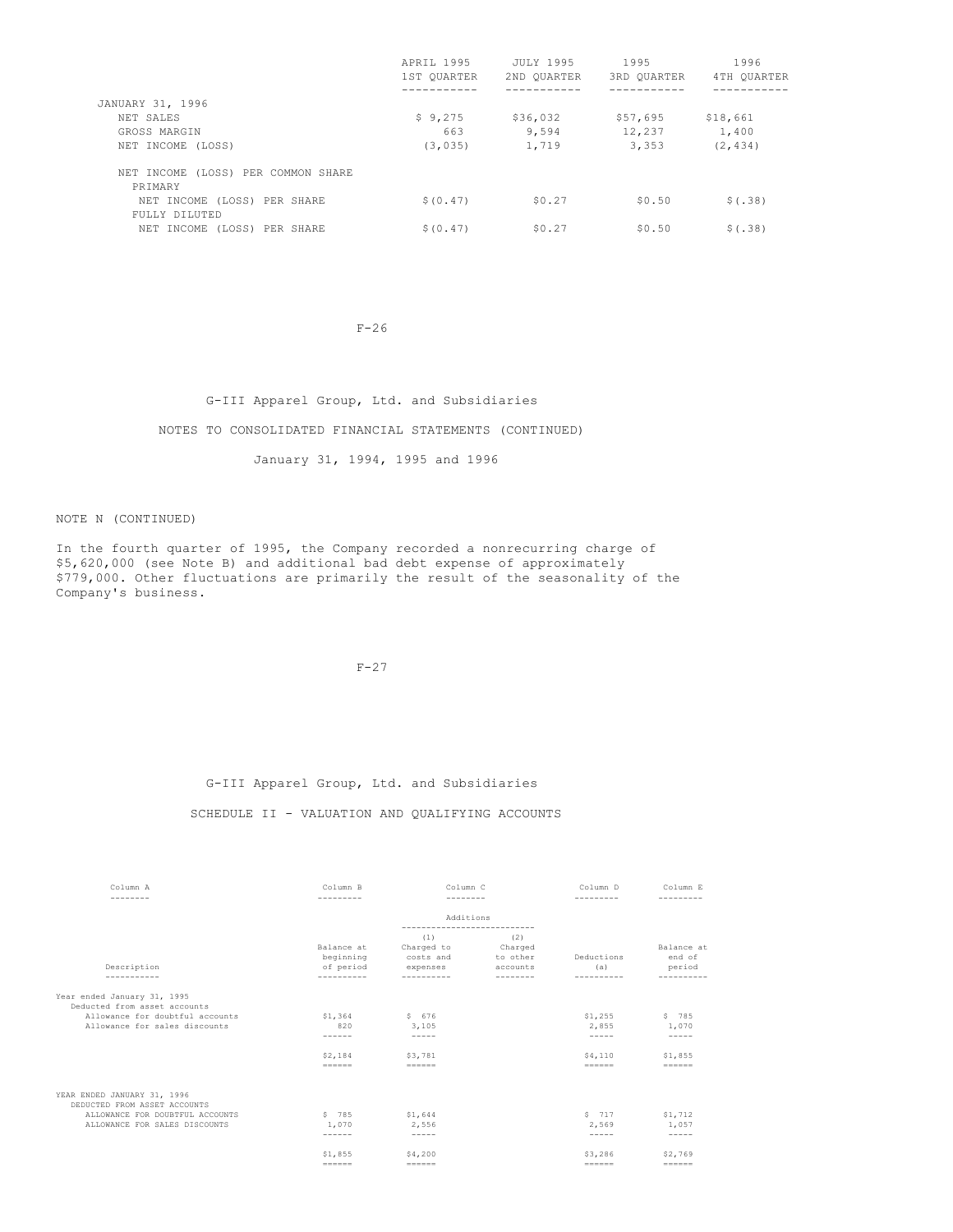|                                               | APRIL 1995  | <b>JULY 1995</b> | 1995        | 1996        |
|-----------------------------------------------|-------------|------------------|-------------|-------------|
|                                               | 1ST QUARTER | 2ND OUARTER      | 3RD OUARTER | 4TH OUARTER |
|                                               |             |                  |             |             |
| JANUARY 31, 1996                              |             |                  |             |             |
| NET SALES                                     | \$9,275     | \$36,032         | \$57,695    | \$18,661    |
| GROSS MARGIN                                  | 663         | 9,594            | 12,237      | 1,400       |
| NET INCOME (LOSS)                             | (3, 035)    | 1,719            | 3,353       | (2, 434)    |
| NET INCOME (LOSS) PER COMMON SHARE<br>PRIMARY |             |                  |             |             |
| NET INCOME (LOSS) PER SHARE<br>FULLY DILUTED  | \$ (0.47)   | \$0.27           | \$0.50      | \$(.38)     |
| NET INCOME (LOSS) PER SHARE                   | \$ (0.47)   | \$0.27           | \$0.50      | \$(.38)     |

F-26

G-III Apparel Group, Ltd. and Subsidiaries NOTES TO CONSOLIDATED FINANCIAL STATEMENTS (CONTINUED) January 31, 1994, 1995 and 1996

NOTE N (CONTINUED)

In the fourth quarter of 1995, the Company recorded a nonrecurring charge of \$5,620,000 (see Note B) and additional bad debt expense of approximately \$779,000. Other fluctuations are primarily the result of the seasonality of the Company's business.

 $F-27$ 

#### G-III Apparel Group, Ltd. and Subsidiaries

# SCHEDULE II - VALUATION AND QUALIFYING ACCOUNTS

| Column A                                                    | Column B                                           | Column C                                                         |                                                                                   | Column D                                                                               | Column E                       |  |
|-------------------------------------------------------------|----------------------------------------------------|------------------------------------------------------------------|-----------------------------------------------------------------------------------|----------------------------------------------------------------------------------------|--------------------------------|--|
| --------                                                    | ---------                                          | --------                                                         |                                                                                   | ---------                                                                              |                                |  |
|                                                             |                                                    | Additions                                                        |                                                                                   |                                                                                        |                                |  |
| Description<br>-----------                                  | Balance at<br>beginning<br>of period<br>---------- | (1)<br>Charged to<br>costs and<br>expenses<br>----------         | ---------------------------<br>(2)<br>Charged<br>to other<br>accounts<br>-------- | Deductions<br>(a)<br>----------                                                        | Balance at<br>end of<br>period |  |
| Year ended January 31, 1995<br>Deducted from asset accounts |                                                    |                                                                  |                                                                                   |                                                                                        |                                |  |
| Allowance for doubtful accounts                             | \$1,364                                            | \$676                                                            |                                                                                   | \$1,255                                                                                | \$785                          |  |
| Allowance for sales discounts                               | 820                                                | 3,105                                                            |                                                                                   | 2.855                                                                                  | 1,070                          |  |
|                                                             | ------                                             | $- - - - -$                                                      |                                                                                   | $- - - - -$                                                                            | $\frac{1}{2}$                  |  |
|                                                             | \$2,184                                            | \$3,781                                                          |                                                                                   | \$4.110<br>$\qquad \qquad =\qquad \qquad =\qquad \qquad =\qquad \qquad =\qquad \qquad$ | \$1,855                        |  |
| YEAR ENDED JANUARY 31, 1996                                 |                                                    |                                                                  |                                                                                   |                                                                                        |                                |  |
| DEDUCTED FROM ASSET ACCOUNTS                                |                                                    |                                                                  |                                                                                   |                                                                                        |                                |  |
| ALLOWANCE FOR DOUBTFUL ACCOUNTS                             | \$ 785                                             | \$1,644                                                          |                                                                                   | 5717                                                                                   | \$1,712                        |  |
| ALLOWANCE FOR SALES DISCOUNTS                               | 1,070                                              | 2,556                                                            |                                                                                   | 2,569                                                                                  | 1,057                          |  |
|                                                             | ------                                             | $- - - - -$                                                      |                                                                                   | $- - - - -$                                                                            | $\frac{1}{2}$                  |  |
|                                                             | \$1,855                                            | \$4,200                                                          |                                                                                   | \$3,286                                                                                | \$2,769                        |  |
|                                                             |                                                    | $\qquad \qquad \equiv \equiv \equiv \equiv \equiv \equiv \equiv$ |                                                                                   | $\qquad \qquad =\qquad \qquad =\qquad \qquad =\qquad \qquad =\qquad \qquad$            |                                |  |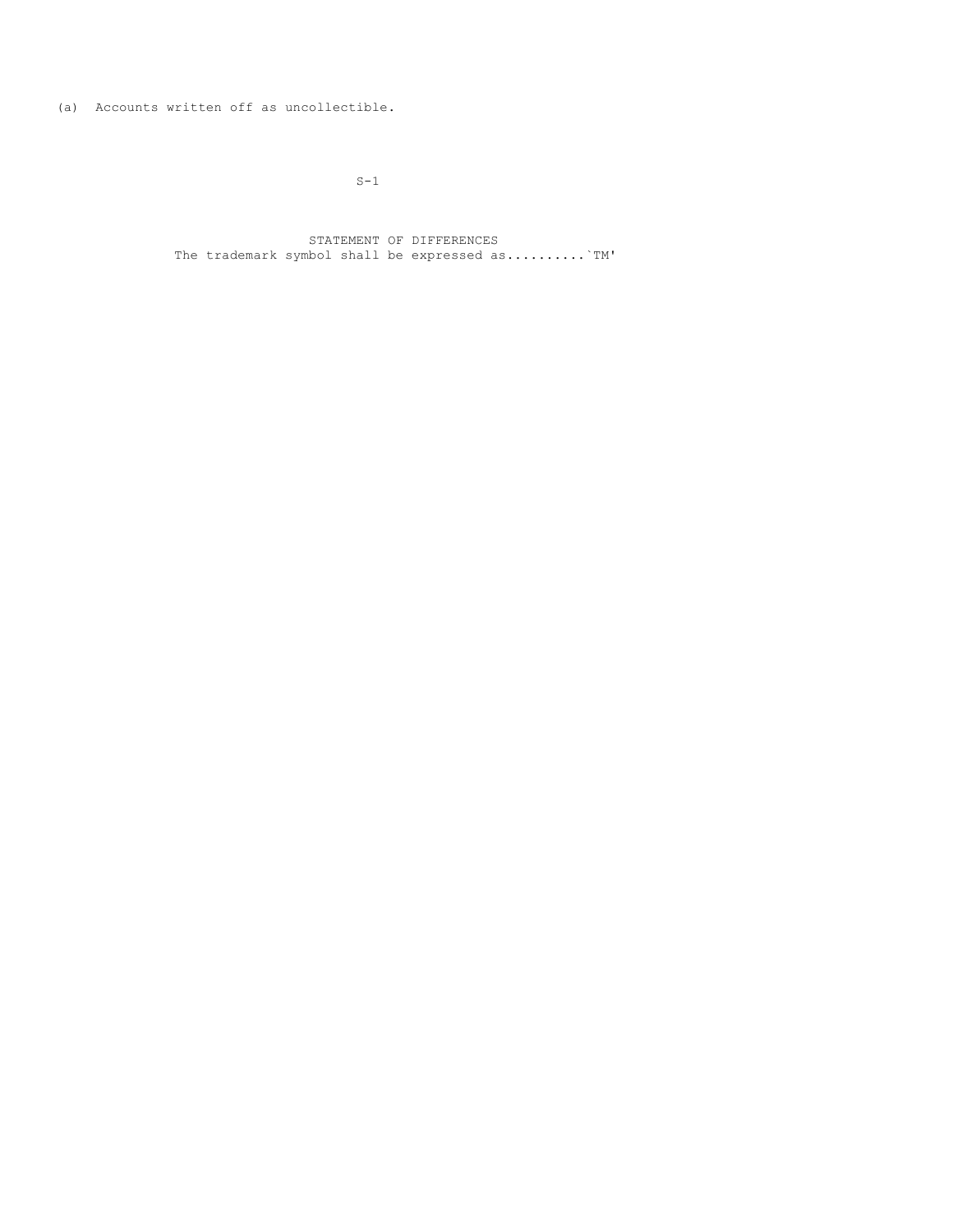(a) Accounts written off as uncollectible.

 $S-1$ 

STATEMENT OF DIFFERENCES The trademark symbol shall be expressed as..........`TM'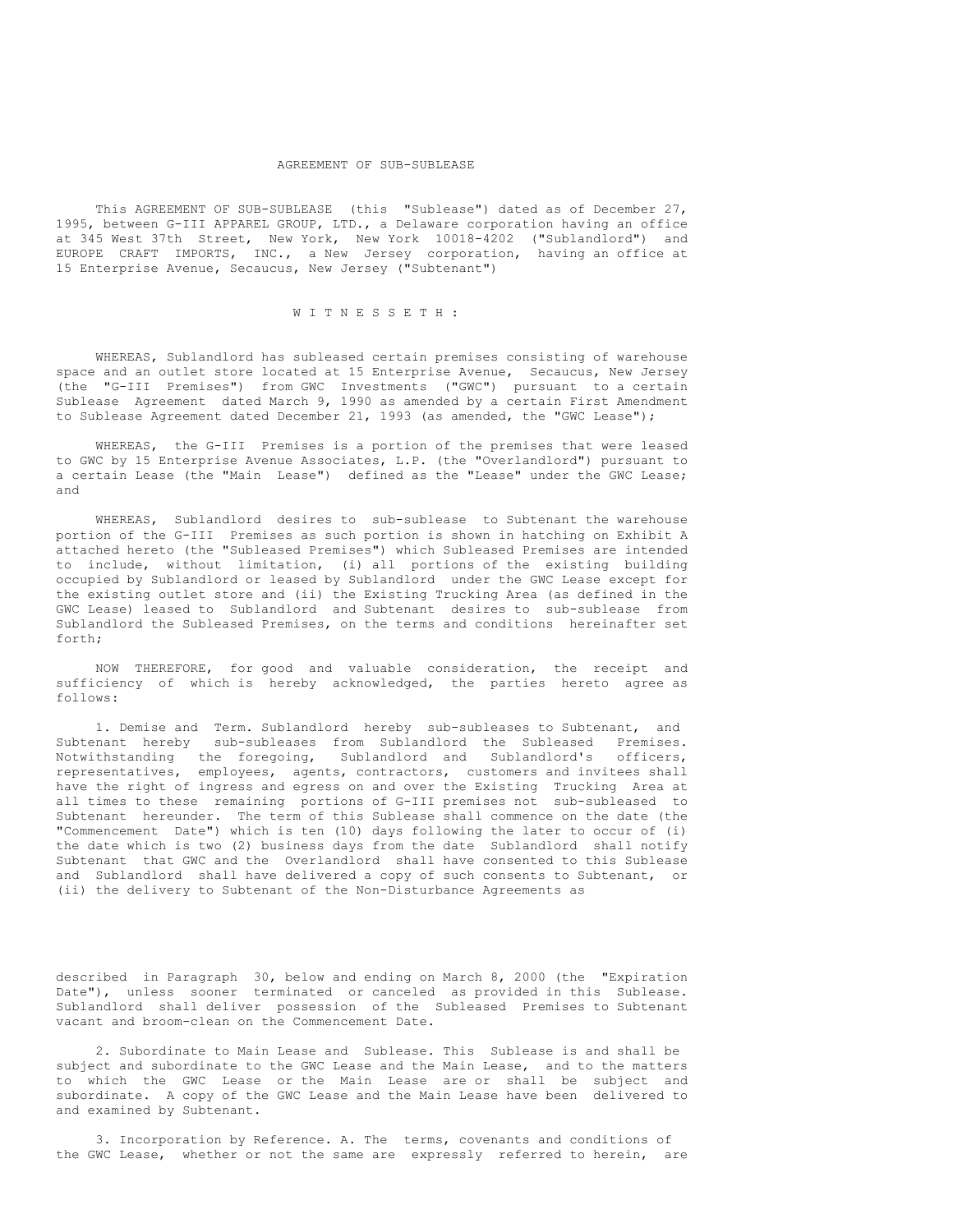#### AGREEMENT OF SUB-SUBLEASE

This AGREEMENT OF SUB-SUBLEASE (this "Sublease") dated as of December 27, 1995, between G-III APPAREL GROUP, LTD., a Delaware corporation having an office at 345 West 37th Street, New York, New York 10018-4202 ("Sublandlord") and EUROPE CRAFT IMPORTS, INC., a New Jersey corporation, having an office at 15 Enterprise Avenue, Secaucus, New Jersey ("Subtenant")

#### W I T N E S S E T H :

WHEREAS, Sublandlord has subleased certain premises consisting of warehouse space and an outlet store located at 15 Enterprise Avenue, Secaucus, New Jersey (the "G-III Premises") from GWC Investments ("GWC") pursuant to a certain Sublease Agreement dated March 9, 1990 as amended by a certain First Amendment to Sublease Agreement dated December 21, 1993 (as amended, the "GWC Lease");

WHEREAS, the G-III Premises is a portion of the premises that were leased to GWC by 15 Enterprise Avenue Associates, L.P. (the "Overlandlord") pursuant to a certain Lease (the "Main Lease") defined as the "Lease" under the GWC Lease; and

WHEREAS, Sublandlord desires to sub-sublease to Subtenant the warehouse portion of the G-III Premises as such portion is shown in hatching on Exhibit A attached hereto (the "Subleased Premises") which Subleased Premises are intended to include, without limitation, (i) all portions of the existing building occupied by Sublandlord or leased by Sublandlord under the GWC Lease except for the existing outlet store and (ii) the Existing Trucking Area (as defined in the GWC Lease) leased to Sublandlord and Subtenant desires to sub-sublease from Sublandlord the Subleased Premises, on the terms and conditions hereinafter set forth;

NOW THEREFORE, for good and valuable consideration, the receipt and sufficiency of which is hereby acknowledged, the parties hereto agree as follows:

1. Demise and Term. Sublandlord hereby sub-subleases to Subtenant, and Subtenant hereby sub-subleases from Sublandlord the Subleased Premises. Notwithstanding the foregoing, Sublandlord and Sublandlord's officers, representatives, employees, agents, contractors, customers and invitees shall have the right of ingress and egress on and over the Existing Trucking Area at all times to these remaining portions of G-III premises not sub-subleased to Subtenant hereunder. The term of this Sublease shall commence on the date (the "Commencement Date") which is ten (10) days following the later to occur of (i) the date which is two (2) business days from the date Sublandlord shall notify Subtenant that GWC and the Overlandlord shall have consented to this Sublease and Sublandlord shall have delivered a copy of such consents to Subtenant, or (ii) the delivery to Subtenant of the Non-Disturbance Agreements as

described in Paragraph 30, below and ending on March 8, 2000 (the "Expiration Date"), unless sooner terminated or canceled as provided in this Sublease. Sublandlord shall deliver possession of the Subleased Premises to Subtenant vacant and broom-clean on the Commencement Date.

2. Subordinate to Main Lease and Sublease. This Sublease is and shall be subject and subordinate to the GWC Lease and the Main Lease, and to the matters to which the GWC Lease or the Main Lease are or shall be subject and subordinate. A copy of the GWC Lease and the Main Lease have been delivered to and examined by Subtenant.

3. Incorporation by Reference. A. The terms, covenants and conditions of the GWC Lease, whether or not the same are expressly referred to herein, are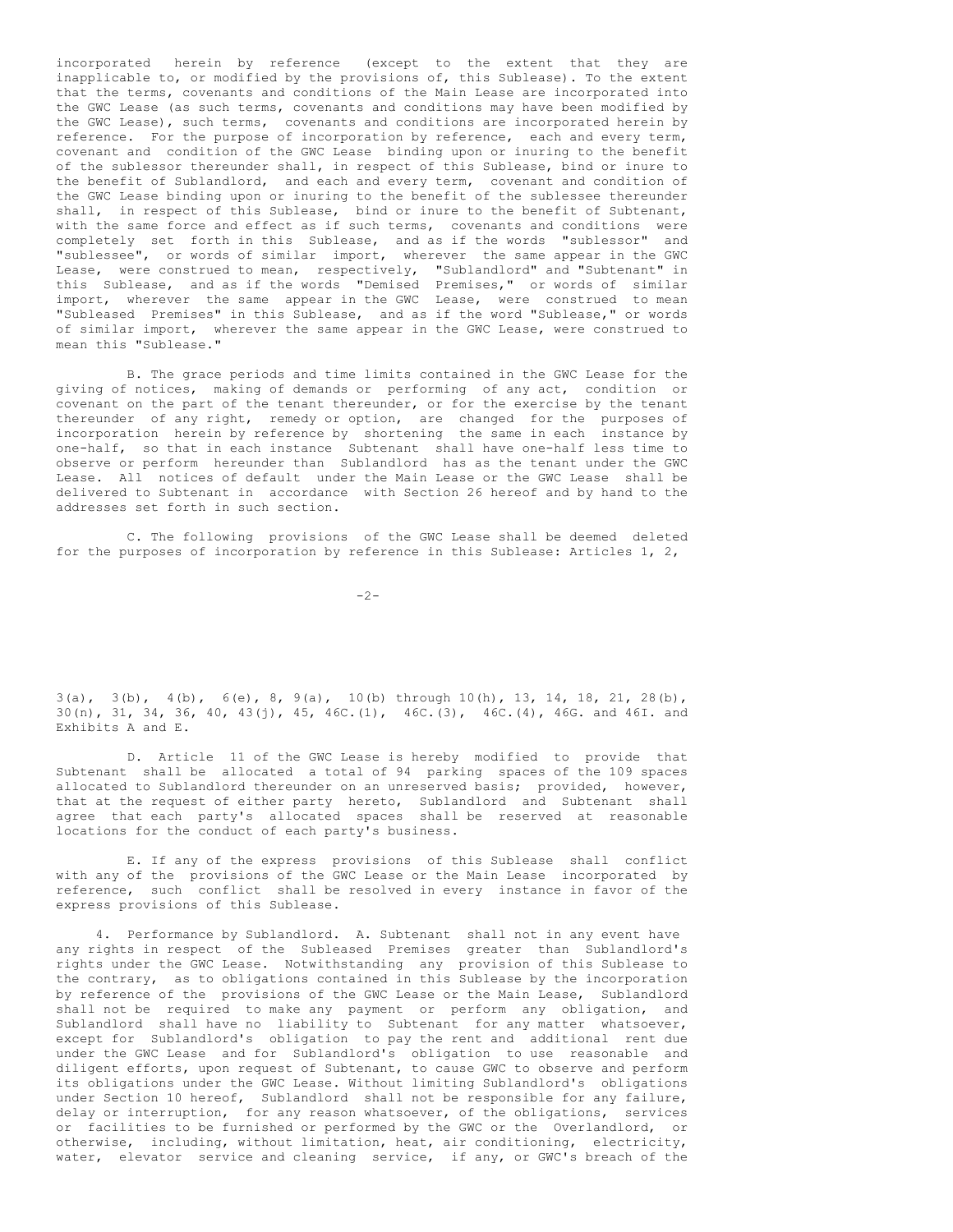incorporated herein by reference (except to the extent that they are inapplicable to, or modified by the provisions of, this Sublease). To the extent that the terms, covenants and conditions of the Main Lease are incorporated into the GWC Lease (as such terms, covenants and conditions may have been modified by the GWC Lease), such terms, covenants and conditions are incorporated herein by reference. For the purpose of incorporation by reference, each and every term, covenant and condition of the GWC Lease binding upon or inuring to the benefit of the sublessor thereunder shall, in respect of this Sublease, bind or inure to the benefit of Sublandlord, and each and every term, covenant and condition of the GWC Lease binding upon or inuring to the benefit of the sublessee thereunder shall, in respect of this Sublease, bind or inure to the benefit of Subtenant, with the same force and effect as if such terms, covenants and conditions were completely set forth in this Sublease, and as if the words "sublessor" and "sublessee", or words of similar import, wherever the same appear in the GWC Lease, were construed to mean, respectively, "Sublandlord" and "Subtenant" in this Sublease, and as if the words "Demised Premises," or words of similar import, wherever the same appear in the GWC Lease, were construed to mean "Subleased Premises" in this Sublease, and as if the word "Sublease," or words of similar import, wherever the same appear in the GWC Lease, were construed to mean this "Sublease."

B. The grace periods and time limits contained in the GWC Lease for the giving of notices, making of demands or performing of any act, condition or covenant on the part of the tenant thereunder, or for the exercise by the tenant thereunder of any right, remedy or option, are changed for the purposes of incorporation herein by reference by shortening the same in each instance by one-half, so that in each instance Subtenant shall have one-half less time to observe or perform hereunder than Sublandlord has as the tenant under the GWC Lease. All notices of default under the Main Lease or the GWC Lease shall be delivered to Subtenant in accordance with Section 26 hereof and by hand to the addresses set forth in such section.

C. The following provisions of the GWC Lease shall be deemed deleted for the purposes of incorporation by reference in this Sublease: Articles 1, 2,

 $-2-$ 

 $3(a)$ ,  $3(b)$ ,  $4(b)$ ,  $6(e)$ ,  $8$ ,  $9(a)$ ,  $10(b)$  through  $10(h)$ ,  $13$ ,  $14$ ,  $18$ ,  $21$ ,  $28(b)$ , 30(n), 31, 34, 36, 40, 43(j), 45, 46C.(1), 46C.(3), 46C.(4), 46G. and 46I. and Exhibits A and E.

D. Article 11 of the GWC Lease is hereby modified to provide that Subtenant shall be allocated a total of 94 parking spaces of the 109 spaces allocated to Sublandlord thereunder on an unreserved basis; provided, however, that at the request of either party hereto, Sublandlord and Subtenant shall agree that each party's allocated spaces shall be reserved at reasonable locations for the conduct of each party's business.

E. If any of the express provisions of this Sublease shall conflict with any of the provisions of the GWC Lease or the Main Lease incorporated by reference, such conflict shall be resolved in every instance in favor of the express provisions of this Sublease.

4. Performance by Sublandlord. A. Subtenant shall not in any event have any rights in respect of the Subleased Premises greater than Sublandlord's rights under the GWC Lease. Notwithstanding any provision of this Sublease to the contrary, as to obligations contained in this Sublease by the incorporation by reference of the provisions of the GWC Lease or the Main Lease, Sublandlord shall not be required to make any payment or perform any obligation, and Sublandlord shall have no liability to Subtenant for any matter whatsoever, except for Sublandlord's obligation to pay the rent and additional rent due under the GWC Lease and for Sublandlord's obligation to use reasonable and diligent efforts, upon request of Subtenant, to cause GWC to observe and perform its obligations under the GWC Lease. Without limiting Sublandlord's obligations under Section 10 hereof, Sublandlord shall not be responsible for any failure, delay or interruption, for any reason whatsoever, of the obligations, services or facilities to be furnished or performed by the GWC or the Overlandlord, or otherwise, including, without limitation, heat, air conditioning, electricity, water, elevator service and cleaning service, if any, or GWC's breach of the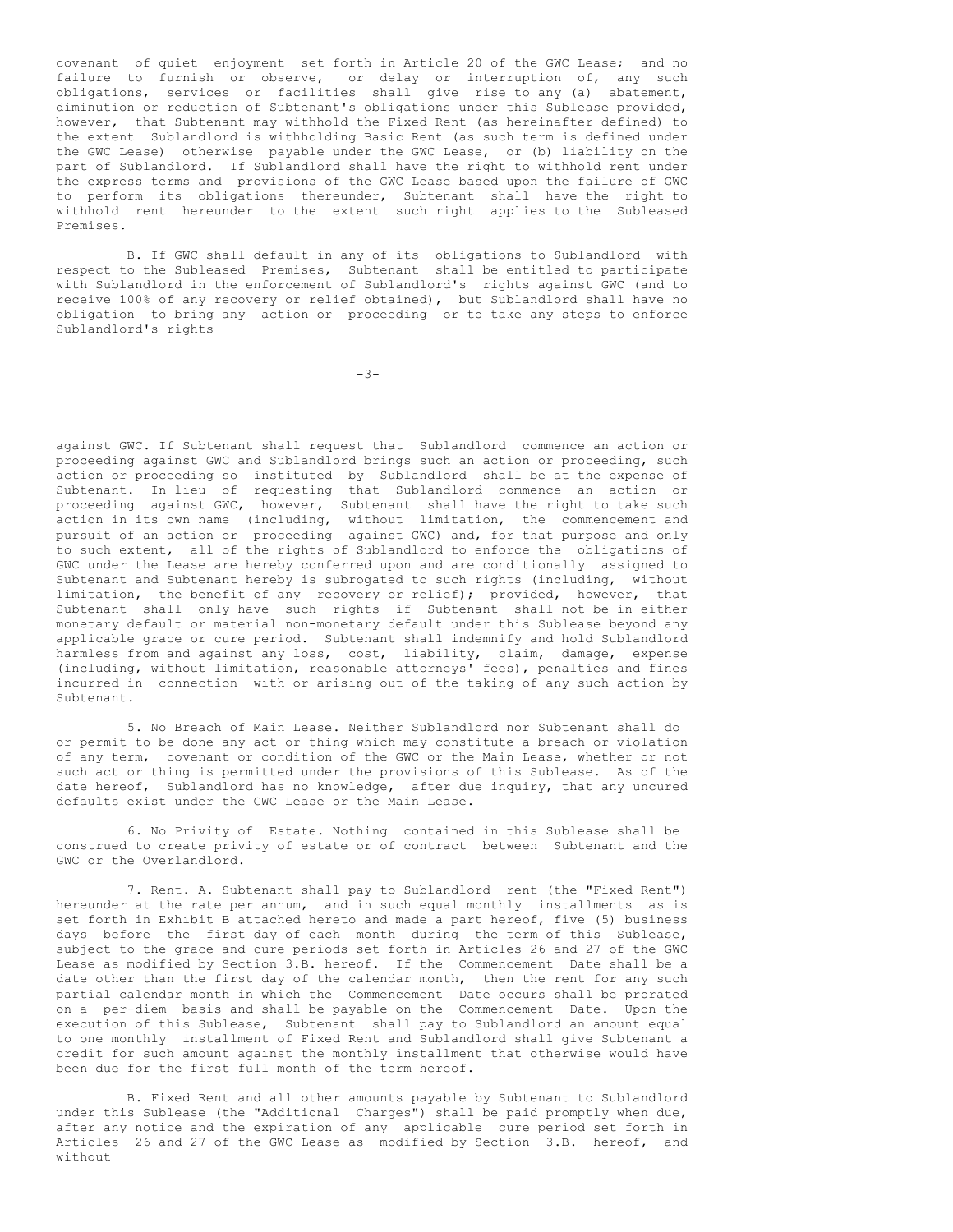covenant of quiet enjoyment set forth in Article 20 of the GWC Lease; and no failure to furnish or observe, or delay or interruption of, any such obligations, services or facilities shall give rise to any (a) abatement, diminution or reduction of Subtenant's obligations under this Sublease provided, however, that Subtenant may withhold the Fixed Rent (as hereinafter defined) to the extent Sublandlord is withholding Basic Rent (as such term is defined under the GWC Lease) otherwise payable under the GWC Lease, or (b) liability on the part of Sublandlord. If Sublandlord shall have the right to withhold rent under the express terms and provisions of the GWC Lease based upon the failure of GWC to perform its obligations thereunder, Subtenant shall have the right to withhold rent hereunder to the extent such right applies to the Subleased Premises.

B. If GWC shall default in any of its obligations to Sublandlord with respect to the Subleased Premises, Subtenant shall be entitled to participate with Sublandlord in the enforcement of Sublandlord's rights against GWC (and to receive 100% of any recovery or relief obtained), but Sublandlord shall have no obligation to bring any action or proceeding or to take any steps to enforce Sublandlord's rights

 $-3-$ 

against GWC. If Subtenant shall request that Sublandlord commence an action or proceeding against GWC and Sublandlord brings such an action or proceeding, such action or proceeding so instituted by Sublandlord shall be at the expense of Subtenant. In lieu of requesting that Sublandlord commence an action or proceeding against GWC, however, Subtenant shall have the right to take such action in its own name (including, without limitation, the commencement and pursuit of an action or proceeding against GWC) and, for that purpose and only to such extent, all of the rights of Sublandlord to enforce the obligations of GWC under the Lease are hereby conferred upon and are conditionally assigned to Subtenant and Subtenant hereby is subrogated to such rights (including, without limitation, the benefit of any recovery or relief); provided, however, that Subtenant shall only have such rights if Subtenant shall not be in either monetary default or material non-monetary default under this Sublease beyond any applicable grace or cure period. Subtenant shall indemnify and hold Sublandlord harmless from and against any loss, cost, liability, claim, damage, expense (including, without limitation, reasonable attorneys' fees), penalties and fines incurred in connection with or arising out of the taking of any such action by Subtenant.

5. No Breach of Main Lease. Neither Sublandlord nor Subtenant shall do or permit to be done any act or thing which may constitute a breach or violation of any term, covenant or condition of the GWC or the Main Lease, whether or not such act or thing is permitted under the provisions of this Sublease. As of the date hereof, Sublandlord has no knowledge, after due inquiry, that any uncured defaults exist under the GWC Lease or the Main Lease.

6. No Privity of Estate. Nothing contained in this Sublease shall be construed to create privity of estate or of contract between Subtenant and the GWC or the Overlandlord.

7. Rent. A. Subtenant shall pay to Sublandlord rent (the "Fixed Rent") hereunder at the rate per annum, and in such equal monthly installments as is set forth in Exhibit B attached hereto and made a part hereof, five (5) business days before the first day of each month during the term of this Sublease, subject to the grace and cure periods set forth in Articles 26 and 27 of the GWC Lease as modified by Section 3.B. hereof. If the Commencement Date shall be a date other than the first day of the calendar month, then the rent for any such partial calendar month in which the Commencement Date occurs shall be prorated on a per-diem basis and shall be payable on the Commencement Date. Upon the execution of this Sublease, Subtenant shall pay to Sublandlord an amount equal to one monthly installment of Fixed Rent and Sublandlord shall give Subtenant a credit for such amount against the monthly installment that otherwise would have been due for the first full month of the term hereof.

B. Fixed Rent and all other amounts payable by Subtenant to Sublandlord under this Sublease (the "Additional Charges") shall be paid promptly when due, after any notice and the expiration of any applicable cure period set forth in Articles 26 and 27 of the GWC Lease as modified by Section 3.B. hereof, and without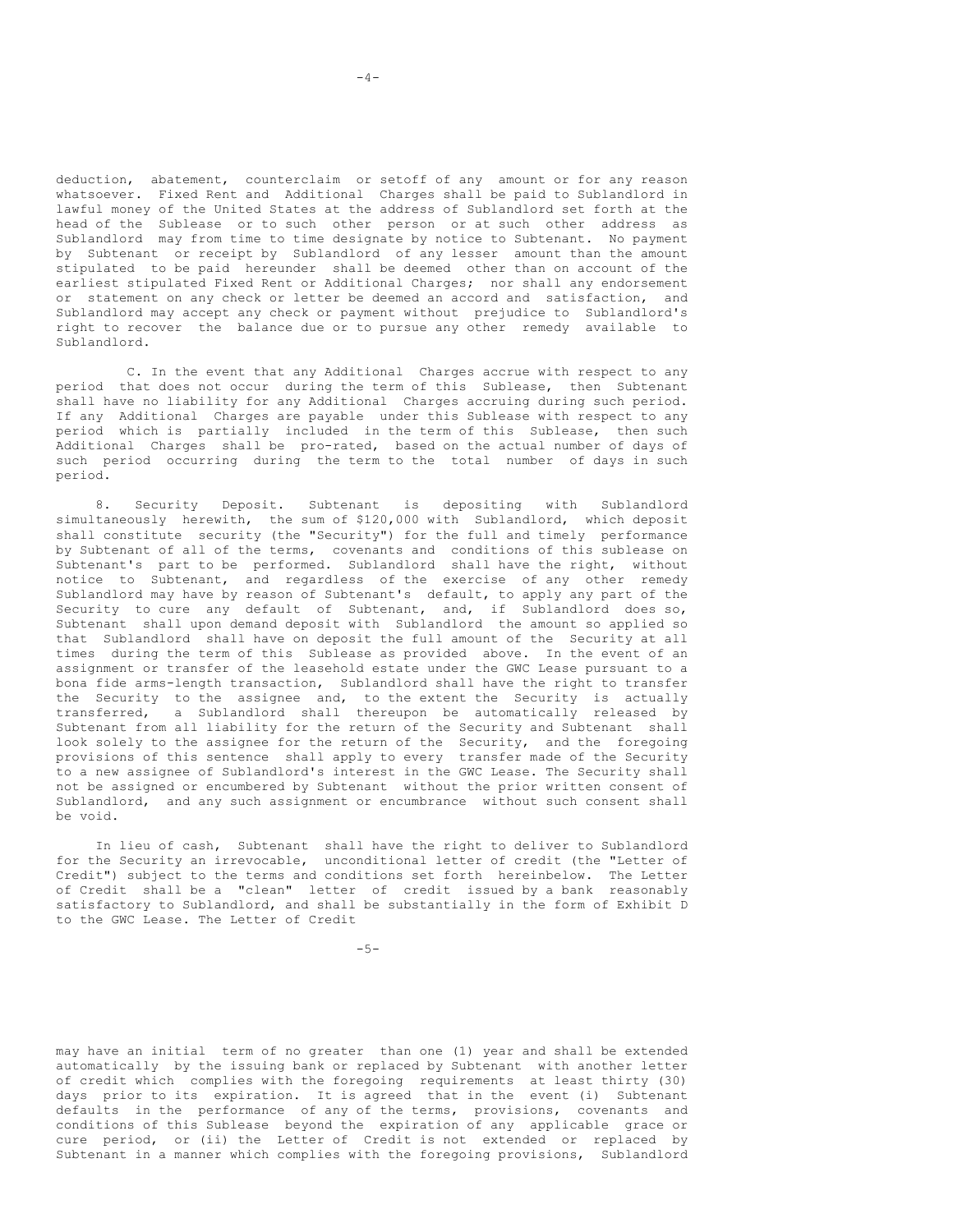deduction, abatement, counterclaim or setoff of any amount or for any reason whatsoever. Fixed Rent and Additional Charges shall be paid to Sublandlord in lawful money of the United States at the address of Sublandlord set forth at the head of the Sublease or to such other person or at such other address as Sublandlord may from time to time designate by notice to Subtenant. No payment by Subtenant or receipt by Sublandlord of any lesser amount than the amount stipulated to be paid hereunder shall be deemed other than on account of the earliest stipulated Fixed Rent or Additional Charges; nor shall any endorsement or statement on any check or letter be deemed an accord and satisfaction, and Sublandlord may accept any check or payment without prejudice to Sublandlord's right to recover the balance due or to pursue any other remedy available to Sublandlord.

C. In the event that any Additional Charges accrue with respect to any period that does not occur during the term of this Sublease, then Subtenant shall have no liability for any Additional Charges accruing during such period. If any Additional Charges are payable under this Sublease with respect to any period which is partially included in the term of this Sublease, then such Additional Charges shall be pro-rated, based on the actual number of days of such period occurring during the term to the total number of days in such period.

8. Security Deposit. Subtenant is depositing with Sublandlord simultaneously herewith, the sum of \$120,000 with Sublandlord, which deposit shall constitute security (the "Security") for the full and timely performance by Subtenant of all of the terms, covenants and conditions of this sublease on Subtenant's part to be performed. Sublandlord shall have the right, without notice to Subtenant, and regardless of the exercise of any other remedy Sublandlord may have by reason of Subtenant's default, to apply any part of the Security to cure any default of Subtenant, and, if Sublandlord does so, Subtenant shall upon demand deposit with Sublandlord the amount so applied so that Sublandlord shall have on deposit the full amount of the Security at all times during the term of this Sublease as provided above. In the event of an assignment or transfer of the leasehold estate under the GWC Lease pursuant to a bona fide arms-length transaction, Sublandlord shall have the right to transfer the Security to the assignee and, to the extent the Security is actually transferred, a Sublandlord shall thereupon be automatically released by Subtenant from all liability for the return of the Security and Subtenant shall look solely to the assignee for the return of the Security, and the foregoing provisions of this sentence shall apply to every transfer made of the Security to a new assignee of Sublandlord's interest in the GWC Lease. The Security shall not be assigned or encumbered by Subtenant without the prior written consent of Sublandlord, and any such assignment or encumbrance without such consent shall be void.

In lieu of cash, Subtenant shall have the right to deliver to Sublandlord for the Security an irrevocable, unconditional letter of credit (the "Letter of Credit") subject to the terms and conditions set forth hereinbelow. The Letter of Credit shall be a "clean" letter of credit issued by a bank reasonably satisfactory to Sublandlord, and shall be substantially in the form of Exhibit D to the GWC Lease. The Letter of Credit

-5-

may have an initial term of no greater than one (1) year and shall be extended automatically by the issuing bank or replaced by Subtenant with another letter of credit which complies with the foregoing requirements at least thirty (30) days prior to its expiration. It is agreed that in the event (i) Subtenant defaults in the performance of any of the terms, provisions, covenants and conditions of this Sublease beyond the expiration of any applicable grace or cure period, or (ii) the Letter of Credit is not extended or replaced by Subtenant in a manner which complies with the foregoing provisions, Sublandlord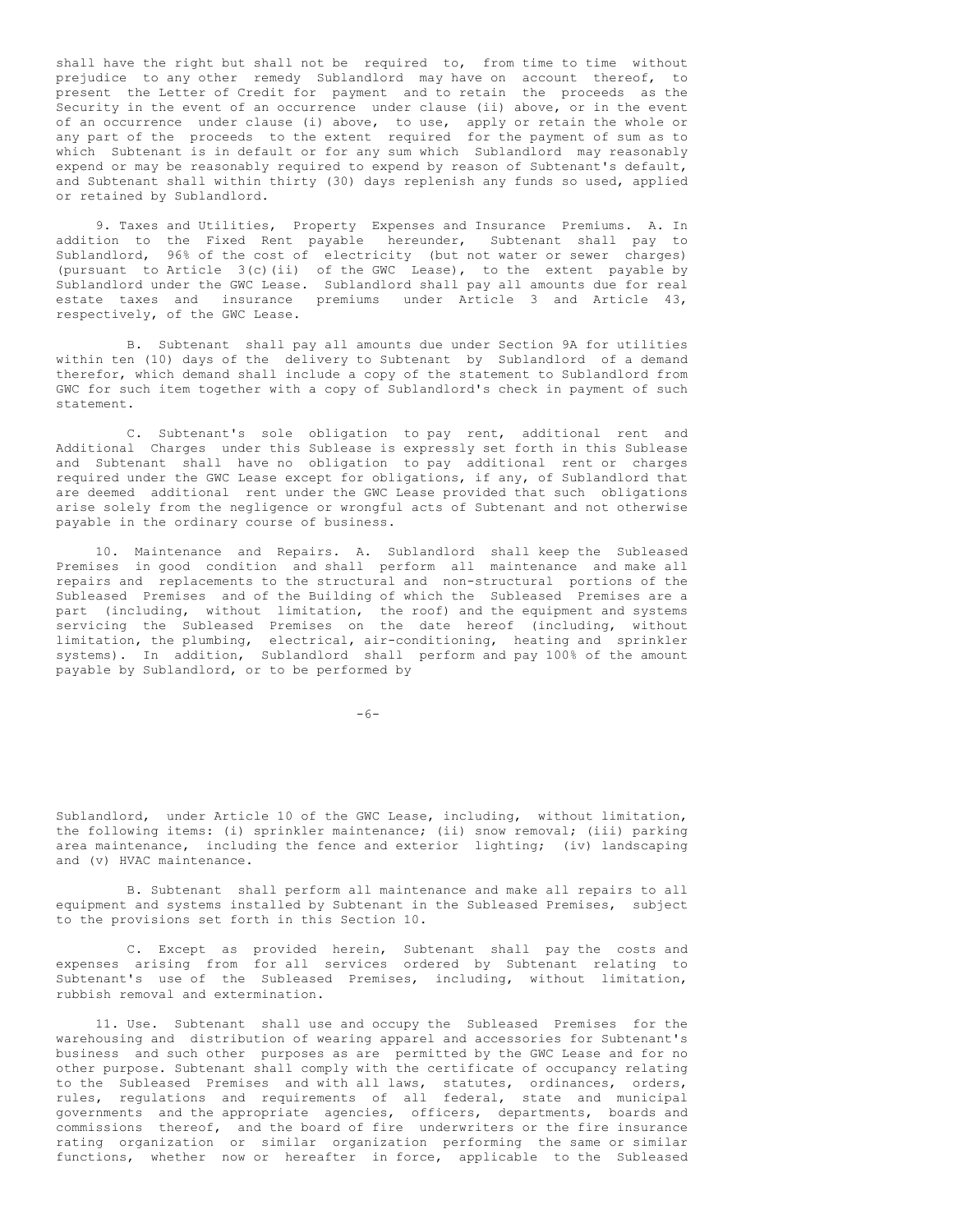shall have the right but shall not be required to, from time to time without prejudice to any other remedy Sublandlord may have on account thereof, to present the Letter of Credit for payment and to retain the proceeds as the Security in the event of an occurrence under clause (ii) above, or in the event of an occurrence under clause (i) above, to use, apply or retain the whole or any part of the proceeds to the extent required for the payment of sum as to which Subtenant is in default or for any sum which Sublandlord may reasonably expend or may be reasonably required to expend by reason of Subtenant's default, and Subtenant shall within thirty (30) days replenish any funds so used, applied or retained by Sublandlord.

9. Taxes and Utilities, Property Expenses and Insurance Premiums. A. In addition to the Fixed Rent payable hereunder, Subtenant shall pay to Sublandlord, 96% of the cost of electricity (but not water or sewer charges) (pursuant to Article 3(c)(ii) of the GWC Lease), to the extent payable by Sublandlord under the GWC Lease. Sublandlord shall pay all amounts due for real estate taxes and insurance premiums under Article 3 and Article 43, respectively, of the GWC Lease.

B. Subtenant shall pay all amounts due under Section 9A for utilities within ten (10) days of the delivery to Subtenant by Sublandlord of a demand therefor, which demand shall include a copy of the statement to Sublandlord from GWC for such item together with a copy of Sublandlord's check in payment of such statement.

C. Subtenant's sole obligation to pay rent, additional rent and Additional Charges under this Sublease is expressly set forth in this Sublease and Subtenant shall have no obligation to pay additional rent or charges required under the GWC Lease except for obligations, if any, of Sublandlord that are deemed additional rent under the GWC Lease provided that such obligations arise solely from the negligence or wrongful acts of Subtenant and not otherwise payable in the ordinary course of business.

10. Maintenance and Repairs. A. Sublandlord shall keep the Subleased Premises in good condition and shall perform all maintenance and make all repairs and replacements to the structural and non-structural portions of the Subleased Premises and of the Building of which the Subleased Premises are a part (including, without limitation, the roof) and the equipment and systems servicing the Subleased Premises on the date hereof (including, without limitation, the plumbing, electrical, air-conditioning, heating and sprinkler systems). In addition, Sublandlord shall perform and pay 100% of the amount payable by Sublandlord, or to be performed by

-6-

Sublandlord, under Article 10 of the GWC Lease, including, without limitation, the following items: (i) sprinkler maintenance; (ii) snow removal; (iii) parking area maintenance, including the fence and exterior lighting; (iv) landscaping and (v) HVAC maintenance.

B. Subtenant shall perform all maintenance and make all repairs to all equipment and systems installed by Subtenant in the Subleased Premises, subject to the provisions set forth in this Section 10.

C. Except as provided herein, Subtenant shall pay the costs and expenses arising from for all services ordered by Subtenant relating to Subtenant's use of the Subleased Premises, including, without limitation, rubbish removal and extermination.

11. Use. Subtenant shall use and occupy the Subleased Premises for the warehousing and distribution of wearing apparel and accessories for Subtenant's business and such other purposes as are permitted by the GWC Lease and for no other purpose. Subtenant shall comply with the certificate of occupancy relating to the Subleased Premises and with all laws, statutes, ordinances, orders, rules, regulations and requirements of all federal, state and municipal governments and the appropriate agencies, officers, departments, boards and commissions thereof, and the board of fire underwriters or the fire insurance rating organization or similar organization performing the same or similar functions, whether now or hereafter in force, applicable to the Subleased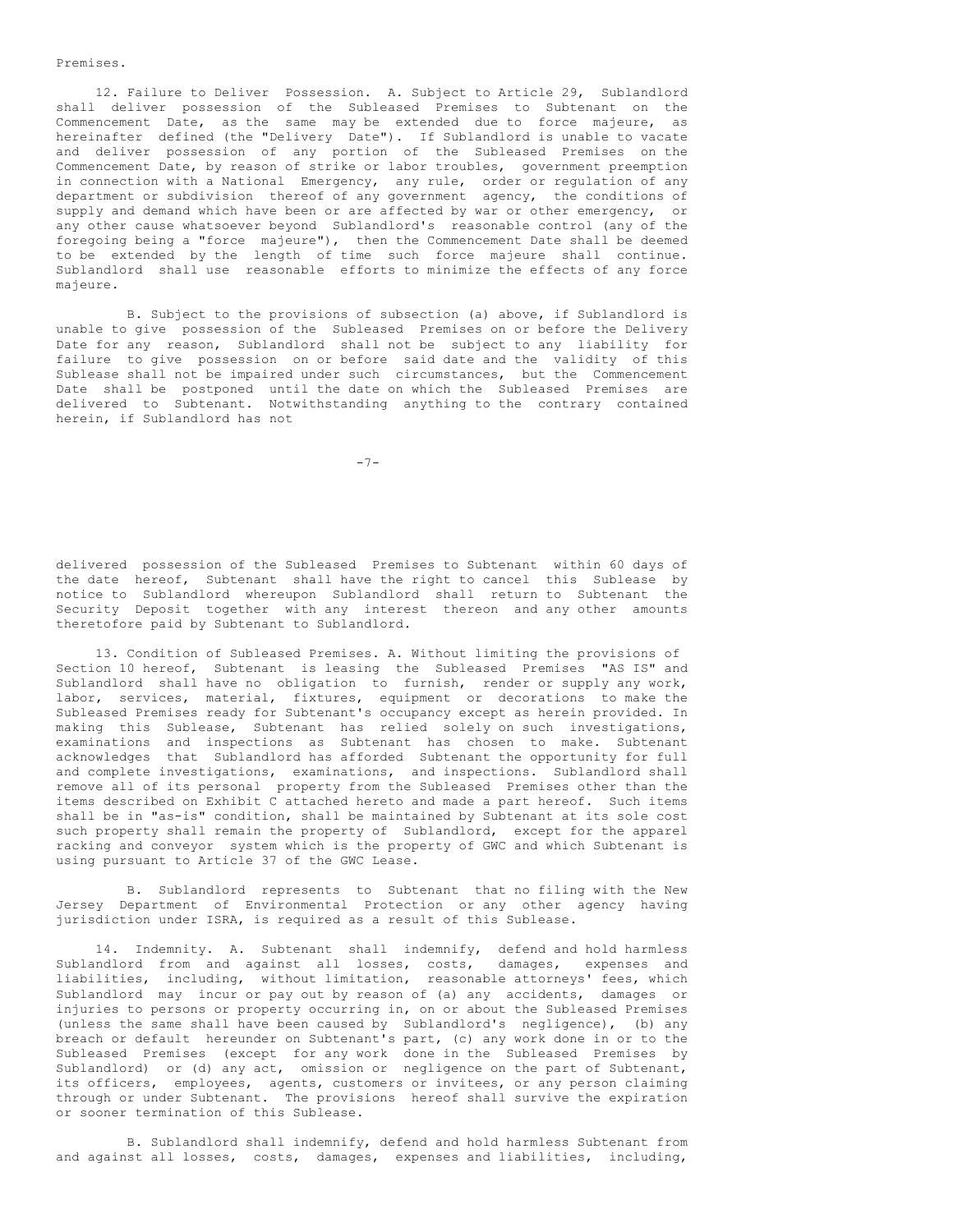Premises.

12. Failure to Deliver Possession. A. Subject to Article 29, Sublandlord shall deliver possession of the Subleased Premises to Subtenant on the Commencement Date, as the same may be extended due to force majeure, as hereinafter defined (the "Delivery Date"). If Sublandlord is unable to vacate and deliver possession of any portion of the Subleased Premises on the Commencement Date, by reason of strike or labor troubles, government preemption in connection with a National Emergency, any rule, order or regulation of any department or subdivision thereof of any government agency, the conditions of supply and demand which have been or are affected by war or other emergency, or any other cause whatsoever beyond Sublandlord's reasonable control (any of the foregoing being a "force majeure"), then the Commencement Date shall be deemed to be extended by the length of time such force majeure shall continue. Sublandlord shall use reasonable efforts to minimize the effects of any force majeure.

B. Subject to the provisions of subsection (a) above, if Sublandlord is unable to give possession of the Subleased Premises on or before the Delivery Date for any reason, Sublandlord shall not be subject to any liability for failure to give possession on or before said date and the validity of this Sublease shall not be impaired under such circumstances, but the Commencement Date shall be postponed until the date on which the Subleased Premises are delivered to Subtenant. Notwithstanding anything to the contrary contained herein, if Sublandlord has not

-7-

delivered possession of the Subleased Premises to Subtenant within 60 days of the date hereof, Subtenant shall have the right to cancel this Sublease by notice to Sublandlord whereupon Sublandlord shall return to Subtenant the Security Deposit together with any interest thereon and any other amounts theretofore paid by Subtenant to Sublandlord.

13. Condition of Subleased Premises. A. Without limiting the provisions of Section 10 hereof, Subtenant is leasing the Subleased Premises "AS IS" and Sublandlord shall have no obligation to furnish, render or supply any work, labor, services, material, fixtures, equipment or decorations to make the Subleased Premises ready for Subtenant's occupancy except as herein provided. In making this Sublease, Subtenant has relied solely on such investigations, examinations and inspections as Subtenant has chosen to make. Subtenant acknowledges that Sublandlord has afforded Subtenant the opportunity for full and complete investigations, examinations, and inspections. Sublandlord shall remove all of its personal property from the Subleased Premises other than the items described on Exhibit C attached hereto and made a part hereof. Such items shall be in "as-is" condition, shall be maintained by Subtenant at its sole cost such property shall remain the property of Sublandlord, except for the apparel racking and conveyor system which is the property of GWC and which Subtenant is using pursuant to Article 37 of the GWC Lease.

B. Sublandlord represents to Subtenant that no filing with the New Jersey Department of Environmental Protection or any other agency having jurisdiction under ISRA, is required as a result of this Sublease.

14. Indemnity. A. Subtenant shall indemnify, defend and hold harmless Sublandlord from and against all losses, costs, damages, expenses and liabilities, including, without limitation, reasonable attorneys' fees, which Sublandlord may incur or pay out by reason of (a) any accidents, damages or injuries to persons or property occurring in, on or about the Subleased Premises (unless the same shall have been caused by Sublandlord's negligence), (b) any breach or default hereunder on Subtenant's part, (c) any work done in or to the Subleased Premises (except for any work done in the Subleased Premises by Sublandlord) or (d) any act, omission or negligence on the part of Subtenant, its officers, employees, agents, customers or invitees, or any person claiming through or under Subtenant. The provisions hereof shall survive the expiration or sooner termination of this Sublease.

B. Sublandlord shall indemnify, defend and hold harmless Subtenant from and against all losses, costs, damages, expenses and liabilities, including,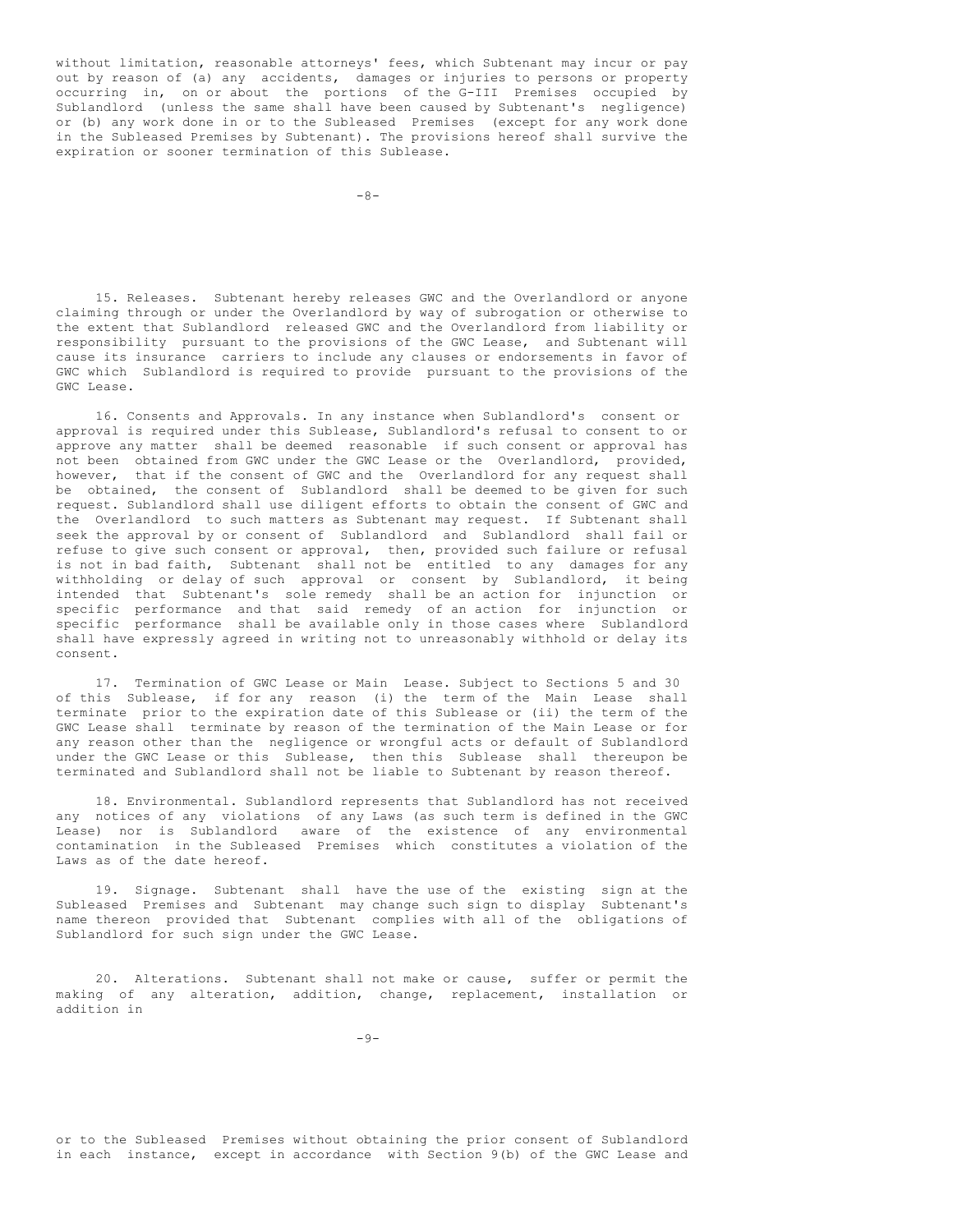without limitation, reasonable attorneys' fees, which Subtenant may incur or pay out by reason of (a) any accidents, damages or injuries to persons or property occurring in, on or about the portions of the G-III Premises occupied by Sublandlord (unless the same shall have been caused by Subtenant's negligence) or (b) any work done in or to the Subleased Premises (except for any work done in the Subleased Premises by Subtenant). The provisions hereof shall survive the expiration or sooner termination of this Sublease.

 $-8-$ 

15. Releases. Subtenant hereby releases GWC and the Overlandlord or anyone claiming through or under the Overlandlord by way of subrogation or otherwise to the extent that Sublandlord released GWC and the Overlandlord from liability or responsibility pursuant to the provisions of the GWC Lease, and Subtenant will cause its insurance carriers to include any clauses or endorsements in favor of GWC which Sublandlord is required to provide pursuant to the provisions of the GWC Lease.

16. Consents and Approvals. In any instance when Sublandlord's consent or approval is required under this Sublease, Sublandlord's refusal to consent to or approve any matter shall be deemed reasonable if such consent or approval has not been obtained from GWC under the GWC Lease or the Overlandlord, provided, however, that if the consent of GWC and the Overlandlord for any request shall be obtained, the consent of Sublandlord shall be deemed to be given for such request. Sublandlord shall use diligent efforts to obtain the consent of GWC and the Overlandlord to such matters as Subtenant may request. If Subtenant shall seek the approval by or consent of Sublandlord and Sublandlord shall fail or refuse to give such consent or approval, then, provided such failure or refusal is not in bad faith, Subtenant shall not be entitled to any damages for any withholding or delay of such approval or consent by Sublandlord, it being intended that Subtenant's sole remedy shall be an action for injunction or specific performance and that said remedy of an action for injunction or specific performance shall be available only in those cases where Sublandlord shall have expressly agreed in writing not to unreasonably withhold or delay its consent.

17. Termination of GWC Lease or Main Lease. Subject to Sections 5 and 30 of this Sublease, if for any reason (i) the term of the Main Lease shall terminate prior to the expiration date of this Sublease or (ii) the term of the GWC Lease shall terminate by reason of the termination of the Main Lease or for any reason other than the negligence or wrongful acts or default of Sublandlord under the GWC Lease or this Sublease, then this Sublease shall thereupon be terminated and Sublandlord shall not be liable to Subtenant by reason thereof.

18. Environmental. Sublandlord represents that Sublandlord has not received any notices of any violations of any Laws (as such term is defined in the GWC Lease) nor is Sublandlord aware of the existence of any environmental contamination in the Subleased Premises which constitutes a violation of the Laws as of the date hereof.

19. Signage. Subtenant shall have the use of the existing sign at the Subleased Premises and Subtenant may change such sign to display Subtenant's name thereon provided that Subtenant complies with all of the obligations of Sublandlord for such sign under the GWC Lease.

20. Alterations. Subtenant shall not make or cause, suffer or permit the making of any alteration, addition, change, replacement, installation or addition in

or to the Subleased Premises without obtaining the prior consent of Sublandlord in each instance, except in accordance with Section 9(b) of the GWC Lease and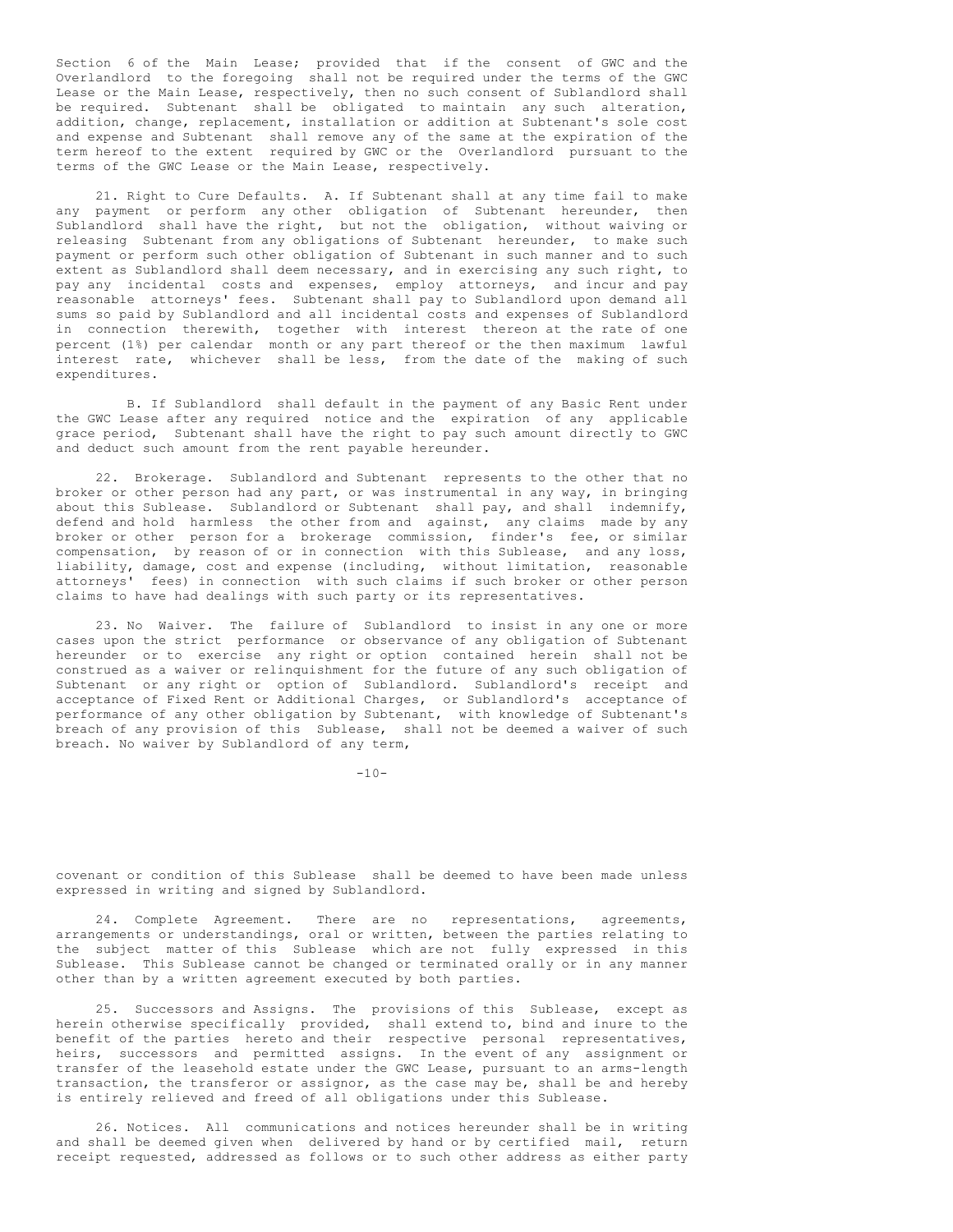Section 6 of the Main Lease; provided that if the consent of GWC and the Overlandlord to the foregoing shall not be required under the terms of the GWC Lease or the Main Lease, respectively, then no such consent of Sublandlord shall be required. Subtenant shall be obligated to maintain any such alteration, addition, change, replacement, installation or addition at Subtenant's sole cost and expense and Subtenant shall remove any of the same at the expiration of the term hereof to the extent required by GWC or the Overlandlord pursuant to the terms of the GWC Lease or the Main Lease, respectively.

21. Right to Cure Defaults. A. If Subtenant shall at any time fail to make any payment or perform any other obligation of Subtenant hereunder, then Sublandlord shall have the right, but not the obligation, without waiving or releasing Subtenant from any obligations of Subtenant hereunder, to make such payment or perform such other obligation of Subtenant in such manner and to such extent as Sublandlord shall deem necessary, and in exercising any such right, to pay any incidental costs and expenses, employ attorneys, and incur and pay reasonable attorneys' fees. Subtenant shall pay to Sublandlord upon demand all sums so paid by Sublandlord and all incidental costs and expenses of Sublandlord in connection therewith, together with interest thereon at the rate of one percent (1%) per calendar month or any part thereof or the then maximum lawful interest rate, whichever shall be less, from the date of the making of such expenditures.

B. If Sublandlord shall default in the payment of any Basic Rent under the GWC Lease after any required notice and the expiration of any applicable grace period, Subtenant shall have the right to pay such amount directly to GWC and deduct such amount from the rent payable hereunder.

22. Brokerage. Sublandlord and Subtenant represents to the other that no broker or other person had any part, or was instrumental in any way, in bringing about this Sublease. Sublandlord or Subtenant shall pay, and shall indemnify, defend and hold harmless the other from and against, any claims made by any broker or other person for a brokerage commission, finder's fee, or similar compensation, by reason of or in connection with this Sublease, and any loss, liability, damage, cost and expense (including, without limitation, reasonable attorneys' fees) in connection with such claims if such broker or other person claims to have had dealings with such party or its representatives.

23. No Waiver. The failure of Sublandlord to insist in any one or more cases upon the strict performance or observance of any obligation of Subtenant hereunder or to exercise any right or option contained herein shall not be construed as a waiver or relinquishment for the future of any such obligation of Subtenant or any right or option of Sublandlord. Sublandlord's receipt and acceptance of Fixed Rent or Additional Charges, or Sublandlord's acceptance of performance of any other obligation by Subtenant, with knowledge of Subtenant's breach of any provision of this Sublease, shall not be deemed a waiver of such breach. No waiver by Sublandlord of any term,

 $-10-$ 

covenant or condition of this Sublease shall be deemed to have been made unless expressed in writing and signed by Sublandlord.

24. Complete Agreement. There are no representations, agreements, arrangements or understandings, oral or written, between the parties relating to the subject matter of this Sublease which are not fully expressed in this Sublease. This Sublease cannot be changed or terminated orally or in any manner other than by a written agreement executed by both parties.

25. Successors and Assigns. The provisions of this Sublease, except as herein otherwise specifically provided, shall extend to, bind and inure to the benefit of the parties hereto and their respective personal representatives, heirs, successors and permitted assigns. In the event of any assignment or transfer of the leasehold estate under the GWC Lease, pursuant to an arms-length transaction, the transferor or assignor, as the case may be, shall be and hereby is entirely relieved and freed of all obligations under this Sublease.

26. Notices. All communications and notices hereunder shall be in writing and shall be deemed given when delivered by hand or by certified mail, return receipt requested, addressed as follows or to such other address as either party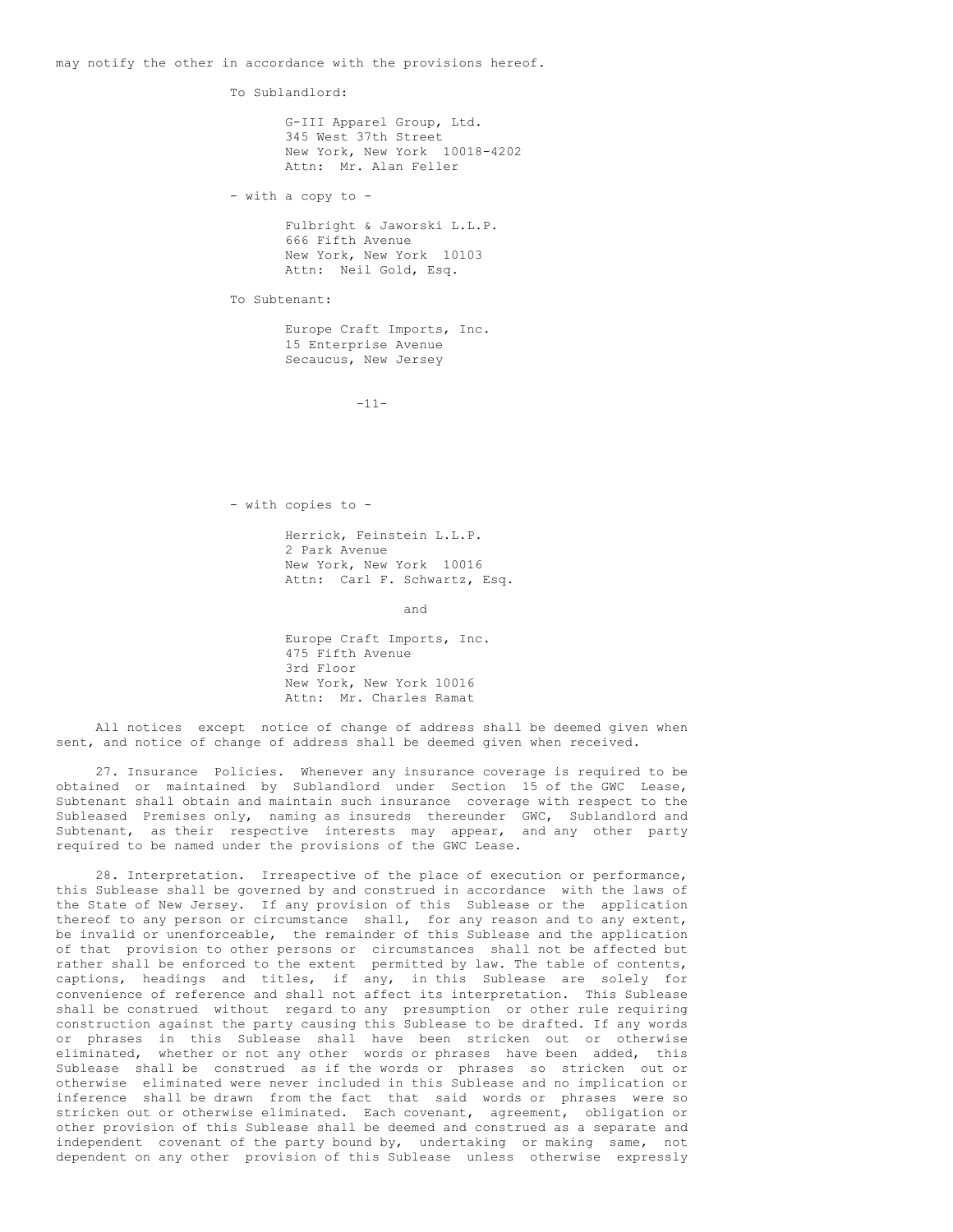may notify the other in accordance with the provisions hereof.

To Sublandlord:

G-III Apparel Group, Ltd. 345 West 37th Street New York, New York 10018-4202 Attn: Mr. Alan Feller

- with a copy to -

Fulbright & Jaworski L.L.P. 666 Fifth Avenue New York, New York 10103 Attn: Neil Gold, Esq.

To Subtenant:

Europe Craft Imports, Inc. 15 Enterprise Avenue Secaucus, New Jersey

 $-11-$ 

- with copies to -

Herrick, Feinstein L.L.P. 2 Park Avenue New York, New York 10016 Attn: Carl F. Schwartz, Esq.

and

Europe Craft Imports, Inc. 475 Fifth Avenue 3rd Floor New York, New York 10016 Attn: Mr. Charles Ramat

All notices except notice of change of address shall be deemed given when sent, and notice of change of address shall be deemed given when received.

27. Insurance Policies. Whenever any insurance coverage is required to be obtained or maintained by Sublandlord under Section 15 of the GWC Lease, Subtenant shall obtain and maintain such insurance coverage with respect to the Subleased Premises only, naming as insureds thereunder GWC, Sublandlord and Subtenant, as their respective interests may appear, and any other party required to be named under the provisions of the GWC Lease.

28. Interpretation. Irrespective of the place of execution or performance, this Sublease shall be governed by and construed in accordance with the laws of the State of New Jersey. If any provision of this Sublease or the application thereof to any person or circumstance shall, for any reason and to any extent, be invalid or unenforceable, the remainder of this Sublease and the application of that provision to other persons or circumstances shall not be affected but rather shall be enforced to the extent permitted by law. The table of contents, captions, headings and titles, if any, in this Sublease are solely for convenience of reference and shall not affect its interpretation. This Sublease shall be construed without regard to any presumption or other rule requiring construction against the party causing this Sublease to be drafted. If any words or phrases in this Sublease shall have been stricken out or otherwise eliminated, whether or not any other words or phrases have been added, this Sublease shall be construed as if the words or phrases so stricken out or otherwise eliminated were never included in this Sublease and no implication or inference shall be drawn from the fact that said words or phrases were so stricken out or otherwise eliminated. Each covenant, agreement, obligation or other provision of this Sublease shall be deemed and construed as a separate and independent covenant of the party bound by, undertaking or making same, not dependent on any other provision of this Sublease unless otherwise expressly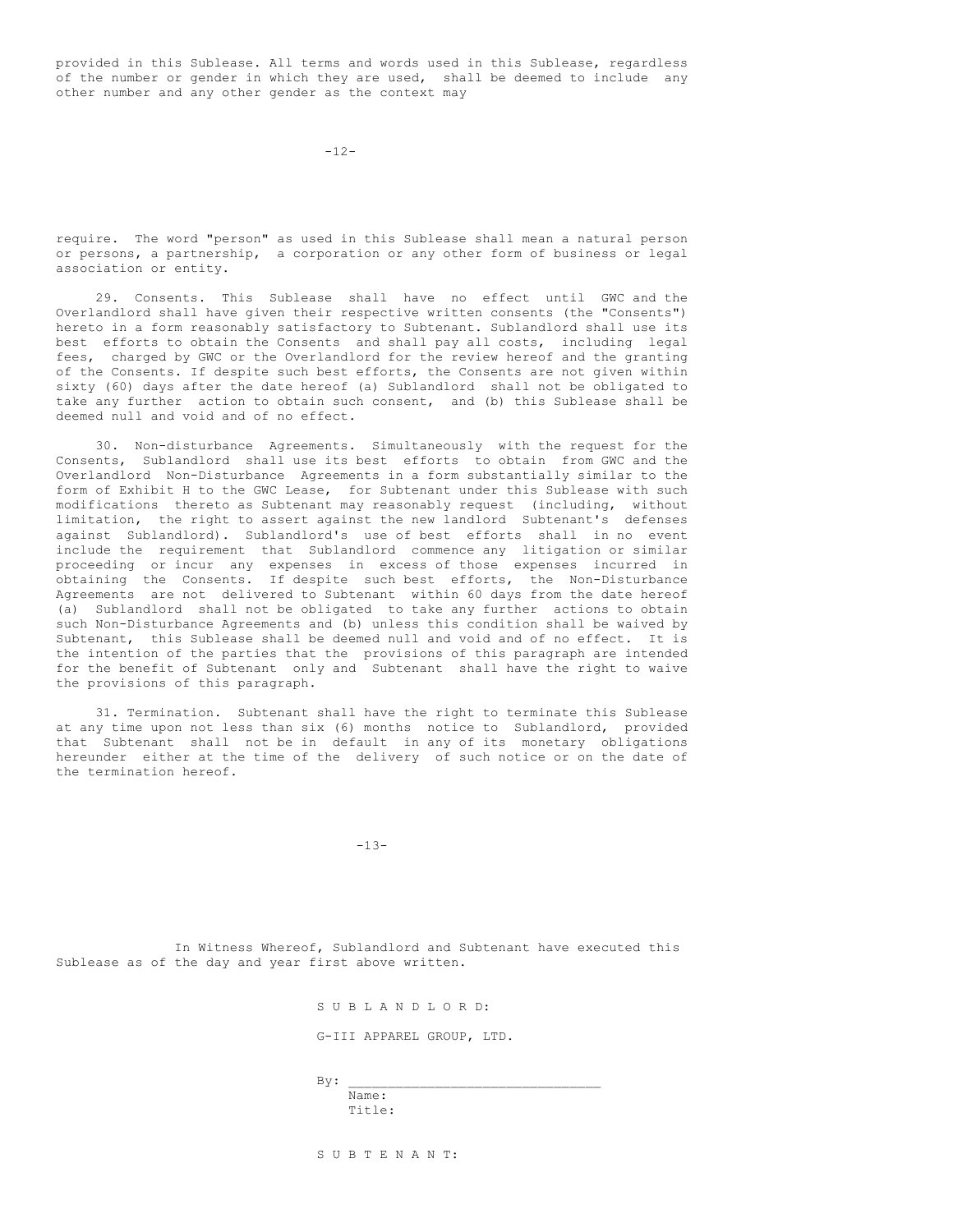provided in this Sublease. All terms and words used in this Sublease, regardless of the number or gender in which they are used, shall be deemed to include any other number and any other gender as the context may

 $-12-$ 

require. The word "person" as used in this Sublease shall mean a natural person or persons, a partnership, a corporation or any other form of business or legal association or entity.

29. Consents. This Sublease shall have no effect until GWC and the Overlandlord shall have given their respective written consents (the "Consents") hereto in a form reasonably satisfactory to Subtenant. Sublandlord shall use its best efforts to obtain the Consents and shall pay all costs, including legal fees, charged by GWC or the Overlandlord for the review hereof and the granting of the Consents. If despite such best efforts, the Consents are not given within sixty (60) days after the date hereof (a) Sublandlord shall not be obligated to take any further action to obtain such consent, and (b) this Sublease shall be deemed null and void and of no effect.

30. Non-disturbance Agreements. Simultaneously with the request for the Consents, Sublandlord shall use its best efforts to obtain from GWC and the Overlandlord Non-Disturbance Agreements in a form substantially similar to the form of Exhibit H to the GWC Lease, for Subtenant under this Sublease with such modifications thereto as Subtenant may reasonably request (including, without limitation, the right to assert against the new landlord Subtenant's defenses against Sublandlord). Sublandlord's use of best efforts shall in no event include the requirement that Sublandlord commence any litigation or similar proceeding or incur any expenses in excess of those expenses incurred in obtaining the Consents. If despite such best efforts, the Non-Disturbance Agreements are not delivered to Subtenant within 60 days from the date hereof (a) Sublandlord shall not be obligated to take any further actions to obtain such Non-Disturbance Agreements and (b) unless this condition shall be waived by Subtenant, this Sublease shall be deemed null and void and of no effect. It is the intention of the parties that the provisions of this paragraph are intended for the benefit of Subtenant only and Subtenant shall have the right to waive the provisions of this paragraph.

31. Termination. Subtenant shall have the right to terminate this Sublease at any time upon not less than six (6) months notice to Sublandlord, provided that Subtenant shall not be in default in any of its monetary obligations hereunder either at the time of the delivery of such notice or on the date of the termination hereof.

 $-13-$ 

In Witness Whereof, Sublandlord and Subtenant have executed this Sublease as of the day and year first above written.

S U B L A N D L O R D:

G-III APPAREL GROUP, LTD.

 $By:$ 

Name: Title:

S U B T E N A N T: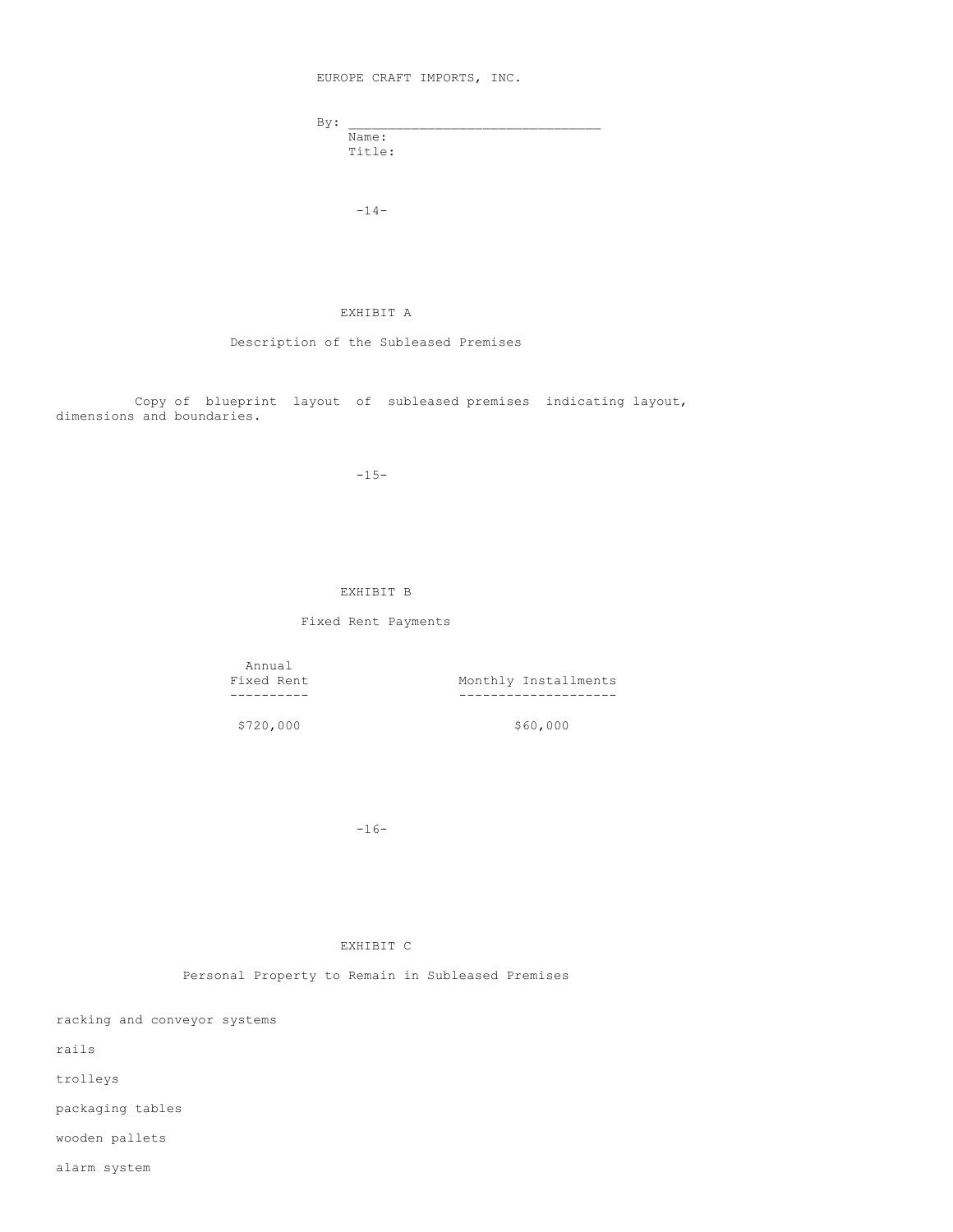EUROPE CRAFT IMPORTS, INC.

| By: |        |  |
|-----|--------|--|
|     | Name:  |  |
|     | Title: |  |

 $-14-$ 

# EXHIBIT A

Description of the Subleased Premises

Copy of blueprint layout of subleased premises indicating layout, dimensions and boundaries.

-15-

# EXHIBIT B

# Fixed Rent Payments

Annual<br>Fixed Rent

Fixed Rent Monthly Installments ---------- --------------------

\$720,000 \$60,000

-16-

EXHIBIT C

Personal Property to Remain in Subleased Premises

racking and conveyor systems

rails

trolleys

packaging tables

wooden pallets

alarm system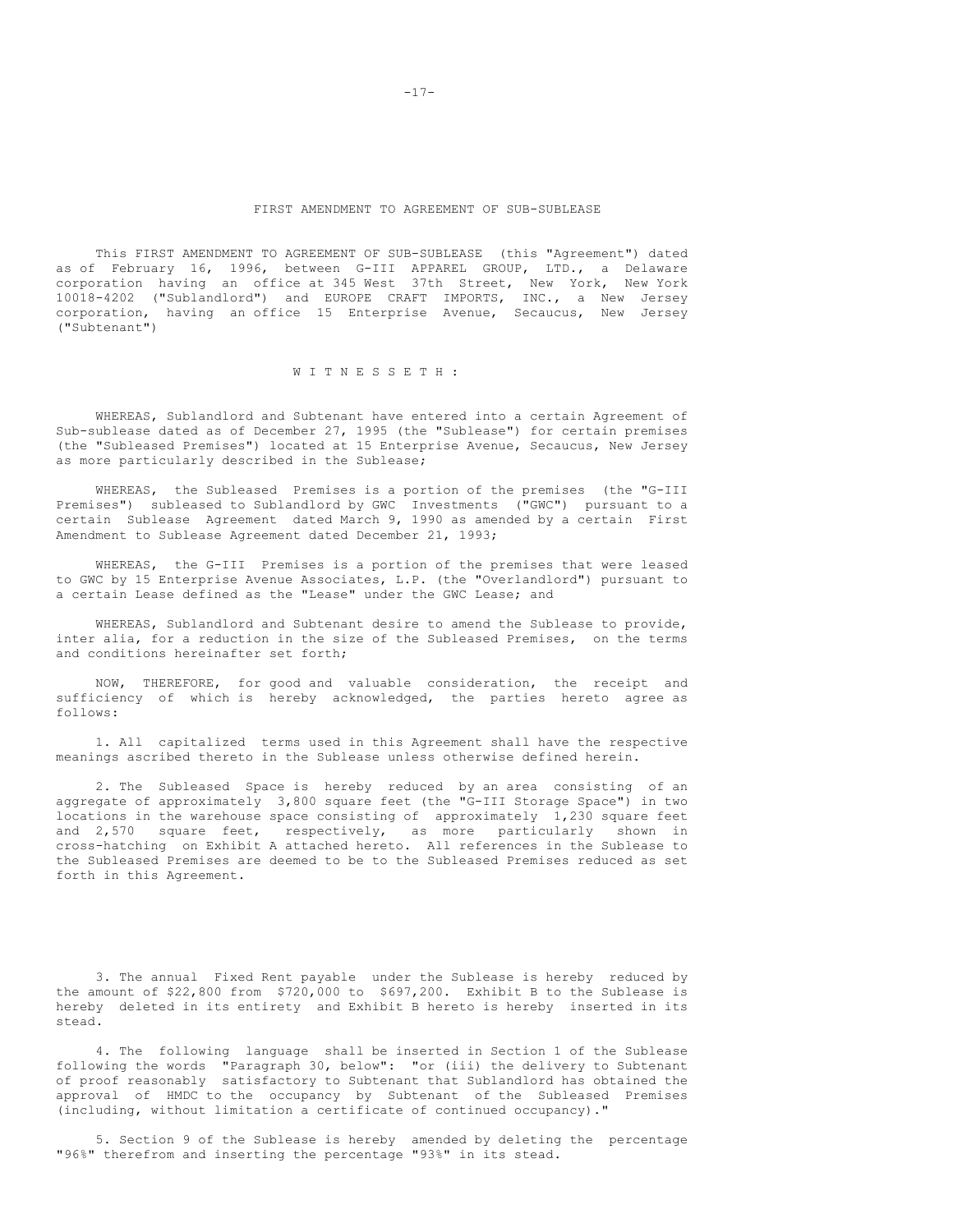#### FIRST AMENDMENT TO AGREEMENT OF SUB-SUBLEASE

This FIRST AMENDMENT TO AGREEMENT OF SUB-SUBLEASE (this "Agreement") dated as of February 16, 1996, between G-III APPAREL GROUP, LTD., a Delaware corporation having an office at 345 West 37th Street, New York, New York 10018-4202 ("Sublandlord") and EUROPE CRAFT IMPORTS, INC., a New Jersey corporation, having an office 15 Enterprise Avenue, Secaucus, New Jersey ("Subtenant")

# W I T N E S S E T H :

WHEREAS, Sublandlord and Subtenant have entered into a certain Agreement of Sub-sublease dated as of December 27, 1995 (the "Sublease") for certain premises (the "Subleased Premises") located at 15 Enterprise Avenue, Secaucus, New Jersey as more particularly described in the Sublease;

WHEREAS, the Subleased Premises is a portion of the premises (the "G-III Premises") subleased to Sublandlord by GWC Investments ("GWC") pursuant to a certain Sublease Agreement dated March 9, 1990 as amended by a certain First Amendment to Sublease Agreement dated December 21, 1993;

WHEREAS, the G-III Premises is a portion of the premises that were leased to GWC by 15 Enterprise Avenue Associates, L.P. (the "Overlandlord") pursuant to a certain Lease defined as the "Lease" under the GWC Lease; and

WHEREAS, Sublandlord and Subtenant desire to amend the Sublease to provide, inter alia, for a reduction in the size of the Subleased Premises, on the terms and conditions hereinafter set forth;

NOW, THEREFORE, for good and valuable consideration, the receipt and sufficiency of which is hereby acknowledged, the parties hereto agree as follows:

1. All capitalized terms used in this Agreement shall have the respective meanings ascribed thereto in the Sublease unless otherwise defined herein.

2. The Subleased Space is hereby reduced by an area consisting of an aggregate of approximately 3,800 square feet (the "G-III Storage Space") in two locations in the warehouse space consisting of approximately 1,230 square feet and 2,570 square feet, respectively, as more particularly shown in cross-hatching on Exhibit A attached hereto. All references in the Sublease to the Subleased Premises are deemed to be to the Subleased Premises reduced as set forth in this Agreement.

3. The annual Fixed Rent payable under the Sublease is hereby reduced by the amount of \$22,800 from \$720,000 to \$697,200. Exhibit B to the Sublease is hereby deleted in its entirety and Exhibit B hereto is hereby inserted in its stead.

4. The following language shall be inserted in Section 1 of the Sublease following the words "Paragraph 30, below": "or (iii) the delivery to Subtenant of proof reasonably satisfactory to Subtenant that Sublandlord has obtained the approval of HMDC to the occupancy by Subtenant of the Subleased Premises (including, without limitation a certificate of continued occupancy)."

5. Section 9 of the Sublease is hereby amended by deleting the percentage "96%" therefrom and inserting the percentage "93%" in its stead.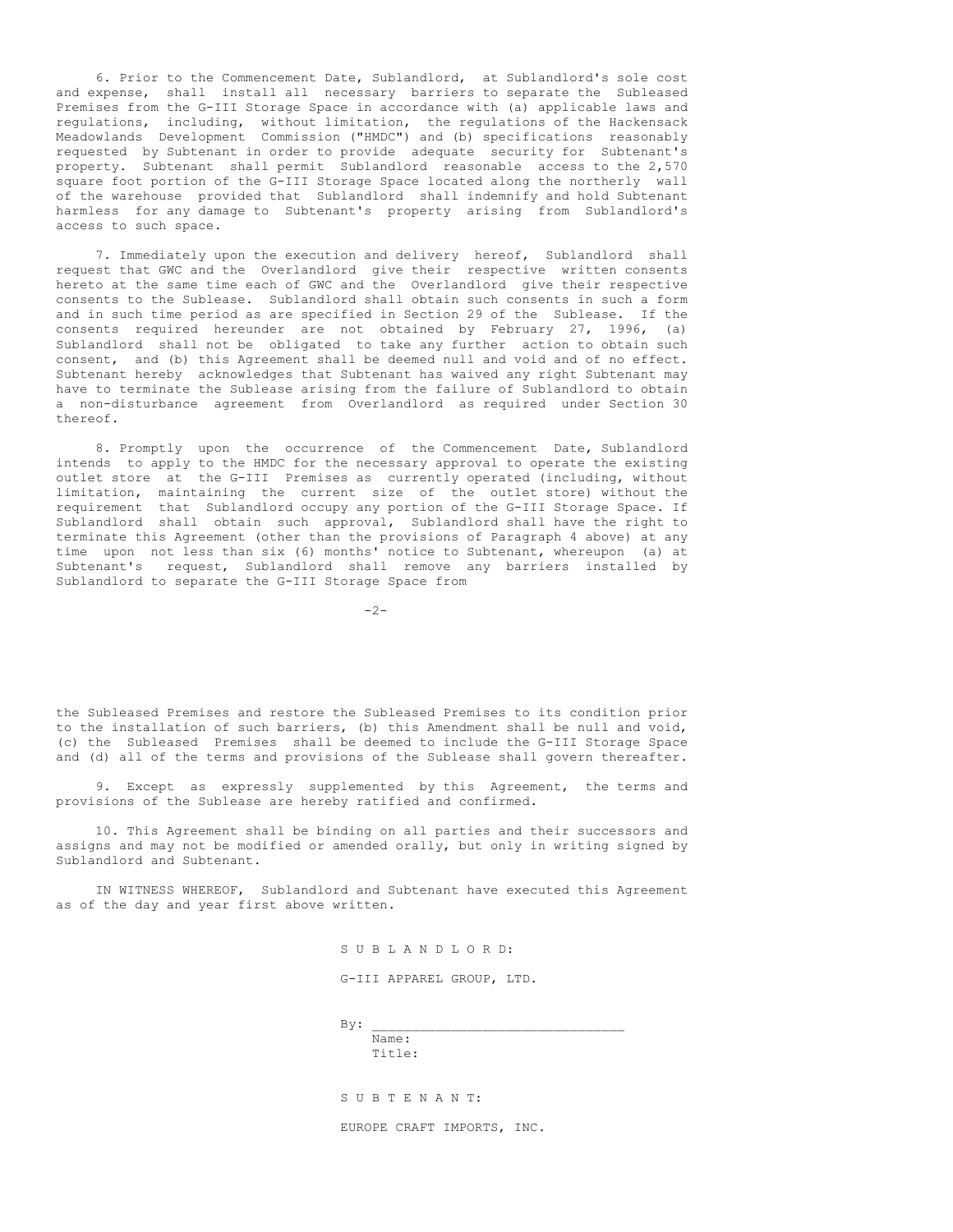6. Prior to the Commencement Date, Sublandlord, at Sublandlord's sole cost and expense, shall install all necessary barriers to separate the Subleased Premises from the G-III Storage Space in accordance with (a) applicable laws and regulations, including, without limitation, the regulations of the Hackensack Meadowlands Development Commission ("HMDC") and (b) specifications reasonably requested by Subtenant in order to provide adequate security for Subtenant's property. Subtenant shall permit Sublandlord reasonable access to the 2,570 square foot portion of the G-III Storage Space located along the northerly wall of the warehouse provided that Sublandlord shall indemnify and hold Subtenant harmless for any damage to Subtenant's property arising from Sublandlord's access to such space.

7. Immediately upon the execution and delivery hereof, Sublandlord shall request that GWC and the Overlandlord give their respective written consents hereto at the same time each of GWC and the Overlandlord give their respective consents to the Sublease. Sublandlord shall obtain such consents in such a form and in such time period as are specified in Section 29 of the Sublease. If the consents required hereunder are not obtained by February 27, 1996, (a) Sublandlord shall not be obligated to take any further action to obtain such consent, and (b) this Agreement shall be deemed null and void and of no effect. Subtenant hereby acknowledges that Subtenant has waived any right Subtenant may have to terminate the Sublease arising from the failure of Sublandlord to obtain a non-disturbance agreement from Overlandlord as required under Section 30 thereof.

8. Promptly upon the occurrence of the Commencement Date, Sublandlord intends to apply to the HMDC for the necessary approval to operate the existing outlet store at the G-III Premises as currently operated (including, without limitation, maintaining the current size of the outlet store) without the requirement that Sublandlord occupy any portion of the G-III Storage Space. If Sublandlord shall obtain such approval, Sublandlord shall have the right to terminate this Agreement (other than the provisions of Paragraph 4 above) at any time upon not less than six (6) months' notice to Subtenant, whereupon (a) at Subtenant's request, Sublandlord shall remove any barriers installed by Sublandlord to separate the G-III Storage Space from

 $-2-$ 

the Subleased Premises and restore the Subleased Premises to its condition prior to the installation of such barriers, (b) this Amendment shall be null and void, (c) the Subleased Premises shall be deemed to include the G-III Storage Space and (d) all of the terms and provisions of the Sublease shall govern thereafter.

9. Except as expressly supplemented by this Agreement, the terms and provisions of the Sublease are hereby ratified and confirmed.

10. This Agreement shall be binding on all parties and their successors and assigns and may not be modified or amended orally, but only in writing signed by Sublandlord and Subtenant.

IN WITNESS WHEREOF, Sublandlord and Subtenant have executed this Agreement as of the day and year first above written.

S U B L A N D L O R D:

G-III APPAREL GROUP, LTD.

 $By:$ Name:

Title:

S U B T E N A N T:

EUROPE CRAFT IMPORTS, INC.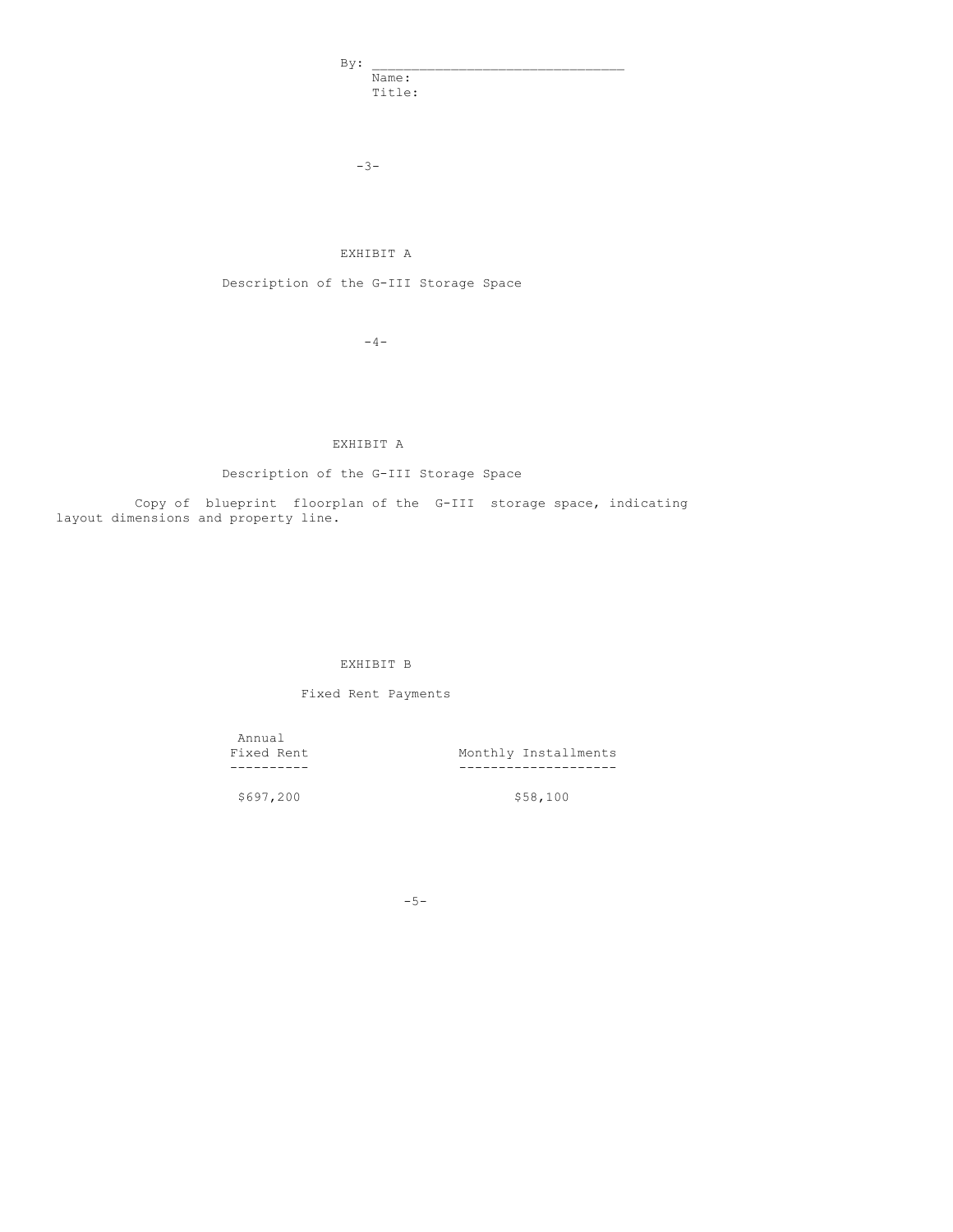$By:$ Name: Title:

-3-

# EXHIBIT A

Description of the G-III Storage Space

 $-4-$ 

# EXHIBIT A

# Description of the G-III Storage Space

Copy of blueprint floorplan of the G-III storage space, indicating layout dimensions and property line.

# EXHIBIT B

# Fixed Rent Payments

Annual<br>Fixed Rent

Fixed Rent Monthly Installments ---------- --------------------

\$697,200 \$58,100

 $-5-$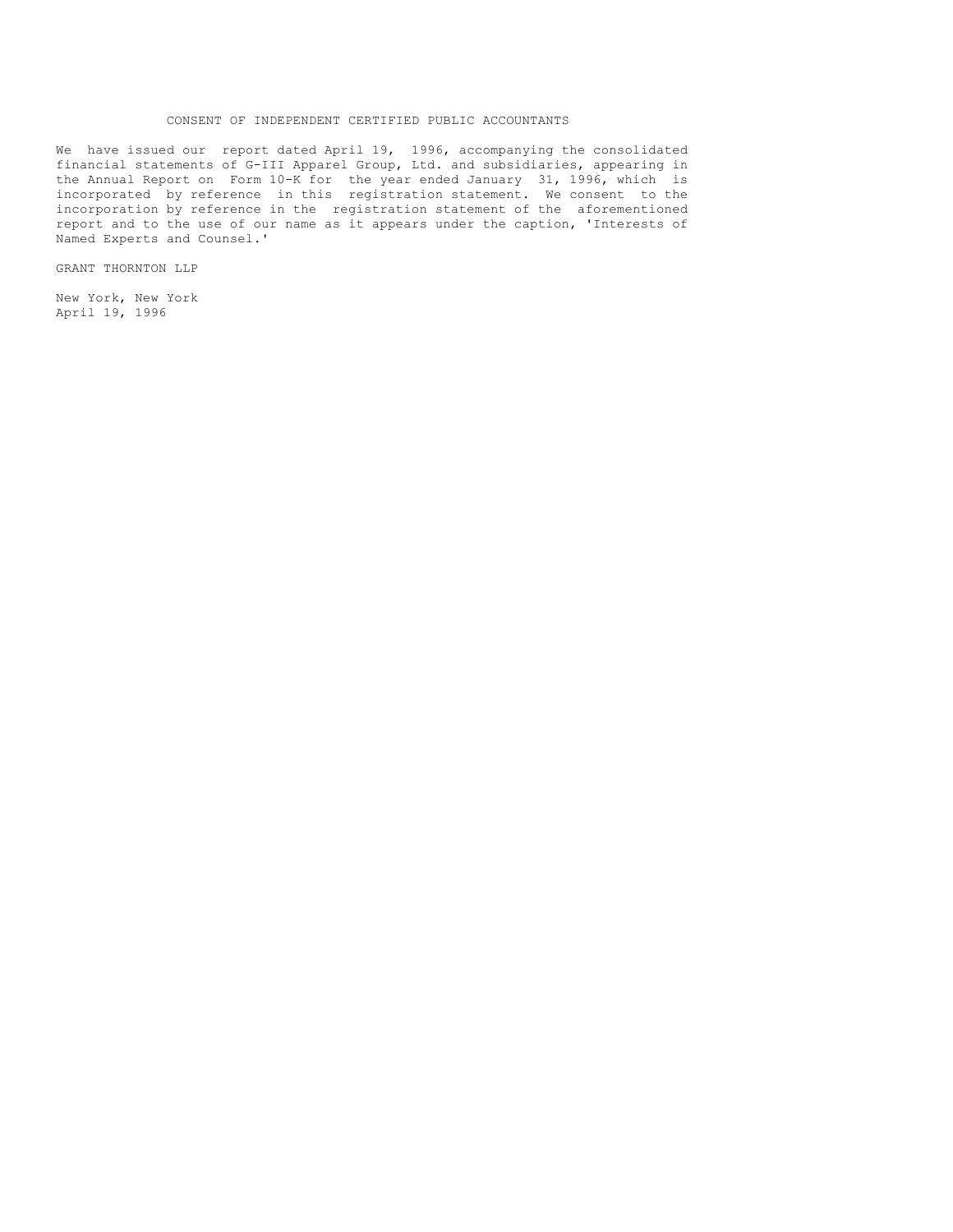## CONSENT OF INDEPENDENT CERTIFIED PUBLIC ACCOUNTANTS

We have issued our report dated April 19, 1996, accompanying the consolidated financial statements of G-III Apparel Group, Ltd. and subsidiaries, appearing in the Annual Report on Form 10-K for the year ended January 31, 1996, which is incorporated by reference in this registration statement. We consent to the incorporation by reference in the registration statement of the aforementioned report and to the use of our name as it appears under the caption, 'Interests of Named Experts and Counsel.'

GRANT THORNTON LLP

New York, New York April 19, 1996